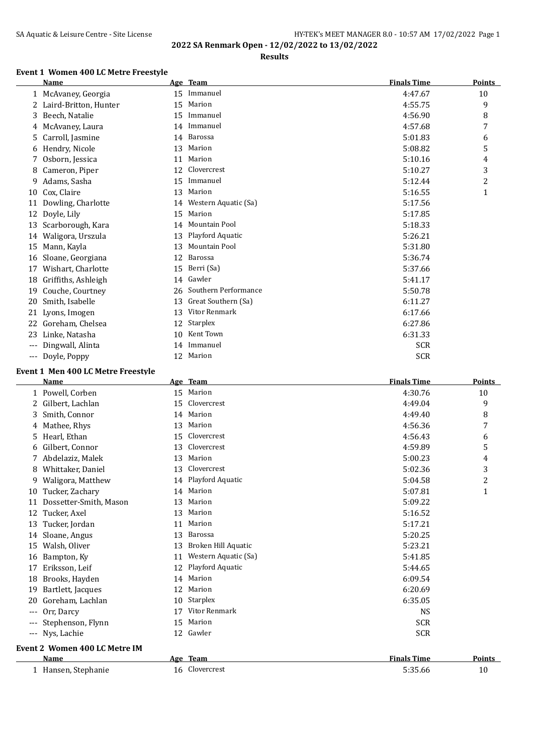## SA Aquatic & Leisure Centre - Site License **HY-TEK's MEET MANAGER 8.0 - 10:57 AM 17/02/2022** Page 1 **2022 SA Renmark Open - 12/02/2022 to 13/02/2022**

## **Results**

## **Event 1 Women 400 LC Metre Freestyle**

|     | Name                  |    | Age Team             | <b>Finals Time</b> | Points                  |
|-----|-----------------------|----|----------------------|--------------------|-------------------------|
|     | 1 McAvaney, Georgia   | 15 | Immanuel             | 4:47.67            | 10                      |
| 2   | Laird-Britton, Hunter | 15 | Marion               | 4:55.75            | 9                       |
| 3   | Beech, Natalie        | 15 | Immanuel             | 4:56.90            | 8                       |
| 4   | McAvaney, Laura       | 14 | Immanuel             | 4:57.68            | 7                       |
| 5   | Carroll, Jasmine      | 14 | Barossa              | 5:01.83            | 6                       |
| 6   | Hendry, Nicole        | 13 | Marion               | 5:08.82            | 5                       |
|     | Osborn, Jessica       | 11 | Marion               | 5:10.16            | 4                       |
| 8   | Cameron, Piper        | 12 | Clovercrest          | 5:10.27            | 3                       |
| 9   | Adams, Sasha          | 15 | Immanuel             | 5:12.44            | $\overline{\mathbf{c}}$ |
| 10  | Cox, Claire           | 13 | Marion               | 5:16.55            | 1                       |
| 11  | Dowling, Charlotte    | 14 | Western Aquatic (Sa) | 5:17.56            |                         |
| 12  | Doyle, Lily           | 15 | Marion               | 5:17.85            |                         |
| 13  | Scarborough, Kara     | 14 | Mountain Pool        | 5:18.33            |                         |
| 14  | Waligora, Urszula     | 13 | Playford Aquatic     | 5:26.21            |                         |
| 15  | Mann, Kayla           | 13 | Mountain Pool        | 5:31.80            |                         |
| 16  | Sloane, Georgiana     | 12 | Barossa              | 5:36.74            |                         |
| 17  | Wishart, Charlotte    | 15 | Berri (Sa)           | 5:37.66            |                         |
| 18  | Griffiths, Ashleigh   | 14 | Gawler               | 5:41.17            |                         |
| 19  | Couche, Courtney      | 26 | Southern Performance | 5:50.78            |                         |
| 20  | Smith, Isabelle       | 13 | Great Southern (Sa)  | 6:11.27            |                         |
| 21  | Lyons, Imogen         | 13 | Vitor Renmark        | 6:17.66            |                         |
| 22  | Goreham, Chelsea      | 12 | Starplex             | 6:27.86            |                         |
| 23  | Linke, Natasha        | 10 | Kent Town            | 6:31.33            |                         |
| --- | Dingwall, Alinta      | 14 | Immanuel             | <b>SCR</b>         |                         |
| --- | Doyle, Poppy          | 12 | Marion               | <b>SCR</b>         |                         |

#### **Event 1 Men 400 LC Metre Freestyle**

|                   | <b>Name</b>                   |    | Age Team             | <b>Finals Time</b> | <b>Points</b>  |
|-------------------|-------------------------------|----|----------------------|--------------------|----------------|
|                   | 1 Powell, Corben              | 15 | Marion               | 4:30.76            | 10             |
| 2                 | Gilbert, Lachlan              | 15 | Clovercrest          | 4:49.04            | 9              |
| 3                 | Smith, Connor                 | 14 | Marion               | 4:49.40            | 8              |
| 4                 | Mathee, Rhys                  | 13 | Marion               | 4:56.36            | 7              |
| 5.                | Hearl, Ethan                  | 15 | Clovercrest          | 4:56.43            | 6              |
| 6                 | Gilbert, Connor               | 13 | Clovercrest          | 4:59.89            | 5              |
|                   | Abdelaziz, Malek              | 13 | Marion               | 5:00.23            | 4              |
| 8                 | Whittaker, Daniel             | 13 | Clovercrest          | 5:02.36            | 3              |
| 9                 | Waligora, Matthew             | 14 | Playford Aquatic     | 5:04.58            | $\overline{c}$ |
| 10                | Tucker, Zachary               | 14 | Marion               | 5:07.81            | 1              |
| 11                | Dossetter-Smith, Mason        | 13 | Marion               | 5:09.22            |                |
| 12                | Tucker, Axel                  | 13 | Marion               | 5:16.52            |                |
| 13                | Tucker, Jordan                | 11 | Marion               | 5:17.21            |                |
| 14                | Sloane, Angus                 | 13 | Barossa              | 5:20.25            |                |
| 15                | Walsh, Oliver                 | 13 | Broken Hill Aquatic  | 5:23.21            |                |
| 16                | Bampton, Ky                   | 11 | Western Aquatic (Sa) | 5:41.85            |                |
| 17                | Eriksson, Leif                | 12 | Playford Aquatic     | 5:44.65            |                |
| 18                | Brooks, Hayden                | 14 | Marion               | 6:09.54            |                |
| 19                | Bartlett, Jacques             | 12 | Marion               | 6:20.69            |                |
| 20                | Goreham, Lachlan              | 10 | Starplex             | 6:35.05            |                |
| $---$             | Orr, Darcy                    | 17 | Vitor Renmark        | <b>NS</b>          |                |
|                   | Stephenson, Flynn             | 15 | Marion               | <b>SCR</b>         |                |
| $\qquad \qquad -$ | Nys, Lachie                   | 12 | Gawler               | <b>SCR</b>         |                |
|                   | Event 2 Women 400 LC Metre IM |    |                      |                    |                |
|                   | Name                          |    | Age Team             | <b>Finals Time</b> | <b>Points</b>  |
|                   | 1 Hansen, Stephanie           |    | 16 Clovercrest       | 5:35.66            | 10             |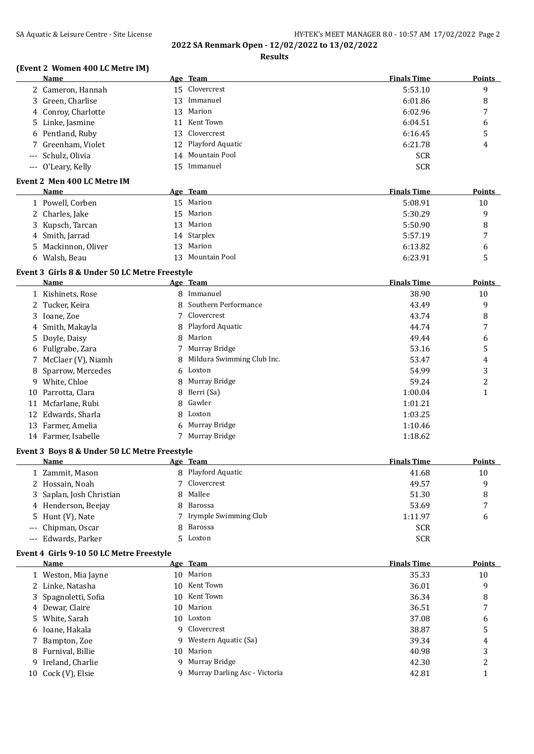# SA Aquatic & Leisure Centre - Site License **HY-TEK's MEET MANAGER 8.0 - 10:57 AM 17/02/2022** Page 2

**2022 SA Renmark Open - 12/02/2022 to 13/02/2022**

## **Results**

## **(Event 2 Women 400 LC Metre IM)**

| <b>Name</b>         |    | Age Team            | <b>Finals Time</b> | <b>Points</b> |
|---------------------|----|---------------------|--------------------|---------------|
| 2 Cameron, Hannah   |    | 15 Clovercrest      | 5:53.10            | 9             |
| 3 Green, Charlise   |    | 13 Immanuel         | 6:01.86            | 8             |
| 4 Conroy, Charlotte |    | 13 Marion           | 6:02.96            | 7             |
| 5 Linke, Jasmine    |    | 11 Kent Town        | 6:04.51            | 6             |
| 6 Pentland, Ruby    |    | 13 Clovercrest      | 6:16.45            | 5             |
| 7 Greenham, Violet  |    | 12 Playford Aquatic | 6:21.78            | 4             |
| --- Schulz, Olivia  |    | 14 Mountain Pool    | <b>SCR</b>         |               |
| --- O'Leary, Kelly  | 15 | Immanuel            | <b>SCR</b>         |               |

#### **Event 2 Men 400 LC Metre IM**

 $\frac{1}{2}$ 

| Name                | Age Team         | <b>Finals Time</b> | <b>Points</b>  |
|---------------------|------------------|--------------------|----------------|
| 1 Powell, Corben    | 15 Marion        | 5:08.91            | 10             |
| 2 Charles, Jake     | 15 Marion        | 5:30.29            | q              |
| 3 Kupsch, Tarcan    | 13 Marion        | 5:50.90            | 8              |
| 4 Smith, Jarrad     | 14 Starplex      | 5:57.19            | $\overline{ }$ |
| 5 Mackinnon, Oliver | Marion<br>13     | 6:13.82            | 6              |
| Walsh, Beau<br>6.   | 13 Mountain Pool | 6:23.91            |                |
|                     |                  |                    |                |

#### **Event 3 Girls 8 & Under 50 LC Metre Freestyle**

|    | Name                 |   | Age Team                   | <b>Finals Time</b> | <b>Points</b> |
|----|----------------------|---|----------------------------|--------------------|---------------|
|    | 1 Kishinets, Rose    | 8 | Immanuel                   | 38.90              | 10            |
|    | 2 Tucker, Keira      | 8 | Southern Performance       | 43.49              | 9             |
|    | 3 Ioane, Zoe         |   | Clovercrest                | 43.74              | 8             |
|    | 4 Smith, Makayla     |   | 8 Playford Aquatic         | 44.74              | 7             |
|    | 5 Doyle, Daisy       | 8 | Marion                     | 49.44              | 6             |
|    | 6 Fullgrabe, Zara    |   | Murray Bridge              | 53.16              | 5             |
|    | 7 McClaer (V), Niamh | 8 | Mildura Swimming Club Inc. | 53.47              | 4             |
|    | 8 Sparrow, Mercedes  |   | 6 Loxton                   | 54.99              | 3             |
| 9. | White, Chloe         |   | 8 Murray Bridge            | 59.24              | 2             |
| 10 | Parrotta, Clara      | 8 | Berri (Sa)                 | 1:00.04            | 1             |
| 11 | Mcfarlane, Rubi      |   | 8 Gawler                   | 1:01.21            |               |
|    | 12 Edwards, Sharla   | 8 | Loxton                     | 1:03.25            |               |
|    | 13 Farmer, Amelia    |   | 6 Murray Bridge            | 1:10.46            |               |
| 14 | Farmer, Isabelle     |   | Murray Bridge              | 1:18.62            |               |
|    |                      |   |                            |                    |               |

#### **Event 3 Boys 8 & Under 50 LC Metre Freestyle**

| Name                     | Age Team                | <b>Finals Time</b> | <b>Points</b>            |
|--------------------------|-------------------------|--------------------|--------------------------|
| 1 Zammit, Mason          | 8 Playford Aquatic      | 41.68              | 10                       |
| 2 Hossain, Noah          | 7 Clovercrest           | 49.57              | q                        |
| 3 Saplan, Josh Christian | 8 Mallee                | 51.30              | 8                        |
| 4 Henderson, Beejay      | 8 Barossa               | 53.69              | $\overline{\phantom{a}}$ |
| 5 Hunt (V), Nate         | 7 Irymple Swimming Club | 1:11.97            | 6                        |
| --- Chipman, Oscar       | 8 Barossa               | <b>SCR</b>         |                          |
| --- Edwards, Parker      | 5 Loxton                | <b>SCR</b>         |                          |

#### **Event 4 Girls 9-10 50 LC Metre Freestyle**

| Name                 |     | Age Team                      | <b>Finals Time</b> | <b>Points</b> |
|----------------------|-----|-------------------------------|--------------------|---------------|
| 1 Weston, Mia Jayne  | 10  | Marion                        | 35.33              | 10            |
| 2 Linke, Natasha     | 10  | Kent Town                     | 36.01              | 9             |
| 3 Spagnoletti, Sofia | 10. | Kent Town                     | 36.34              | 8             |
| 4 Dewar, Claire      | 10  | Marion                        | 36.51              |               |
| 5 White, Sarah       |     | 10 Loxton                     | 37.08              | 6             |
| 6 Ioane, Hakala      |     | 9 Clovercrest                 | 38.87              | 5             |
| 7 Bampton, Zoe       |     | 9 Western Aquatic (Sa)        | 39.34              | 4             |
| 8 Furnival, Billie   | 10  | Marion                        | 40.98              | 3             |
| 9 Ireland, Charlie   |     | 9 Murray Bridge               | 42.30              | 2             |
| 10 Cock (V), Elsie   |     | Murray Darling Asc - Victoria | 42.81              |               |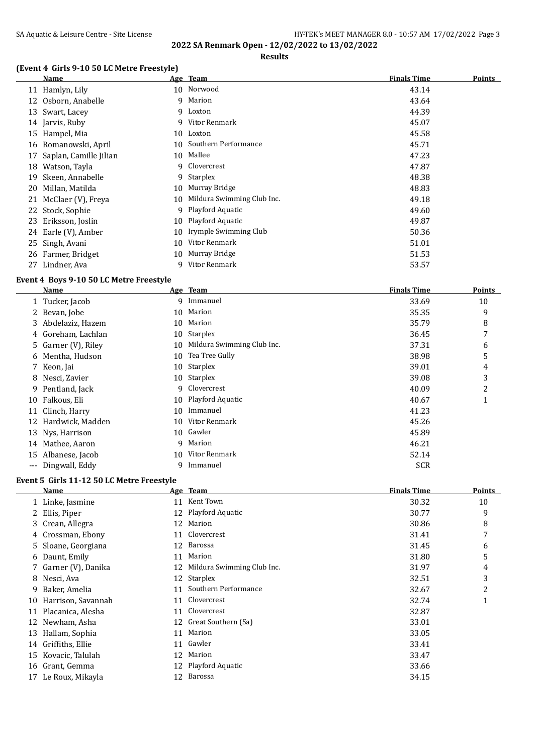**2022 SA Renmark Open - 12/02/2022 to 13/02/2022 Results**

## **(Event 4 Girls 9-10 50 LC Metre Freestyle)**

|    | <b>Name</b>            |    | Age Team                   | <b>Finals Time</b> | <b>Points</b> |
|----|------------------------|----|----------------------------|--------------------|---------------|
|    | 11 Hamlyn, Lily        |    | 10 Norwood                 | 43.14              |               |
|    | 12 Osborn, Anabelle    |    | 9 Marion                   | 43.64              |               |
|    | 13 Swart, Lacey        |    | 9 Loxton                   | 44.39              |               |
|    | 14 Jarvis, Ruby        |    | 9 Vitor Renmark            | 45.07              |               |
|    | 15 Hampel, Mia         | 10 | Loxton                     | 45.58              |               |
|    | 16 Romanowski, April   | 10 | Southern Performance       | 45.71              |               |
| 17 | Saplan, Camille Jilian | 10 | Mallee                     | 47.23              |               |
| 18 | Watson, Tayla          |    | 9 Clovercrest              | 47.87              |               |
| 19 | Skeen, Annabelle       |    | 9 Starplex                 | 48.38              |               |
| 20 | Millan, Matilda        | 10 | Murray Bridge              | 48.83              |               |
| 21 | McClaer (V), Freya     | 10 | Mildura Swimming Club Inc. | 49.18              |               |
|    | 22 Stock, Sophie       | 9  | Playford Aquatic           | 49.60              |               |
| 23 | Eriksson, Joslin       | 10 | Playford Aquatic           | 49.87              |               |
|    | 24 Earle (V), Amber    | 10 | Irymple Swimming Club      | 50.36              |               |
|    | 25 Singh, Avani        | 10 | Vitor Renmark              | 51.01              |               |
|    | 26 Farmer, Bridget     | 10 | Murray Bridge              | 51.53              |               |
| 27 | Lindner, Ava           | q  | Vitor Renmark              | 53.57              |               |

#### **Event 4 Boys 9-10 50 LC Metre Freestyle**

|       | Name                |    | Age Team                   | <b>Finals Time</b> | <b>Points</b> |
|-------|---------------------|----|----------------------------|--------------------|---------------|
|       | 1 Tucker, Jacob     |    | 9 Immanuel                 | 33.69              | 10            |
| 2     | Bevan, Jobe         | 10 | Marion                     | 35.35              | 9             |
|       | 3 Abdelaziz, Hazem  | 10 | Marion                     | 35.79              | 8             |
|       | 4 Goreham, Lachlan  | 10 | Starplex                   | 36.45              | 7             |
|       | 5 Garner (V), Riley | 10 | Mildura Swimming Club Inc. | 37.31              | 6             |
| 6     | Mentha, Hudson      | 10 | Tea Tree Gully             | 38.98              | 5             |
| 7     | Keon, Jai           | 10 | Starplex                   | 39.01              | 4             |
| 8     | Nesci, Zavier       | 10 | Starplex                   | 39.08              | 3             |
| 9.    | Pentland, Jack      |    | 9 Clovercrest              | 40.09              | 2             |
|       | 10 Falkous, Eli     | 10 | Playford Aquatic           | 40.67              | $\mathbf 1$   |
| 11    | Clinch, Harry       | 10 | Immanuel                   | 41.23              |               |
| 12    | Hardwick, Madden    | 10 | Vitor Renmark              | 45.26              |               |
|       | 13 Nys, Harrison    | 10 | Gawler                     | 45.89              |               |
|       | 14 Mathee, Aaron    |    | 9 Marion                   | 46.21              |               |
|       | 15 Albanese, Jacob  | 10 | Vitor Renmark              | 52.14              |               |
| $---$ | Dingwall, Eddy      | 9  | Immanuel                   | <b>SCR</b>         |               |

## **Event 5 Girls 11-12 50 LC Metre Freestyle**

|    | Name                 |    | Age Team                   | <b>Finals Time</b> | Points |
|----|----------------------|----|----------------------------|--------------------|--------|
|    | 1 Linke, Jasmine     | 11 | Kent Town                  | 30.32              | 10     |
|    | Ellis, Piper         | 12 | Playford Aquatic           | 30.77              | 9      |
|    | 3 Crean, Allegra     | 12 | Marion                     | 30.86              | 8      |
|    | 4 Crossman, Ebony    | 11 | Clovercrest                | 31.41              | 7      |
|    | 5 Sloane, Georgiana  | 12 | Barossa                    | 31.45              | 6      |
|    | 6 Daunt, Emily       | 11 | Marion                     | 31.80              | 5      |
|    | 7 Garner (V), Danika | 12 | Mildura Swimming Club Inc. | 31.97              | 4      |
| 8  | Nesci, Ava           | 12 | Starplex                   | 32.51              | 3      |
| 9  | Baker, Amelia        | 11 | Southern Performance       | 32.67              | 2      |
| 10 | Harrison, Savannah   | 11 | Clovercrest                | 32.74              | 1      |
| 11 | Placanica, Alesha    | 11 | Clovercrest                | 32.87              |        |
| 12 | Newham, Asha         | 12 | Great Southern (Sa)        | 33.01              |        |
| 13 | Hallam, Sophia       | 11 | Marion                     | 33.05              |        |
| 14 | Griffiths, Ellie     | 11 | Gawler                     | 33.41              |        |
| 15 | Kovacic, Talulah     | 12 | Marion                     | 33.47              |        |
| 16 | Grant, Gemma         | 12 | Playford Aquatic           | 33.66              |        |
| 17 | Le Roux, Mikayla     | 12 | Barossa                    | 34.15              |        |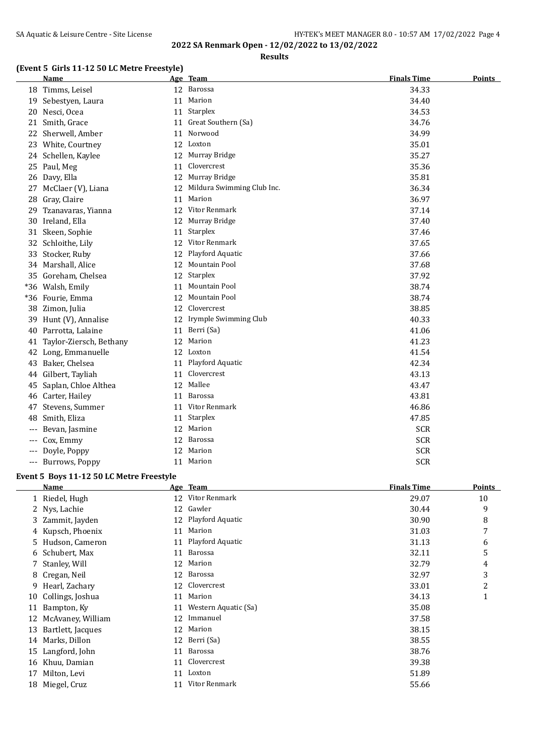**Results**

## **(Event 5 Girls 11-12 50 LC Metre Freestyle)**

|       | <b>Name</b>             |    | Age Team                   | <b>Finals Time</b> | <b>Points</b> |
|-------|-------------------------|----|----------------------------|--------------------|---------------|
|       | 18 Timms, Leisel        |    | 12 Barossa                 | 34.33              |               |
| 19    | Sebestyen, Laura        | 11 | Marion                     | 34.40              |               |
| 20    | Nesci, Ocea             |    | 11 Starplex                | 34.53              |               |
| 21    | Smith, Grace            | 11 | Great Southern (Sa)        | 34.76              |               |
| 22    | Sherwell, Amber         | 11 | Norwood                    | 34.99              |               |
| 23    | White, Courtney         | 12 | Loxton                     | 35.01              |               |
|       | 24 Schellen, Kaylee     |    | 12 Murray Bridge           | 35.27              |               |
|       | 25 Paul, Meg            | 11 | Clovercrest                | 35.36              |               |
| 26    | Davy, Ella              | 12 | Murray Bridge              | 35.81              |               |
| 27    | McClaer (V), Liana      | 12 | Mildura Swimming Club Inc. | 36.34              |               |
| 28    | Gray, Claire            | 11 | Marion                     | 36.97              |               |
| 29    | Tzanavaras, Yianna      |    | 12 Vitor Renmark           | 37.14              |               |
|       | 30 Ireland, Ella        | 12 | Murray Bridge              | 37.40              |               |
| 31    | Skeen, Sophie           | 11 | Starplex                   | 37.46              |               |
| 32    | Schloithe, Lily         | 12 | Vitor Renmark              | 37.65              |               |
| 33    | Stocker, Ruby           | 12 | Playford Aquatic           | 37.66              |               |
|       | 34 Marshall, Alice      | 12 | Mountain Pool              | 37.68              |               |
| 35    | Goreham, Chelsea        |    | 12 Starplex                | 37.92              |               |
| $*36$ | Walsh, Emily            | 11 | Mountain Pool              | 38.74              |               |
|       | *36 Fourie, Emma        | 12 | <b>Mountain Pool</b>       | 38.74              |               |
|       | 38 Zimon, Julia         | 12 | Clovercrest                | 38.85              |               |
| 39    | Hunt (V), Annalise      | 12 | Irymple Swimming Club      | 40.33              |               |
|       | 40 Parrotta, Lalaine    | 11 | Berri (Sa)                 | 41.06              |               |
| 41    | Taylor-Ziersch, Bethany | 12 | Marion                     | 41.23              |               |
| 42    | Long, Emmanuelle        | 12 | Loxton                     | 41.54              |               |
| 43    | Baker, Chelsea          | 11 | Playford Aquatic           | 42.34              |               |
| 44    | Gilbert, Tayliah        | 11 | Clovercrest                | 43.13              |               |
| 45    | Saplan, Chloe Althea    |    | 12 Mallee                  | 43.47              |               |
|       | 46 Carter, Hailey       |    | 11 Barossa                 | 43.81              |               |
| 47    | Stevens, Summer         | 11 | Vitor Renmark              | 46.86              |               |
| 48    | Smith, Eliza            | 11 | Starplex                   | 47.85              |               |
| ---   | Bevan, Jasmine          |    | 12 Marion                  | <b>SCR</b>         |               |
| ---   | Cox, Emmy               |    | 12 Barossa                 | <b>SCR</b>         |               |
|       | Doyle, Poppy            |    | 12 Marion                  | <b>SCR</b>         |               |
|       | --- Burrows, Poppy      |    | 11 Marion                  | <b>SCR</b>         |               |

#### **Event 5 Boys 11-12 50 LC Metre Freestyle**

|    | Name              |    | Age Team             | <b>Finals Time</b> | Points         |
|----|-------------------|----|----------------------|--------------------|----------------|
|    | 1 Riedel, Hugh    | 12 | Vitor Renmark        | 29.07              | 10             |
|    | 2 Nys, Lachie     | 12 | Gawler               | 30.44              | 9              |
|    | 3 Zammit, Jayden  | 12 | Playford Aquatic     | 30.90              | 8              |
|    | 4 Kupsch, Phoenix | 11 | Marion               | 31.03              | 7              |
| 5  | Hudson, Cameron   | 11 | Playford Aquatic     | 31.13              | 6              |
| 6  | Schubert, Max     | 11 | Barossa              | 32.11              | 5              |
|    | 7 Stanley, Will   | 12 | Marion               | 32.79              | 4              |
| 8  | Cregan, Neil      | 12 | Barossa              | 32.97              | 3              |
| 9  | Hearl, Zachary    | 12 | Clovercrest          | 33.01              | $\overline{c}$ |
| 10 | Collings, Joshua  | 11 | Marion               | 34.13              | 1              |
| 11 | Bampton, Ky       | 11 | Western Aquatic (Sa) | 35.08              |                |
| 12 | McAvaney, William | 12 | Immanuel             | 37.58              |                |
| 13 | Bartlett, Jacques | 12 | Marion               | 38.15              |                |
| 14 | Marks, Dillon     | 12 | Berri (Sa)           | 38.55              |                |
| 15 | Langford, John    | 11 | Barossa              | 38.76              |                |
| 16 | Khuu, Damian      | 11 | Clovercrest          | 39.38              |                |
| 17 | Milton, Levi      | 11 | Loxton               | 51.89              |                |
| 18 | Miegel, Cruz      | 11 | Vitor Renmark        | 55.66              |                |
|    |                   |    |                      |                    |                |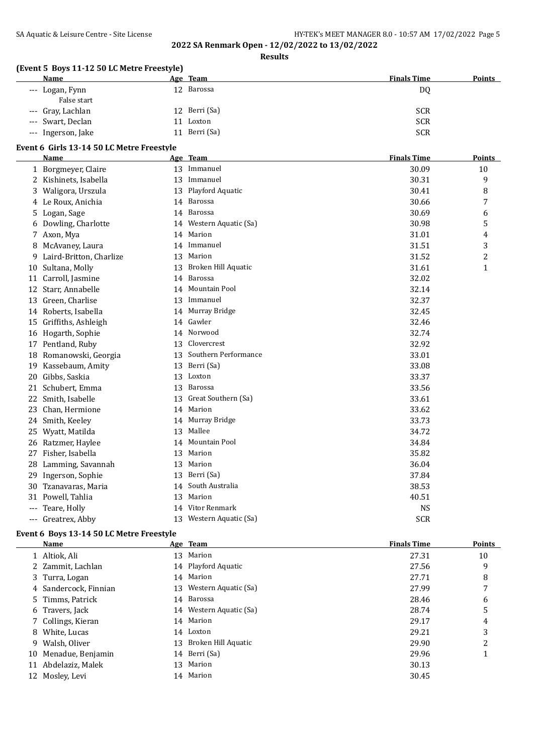## SA Aquatic & Leisure Centre - Site License **HY-TEK's MEET MANAGER 8.0 - 10:57 AM 17/02/2022** Page 5

**2022 SA Renmark Open - 12/02/2022 to 13/02/2022**

**Results**

## **(Event 5 Boys 11-12 50 LC Metre Freestyle)**

| <b>Name</b>                    |    | Age Team      | <b>Finals Time</b> | <b>Points</b> |
|--------------------------------|----|---------------|--------------------|---------------|
| --- Logan, Fynn<br>False start |    | 12 Barossa    | DQ                 |               |
| --- Gray, Lachlan              |    | 12 Berri (Sa) | <b>SCR</b>         |               |
| --- Swart, Declan              |    | Loxton        | <b>SCR</b>         |               |
| --- Ingerson, Jake             | 11 | Berri (Sa)    | <b>SCR</b>         |               |

#### **Event 6 Girls 13-14 50 LC Metre Freestyle**

|       | <b>Name</b>             |    | Age Team                | <b>Finals Time</b> | <b>Points</b> |
|-------|-------------------------|----|-------------------------|--------------------|---------------|
|       | 1 Borgmeyer, Claire     | 13 | Immanuel                | 30.09              | 10            |
|       | 2 Kishinets, Isabella   | 13 | Immanuel                | 30.31              | 9             |
| 3     | Waligora, Urszula       | 13 | Playford Aquatic        | 30.41              | 8             |
|       | 4 Le Roux, Anichia      |    | 14 Barossa              | 30.66              | 7             |
| 5     | Logan, Sage             |    | 14 Barossa              | 30.69              | 6             |
|       | 6 Dowling, Charlotte    |    | 14 Western Aquatic (Sa) | 30.98              | 5             |
|       | 7 Axon, Mya             |    | 14 Marion               | 31.01              | 4             |
|       | 8 McAvaney, Laura       | 14 | Immanuel                | 31.51              | 3             |
| 9     | Laird-Britton, Charlize | 13 | Marion                  | 31.52              | 2             |
| 10    | Sultana, Molly          | 13 | Broken Hill Aquatic     | 31.61              | $\mathbf{1}$  |
| 11    | Carroll, Jasmine        |    | 14 Barossa              | 32.02              |               |
| 12    | Starr, Annabelle        |    | 14 Mountain Pool        | 32.14              |               |
| 13    | Green, Charlise         | 13 | Immanuel                | 32.37              |               |
| 14    | Roberts, Isabella       |    | 14 Murray Bridge        | 32.45              |               |
| 15    | Griffiths, Ashleigh     |    | 14 Gawler               | 32.46              |               |
|       | 16 Hogarth, Sophie      | 14 | Norwood                 | 32.74              |               |
| 17    | Pentland, Ruby          | 13 | Clovercrest             | 32.92              |               |
|       | 18 Romanowski, Georgia  | 13 | Southern Performance    | 33.01              |               |
| 19    | Kassebaum, Amity        | 13 | Berri (Sa)              | 33.08              |               |
| 20    | Gibbs, Saskia           | 13 | Loxton                  | 33.37              |               |
| 21    | Schubert, Emma          | 13 | Barossa                 | 33.56              |               |
| 22    | Smith, Isabelle         | 13 | Great Southern (Sa)     | 33.61              |               |
| 23    | Chan, Hermione          |    | 14 Marion               | 33.62              |               |
| 24    | Smith, Keeley           |    | 14 Murray Bridge        | 33.73              |               |
| 25    | Wyatt, Matilda          | 13 | Mallee                  | 34.72              |               |
|       | 26 Ratzmer, Haylee      | 14 | Mountain Pool           | 34.84              |               |
|       | 27 Fisher, Isabella     | 13 | Marion                  | 35.82              |               |
| 28    | Lamming, Savannah       | 13 | Marion                  | 36.04              |               |
| 29    | Ingerson, Sophie        | 13 | Berri (Sa)              | 37.84              |               |
| 30    | Tzanavaras, Maria       | 14 | South Australia         | 38.53              |               |
| 31    | Powell, Tahlia          | 13 | Marion                  | 40.51              |               |
|       | Teare, Holly            |    | 14 Vitor Renmark        | <b>NS</b>          |               |
| $---$ | Greatrex, Abby          | 13 | Western Aquatic (Sa)    | <b>SCR</b>         |               |

## **Event 6 Boys 13-14 50 LC Metre Freestyle**

 $\overline{a}$ 

| Name                  |    | Age Team                | <b>Finals Time</b> | <b>Points</b> |
|-----------------------|----|-------------------------|--------------------|---------------|
| 1 Altiok, Ali         |    | 13 Marion               | 27.31              | 10            |
| 2 Zammit, Lachlan     |    | 14 Playford Aquatic     | 27.56              | 9             |
| 3 Turra, Logan        |    | 14 Marion               | 27.71              | 8             |
| 4 Sandercock, Finnian |    | 13 Western Aquatic (Sa) | 27.99              | 7             |
| 5 Timms, Patrick      |    | 14 Barossa              | 28.46              | 6             |
| 6 Travers, Jack       |    | 14 Western Aquatic (Sa) | 28.74              | 5             |
| 7 Collings, Kieran    |    | 14 Marion               | 29.17              | 4             |
| 8 White, Lucas        |    | 14 Loxton               | 29.21              | 3             |
| 9 Walsh, Oliver       | 13 | Broken Hill Aquatic     | 29.90              | 2             |
| 10 Menadue, Benjamin  |    | 14 Berri (Sa)           | 29.96              | 1             |
| 11 Abdelaziz, Malek   | 13 | Marion                  | 30.13              |               |
| 12 Moslev, Levi       |    | 14 Marion               | 30.45              |               |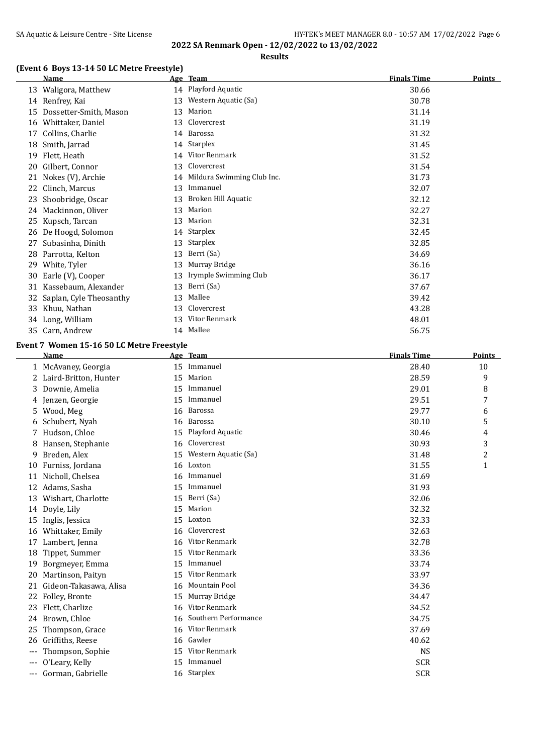## **Results**

## **(Event 6 Boys 13-14 50 LC Metre Freestyle)**

|    | <b>Name</b>             |    | Age Team                      | <b>Finals Time</b> | <b>Points</b> |
|----|-------------------------|----|-------------------------------|--------------------|---------------|
| 13 | Waligora, Matthew       |    | 14 Playford Aquatic           | 30.66              |               |
|    | 14 Renfrey, Kai         |    | 13 Western Aquatic (Sa)       | 30.78              |               |
| 15 | Dossetter-Smith, Mason  | 13 | Marion                        | 31.14              |               |
| 16 | Whittaker, Daniel       |    | 13 Clovercrest                | 31.19              |               |
| 17 | Collins, Charlie        |    | 14 Barossa                    | 31.32              |               |
| 18 | Smith, Jarrad           |    | 14 Starplex                   | 31.45              |               |
| 19 | Flett, Heath            |    | 14 Vitor Renmark              | 31.52              |               |
| 20 | Gilbert, Connor         | 13 | Clovercrest                   | 31.54              |               |
| 21 | Nokes (V), Archie       |    | 14 Mildura Swimming Club Inc. | 31.73              |               |
| 22 | Clinch, Marcus          | 13 | Immanuel                      | 32.07              |               |
| 23 | Shoobridge, Oscar       | 13 | Broken Hill Aquatic           | 32.12              |               |
| 24 | Mackinnon, Oliver       | 13 | Marion                        | 32.27              |               |
| 25 | Kupsch, Tarcan          | 13 | Marion                        | 32.31              |               |
| 26 | De Hoogd, Solomon       |    | 14 Starplex                   | 32.45              |               |
| 27 | Subasinha, Dinith       | 13 | Starplex                      | 32.85              |               |
| 28 | Parrotta, Kelton        | 13 | Berri (Sa)                    | 34.69              |               |
| 29 | White, Tyler            | 13 | Murray Bridge                 | 36.16              |               |
| 30 | Earle (V), Cooper       | 13 | Irymple Swimming Club         | 36.17              |               |
| 31 | Kassebaum, Alexander    | 13 | Berri (Sa)                    | 37.67              |               |
| 32 | Saplan, Cyle Theosanthy | 13 | Mallee                        | 39.42              |               |
| 33 | Khuu, Nathan            | 13 | Clovercrest                   | 43.28              |               |
| 34 | Long, William           | 13 | Vitor Renmark                 | 48.01              |               |
| 35 | Carn, Andrew            |    | 14 Mallee                     | 56.75              |               |

### **Event 7 Women 15-16 50 LC Metre Freestyle**

|    | Name                   |    | Age Team             | <b>Finals Time</b> | <b>Points</b> |
|----|------------------------|----|----------------------|--------------------|---------------|
|    | McAvaney, Georgia      | 15 | Immanuel             | 28.40              | 10            |
|    | Laird-Britton, Hunter  | 15 | Marion               | 28.59              | 9             |
| 3  | Downie, Amelia         | 15 | Immanuel             | 29.01              | 8             |
| 4  | Jenzen, Georgie        | 15 | Immanuel             | 29.51              | 7             |
| 5  | Wood, Meg              | 16 | Barossa              | 29.77              | 6             |
|    | Schubert, Nyah         | 16 | Barossa              | 30.10              | 5             |
|    | Hudson, Chloe          | 15 | Playford Aquatic     | 30.46              | 4             |
|    | Hansen, Stephanie      | 16 | Clovercrest          | 30.93              | 3             |
| 9  | Breden, Alex           | 15 | Western Aquatic (Sa) | 31.48              | 2             |
| 10 | Furniss, Jordana       | 16 | Loxton               | 31.55              | $\mathbf{1}$  |
| 11 | Nicholl, Chelsea       | 16 | Immanuel             | 31.69              |               |
| 12 | Adams, Sasha           | 15 | Immanuel             | 31.93              |               |
| 13 | Wishart, Charlotte     | 15 | Berri (Sa)           | 32.06              |               |
| 14 | Doyle, Lily            | 15 | Marion               | 32.32              |               |
| 15 | Inglis, Jessica        | 15 | Loxton               | 32.33              |               |
| 16 | Whittaker, Emily       | 16 | Clovercrest          | 32.63              |               |
| 17 | Lambert, Jenna         | 16 | Vitor Renmark        | 32.78              |               |
| 18 | Tippet, Summer         | 15 | Vitor Renmark        | 33.36              |               |
| 19 | Borgmeyer, Emma        | 15 | Immanuel             | 33.74              |               |
| 20 | Martinson, Paityn      | 15 | Vitor Renmark        | 33.97              |               |
| 21 | Gideon-Takasawa, Alisa | 16 | Mountain Pool        | 34.36              |               |
| 22 | Folley, Bronte         | 15 | Murray Bridge        | 34.47              |               |
| 23 | Flett, Charlize        | 16 | Vitor Renmark        | 34.52              |               |
| 24 | Brown, Chloe           | 16 | Southern Performance | 34.75              |               |
| 25 | Thompson, Grace        | 16 | Vitor Renmark        | 37.69              |               |
| 26 | Griffiths, Reese       | 16 | Gawler               | 40.62              |               |
|    | Thompson, Sophie       | 15 | Vitor Renmark        | <b>NS</b>          |               |
|    | O'Leary, Kelly         | 15 | Immanuel             | <b>SCR</b>         |               |
|    | Gorman, Gabrielle      |    | 16 Starplex          | <b>SCR</b>         |               |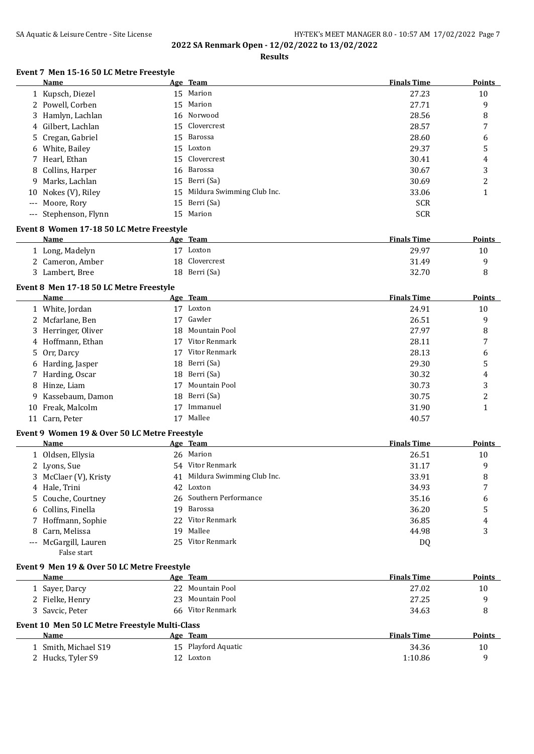#### SA Aquatic & Leisure Centre - Site License **HY-TEK's MEET MANAGER 8.0 - 10:57 AM 17/02/2022** Page 7 **2022 SA Renmark Open - 12/02/2022 to 13/02/2022**

#### **Results**

## **Event 7 Men 15-16 50 LC Metre Freestyle**

| Name                  | Age Team                      | <b>Finals Time</b> | <b>Points</b> |
|-----------------------|-------------------------------|--------------------|---------------|
| 1 Kupsch, Diezel      | 15 Marion                     | 27.23              | 10            |
| 2 Powell, Corben      | 15 Marion                     | 27.71              | 9             |
| 3 Hamlyn, Lachlan     | 16 Norwood                    | 28.56              | 8             |
| 4 Gilbert, Lachlan    | 15 Clovercrest                | 28.57              | 7             |
| 5 Cregan, Gabriel     | 15 Barossa                    | 28.60              | 6             |
| 6 White, Bailey       | 15 Loxton                     | 29.37              | 5             |
| 7 Hearl, Ethan        | 15 Clovercrest                | 30.41              | 4             |
| 8 Collins, Harper     | 16 Barossa                    | 30.67              | 3             |
| 9 Marks, Lachlan      | 15 Berri (Sa)                 | 30.69              | າ             |
| 10 Nokes (V), Riley   | 15 Mildura Swimming Club Inc. | 33.06              |               |
| --- Moore, Rory       | 15 Berri (Sa)                 | <b>SCR</b>         |               |
| --- Stephenson, Flynn | 15 Marion                     | <b>SCR</b>         |               |
|                       |                               |                    |               |

#### **Event 8 Women 17-18 50 LC Metre Freestyle**

| <b>Name</b>      | Age Team       | <b>Finals Time</b> | <b>Points</b> |
|------------------|----------------|--------------------|---------------|
| 1 Long, Madelyn  | 17<br>Loxton   | 29.97              | 10            |
| 2 Cameron, Amber | 18 Clovercrest | 31.49              |               |
| 3 Lambert, Bree  | 18 Berri (Sa)  | 32.70              |               |

## **Event 8 Men 17-18 50 LC Metre Freestyle**

|    | Name                |    | Age Team         | <b>Finals Time</b> | Points |
|----|---------------------|----|------------------|--------------------|--------|
|    | 1 White, Jordan     | 17 | Loxton           | 24.91              | 10     |
|    | 2 Mcfarlane, Ben    | 17 | Gawler           | 26.51              | 9      |
|    | 3 Herringer, Oliver |    | 18 Mountain Pool | 27.97              | 8      |
|    | 4 Hoffmann, Ethan   | 17 | Vitor Renmark    | 28.11              | 7      |
|    | 5 Orr, Darcy        | 17 | Vitor Renmark    | 28.13              | 6      |
|    | 6 Harding, Jasper   |    | 18 Berri (Sa)    | 29.30              | 5      |
|    | 7 Harding, Oscar    |    | 18 Berri (Sa)    | 30.32              | 4      |
|    | 8 Hinze, Liam       | 17 | Mountain Pool    | 30.73              | 3      |
|    | 9 Kassebaum, Damon  |    | 18 Berri (Sa)    | 30.75              | C<br>∠ |
| 10 | Freak, Malcolm      |    | Immanuel         | 31.90              |        |
|    | 11 Carn, Peter      |    | Mallee           | 40.57              |        |

#### **Event 9 Women 19 & Over 50 LC Metre Freestyle**

| Name                  |     | Age Team                      | <b>Finals Time</b> | <b>Points</b> |
|-----------------------|-----|-------------------------------|--------------------|---------------|
| 1 Oldsen, Ellysia     |     | 26 Marion                     | 26.51              | 10            |
| 2 Lyons, Sue          |     | 54 Vitor Renmark              | 31.17              | 9             |
| 3 McClaer (V), Kristy |     | 41 Mildura Swimming Club Inc. | 33.91              | 8             |
| 4 Hale, Trini         |     | 42 Loxton                     | 34.93              | 7             |
| 5 Couche, Courtney    |     | 26 Southern Performance       | 35.16              | 6             |
| 6 Collins, Finella    |     | 19 Barossa                    | 36.20              | 5             |
| 7 Hoffmann, Sophie    |     | 22 Vitor Renmark              | 36.85              | 4             |
| 8 Carn, Melissa       | 19. | Mallee                        | 44.98              | 3             |
| --- McGargill, Lauren |     | 25 Vitor Renmark              | DQ                 |               |

| False start |  |
|-------------|--|

## **Event 9 Men 19 & Over 50 LC Metre Freestyle**

| Name                 | Age Team                                       | <b>Finals Time</b> | Points        |  |  |  |
|----------------------|------------------------------------------------|--------------------|---------------|--|--|--|
| 1 Sayer, Darcy       | 22 Mountain Pool                               | 27.02              | 10            |  |  |  |
| 2 Fielke, Henry      | 23 Mountain Pool                               | 27.25              | 9             |  |  |  |
| 3 Savcic, Peter      | 66 Vitor Renmark                               | 34.63              | 8             |  |  |  |
|                      | Event 10 Men 50 LC Metre Freestyle Multi-Class |                    |               |  |  |  |
| Name                 | Age Team                                       | <b>Finals Time</b> | <b>Points</b> |  |  |  |
| 1 Smith, Michael S19 | 15 Playford Aquatic                            | 34.36              | 10            |  |  |  |
| 2 Hucks, Tyler S9    | 12 Loxton                                      | 1:10.86            | q             |  |  |  |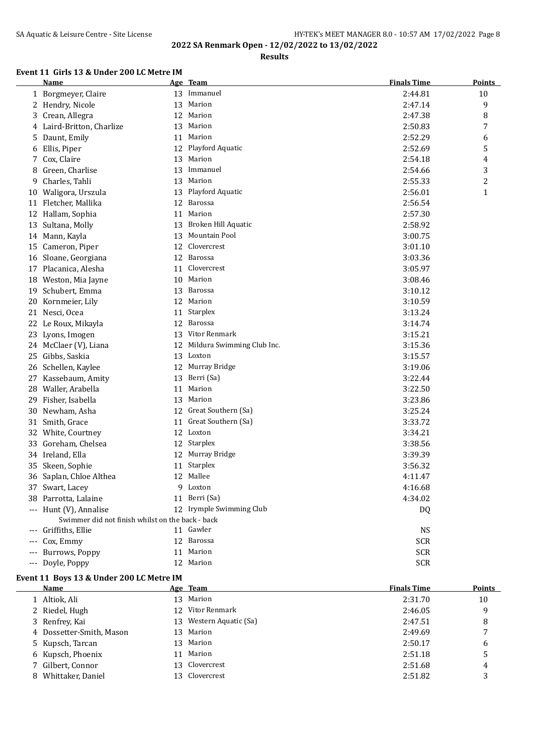## SA Aquatic & Leisure Centre - Site License **HY-TEK's MEET MANAGER 8.0 - 10:57 AM 17/02/2022** Page 8 **2022 SA Renmark Open - 12/02/2022 to 13/02/2022**

**Results**

## **Event 11 Girls 13 & Under 200 LC Metre IM**

|    | Name                                             |    | Age Team                   | <b>Finals Time</b> | <b>Points</b> |
|----|--------------------------------------------------|----|----------------------------|--------------------|---------------|
|    | 1 Borgmeyer, Claire                              |    | 13 Immanuel                | 2:44.81            | 10            |
| 2  | Hendry, Nicole                                   | 13 | Marion                     | 2:47.14            | 9             |
| 3  | Crean, Allegra                                   | 12 | Marion                     | 2:47.38            | 8             |
| 4  | Laird-Britton, Charlize                          | 13 | Marion                     | 2:50.83            | 7             |
| 5  | Daunt, Emily                                     | 11 | Marion                     | 2:52.29            | 6             |
| 6  | Ellis, Piper                                     | 12 | Playford Aquatic           | 2:52.69            | 5             |
| 7  | Cox, Claire                                      | 13 | Marion                     | 2:54.18            | 4             |
| 8  | Green, Charlise                                  | 13 | Immanuel                   | 2:54.66            | 3             |
| 9  | Charles, Tahli                                   | 13 | Marion                     | 2:55.33            | 2             |
|    | 10 Waligora, Urszula                             | 13 | Playford Aquatic           | 2:56.01            | $\mathbf{1}$  |
| 11 | Fletcher, Mallika                                | 12 | Barossa                    | 2:56.54            |               |
| 12 | Hallam, Sophia                                   | 11 | Marion                     | 2:57.30            |               |
| 13 | Sultana, Molly                                   | 13 | Broken Hill Aquatic        | 2:58.92            |               |
| 14 | Mann, Kayla                                      | 13 | Mountain Pool              | 3:00.75            |               |
| 15 | Cameron, Piper                                   | 12 | Clovercrest                | 3:01.10            |               |
|    | 16 Sloane, Georgiana                             | 12 | Barossa                    | 3:03.36            |               |
| 17 | Placanica, Alesha                                | 11 | Clovercrest                | 3:05.97            |               |
|    | 18 Weston, Mia Jayne                             | 10 | Marion                     | 3:08.46            |               |
| 19 | Schubert, Emma                                   | 13 | Barossa                    | 3:10.12            |               |
| 20 | Kornmeier, Lily                                  |    | 12 Marion                  | 3:10.59            |               |
|    | 21 Nesci, Ocea                                   | 11 | <b>Starplex</b>            | 3:13.24            |               |
|    | 22 Le Roux, Mikayla                              | 12 | <b>Barossa</b>             | 3:14.74            |               |
| 23 | Lyons, Imogen                                    | 13 | Vitor Renmark              | 3:15.21            |               |
|    | 24 McClaer (V), Liana                            | 12 | Mildura Swimming Club Inc. | 3:15.36            |               |
| 25 | Gibbs, Saskia                                    | 13 | Loxton                     | 3:15.57            |               |
|    | 26 Schellen, Kaylee                              | 12 | Murray Bridge              | 3:19.06            |               |
| 27 | Kassebaum, Amity                                 | 13 | Berri (Sa)                 | 3:22.44            |               |
| 28 | Waller, Arabella                                 | 11 | Marion                     | 3:22.50            |               |
| 29 | Fisher, Isabella                                 | 13 | Marion                     | 3:23.86            |               |
| 30 | Newham, Asha                                     |    | 12 Great Southern (Sa)     | 3:25.24            |               |
|    | 31 Smith, Grace                                  | 11 | Great Southern (Sa)        | 3:33.72            |               |
|    | 32 White, Courtney                               |    | 12 Loxton                  | 3:34.21            |               |
| 33 | Goreham, Chelsea                                 | 12 | Starplex                   | 3:38.56            |               |
|    | 34 Ireland, Ella                                 | 12 | Murray Bridge              | 3:39.39            |               |
| 35 | Skeen, Sophie                                    | 11 | Starplex                   | 3:56.32            |               |
|    | 36 Saplan, Chloe Althea                          |    | 12 Mallee                  | 4:11.47            |               |
|    | 37 Swart, Lacey                                  |    | 9 Loxton                   | 4:16.68            |               |
|    | 38 Parrotta, Lalaine                             |    | 11 Berri (Sa)              | 4:34.02            |               |
|    | --- Hunt (V), Annalise                           |    | 12 Irymple Swimming Club   | DQ                 |               |
|    | Swimmer did not finish whilst on the back - back |    |                            |                    |               |
|    | --- Griffiths, Ellie                             |    | 11 Gawler                  | <b>NS</b>          |               |
|    | --- Cox, Emmy                                    |    | 12 Barossa                 | <b>SCR</b>         |               |
|    | --- Burrows, Poppy                               |    | 11 Marion                  | <b>SCR</b>         |               |
|    | --- Doyle, Poppy                                 |    | 12 Marion                  | <b>SCR</b>         |               |

#### **Event 11 Boys 13 & Under 200 LC Metre IM**

| <b>Name</b>              |    | Age Team                | <b>Finals Time</b> | <b>Points</b> |
|--------------------------|----|-------------------------|--------------------|---------------|
| 1 Altiok, Ali            |    | 13 Marion               | 2:31.70            | 10            |
| 2 Riedel, Hugh           |    | 12 Vitor Renmark        | 2:46.05            | 9             |
| 3 Renfrey, Kai           |    | 13 Western Aquatic (Sa) | 2:47.51            | 8             |
| 4 Dossetter-Smith, Mason |    | 13 Marion               | 2:49.69            |               |
| 5 Kupsch, Tarcan         |    | 13 Marion               | 2:50.17            | 6             |
| 6 Kupsch, Phoenix        | 11 | Marion                  | 2:51.18            | 5             |
| 7 Gilbert, Connor        |    | 13 Clovercrest          | 2:51.68            | 4             |
| 8 Whittaker, Daniel      |    | 13 Clovercrest          | 2:51.82            |               |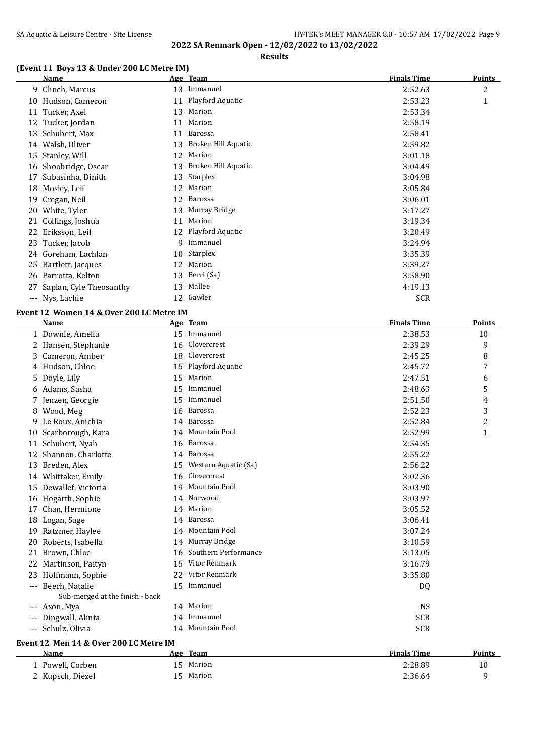**Results**

## **(Event 11 Boys 13 & Under 200 LC Metre IM)**

|       | Name                    |    | Age Team            | <b>Finals Time</b> | <b>Points</b>  |
|-------|-------------------------|----|---------------------|--------------------|----------------|
|       | 9 Clinch, Marcus        | 13 | Immanuel            | 2:52.63            | $\overline{c}$ |
| 10    | Hudson, Cameron         | 11 | Playford Aquatic    | 2:53.23            | 1              |
| 11    | Tucker, Axel            | 13 | Marion              | 2:53.34            |                |
| 12    | Tucker, Jordan          | 11 | Marion              | 2:58.19            |                |
| 13    | Schubert, Max           | 11 | Barossa             | 2:58.41            |                |
| 14    | Walsh, Oliver           | 13 | Broken Hill Aquatic | 2:59.82            |                |
| 15    | Stanley, Will           | 12 | Marion              | 3:01.18            |                |
| 16    | Shoobridge, Oscar       | 13 | Broken Hill Aquatic | 3:04.49            |                |
| 17    | Subasinha, Dinith       | 13 | Starplex            | 3:04.98            |                |
| 18    | Mosley, Leif            | 12 | Marion              | 3:05.84            |                |
| 19    | Cregan, Neil            | 12 | Barossa             | 3:06.01            |                |
| 20    | White, Tyler            | 13 | Murray Bridge       | 3:17.27            |                |
| 21    | Collings, Joshua        | 11 | Marion              | 3:19.34            |                |
| 22    | Eriksson, Leif          |    | 12 Playford Aquatic | 3:20.49            |                |
|       | 23 Tucker, Jacob        | 9  | Immanuel            | 3:24.94            |                |
|       | 24 Goreham, Lachlan     | 10 | Starplex            | 3:35.39            |                |
| 25    | Bartlett, Jacques       | 12 | Marion              | 3:39.27            |                |
| 26    | Parrotta, Kelton        | 13 | Berri (Sa)          | 3:58.90            |                |
| 27    | Saplan, Cyle Theosanthy | 13 | Mallee              | 4:19.13            |                |
| $---$ | Nys, Lachie             |    | 12 Gawler           | <b>SCR</b>         |                |

#### **Event 12 Women 14 & Over 200 LC Metre IM**

|       | <b>Name</b>                            |    | Age Team             | <b>Finals Time</b> | <b>Points</b>  |
|-------|----------------------------------------|----|----------------------|--------------------|----------------|
|       | 1 Downie, Amelia                       |    | 15 Immanuel          | 2:38.53            | 10             |
|       | 2 Hansen, Stephanie                    | 16 | Clovercrest          | 2:39.29            | 9              |
| 3     | Cameron, Amber                         | 18 | Clovercrest          | 2:45.25            | 8              |
|       | 4 Hudson, Chloe                        | 15 | Playford Aquatic     | 2:45.72            | 7              |
| 5     | Doyle, Lily                            | 15 | Marion               | 2:47.51            | 6              |
|       | 6 Adams, Sasha                         | 15 | Immanuel             | 2:48.63            | 5              |
| 7.    | Jenzen, Georgie                        | 15 | Immanuel             | 2:51.50            | 4              |
|       | 8 Wood, Meg                            | 16 | Barossa              | 2:52.23            | 3              |
| 9     | Le Roux, Anichia                       |    | 14 Barossa           | 2:52.84            | $\overline{c}$ |
| 10    | Scarborough, Kara                      | 14 | Mountain Pool        | 2:52.99            | $\mathbf{1}$   |
| 11    | Schubert, Nyah                         |    | 16 Barossa           | 2:54.35            |                |
| 12    | Shannon, Charlotte                     |    | 14 Barossa           | 2:55.22            |                |
| 13    | Breden, Alex                           | 15 | Western Aquatic (Sa) | 2:56.22            |                |
| 14    | Whittaker, Emily                       | 16 | Clovercrest          | 3:02.36            |                |
| 15    | Dewallef, Victoria                     | 19 | Mountain Pool        | 3:03.90            |                |
| 16    | Hogarth, Sophie                        | 14 | Norwood              | 3:03.97            |                |
| 17    | Chan, Hermione                         | 14 | Marion               | 3:05.52            |                |
| 18    | Logan, Sage                            |    | 14 Barossa           | 3:06.41            |                |
| 19    | Ratzmer, Haylee                        |    | 14 Mountain Pool     | 3:07.24            |                |
| 20    | Roberts, Isabella                      |    | 14 Murray Bridge     | 3:10.59            |                |
| 21    | Brown, Chloe                           | 16 | Southern Performance | 3:13.05            |                |
| 22    | Martinson, Paityn                      |    | 15 Vitor Renmark     | 3:16.79            |                |
| 23    | Hoffmann, Sophie                       |    | 22 Vitor Renmark     | 3:35.80            |                |
|       | --- Beech, Natalie                     | 15 | Immanuel             | DQ                 |                |
|       | Sub-merged at the finish - back        |    |                      |                    |                |
|       | --- Axon, Mya                          |    | 14 Marion            | <b>NS</b>          |                |
| $---$ | Dingwall, Alinta                       |    | 14 Immanuel          | <b>SCR</b>         |                |
|       | --- Schulz, Olivia                     |    | 14 Mountain Pool     | <b>SCR</b>         |                |
|       | Event 12 Men 14 & Over 200 LC Metre IM |    |                      |                    |                |
|       | Name                                   |    | Age Team             | <b>Finals Time</b> | <b>Points</b>  |
|       | 1 Powell, Corben                       | 15 | Marion               | 2:28.89            | 10             |
|       | 2 Kupsch, Diezel                       | 15 | Marion               | 2:36.64            | 9              |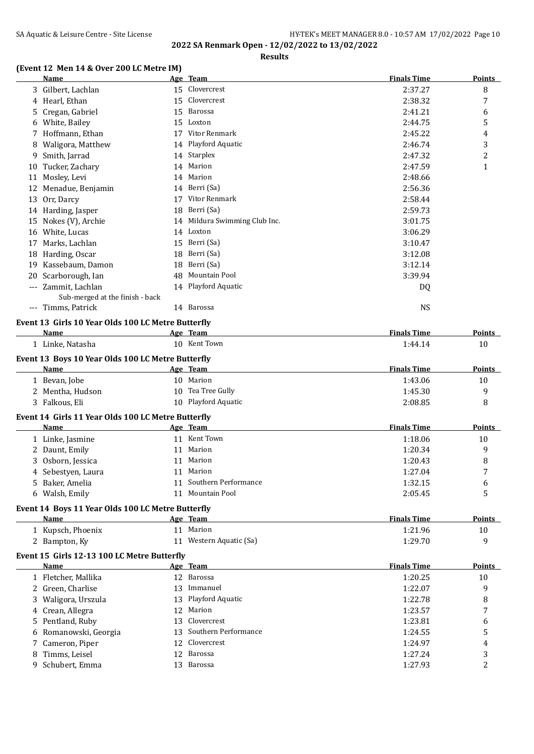# SA Aquatic & Leisure Centre - Site License **HY-TEK's MEET MANAGER 8.0 - 10:57 AM 17/02/2022** Page 10

**2022 SA Renmark Open - 12/02/2022 to 13/02/2022**

## **Results**

## **(Event 12 Men 14 & Over 200 LC Metre IM)**

|       | <b>Name</b>                                        |    | Age Team                   | <b>Finals Time</b> | <b>Points</b> |
|-------|----------------------------------------------------|----|----------------------------|--------------------|---------------|
| 3     | Gilbert, Lachlan                                   | 15 | Clovercrest                | 2:37.27            | 8             |
|       | 4 Hearl, Ethan                                     |    | 15 Clovercrest             | 2:38.32            | 7             |
| 5.    | Cregan, Gabriel                                    | 15 | Barossa                    | 2:41.21            | 6             |
| 6     | White, Bailey                                      | 15 | Loxton                     | 2:44.75            | 5             |
|       | Hoffmann, Ethan                                    | 17 | Vitor Renmark              | 2:45.22            | 4             |
| 8     | Waligora, Matthew                                  |    | 14 Playford Aquatic        | 2:46.74            | 3             |
| 9     | Smith, Jarrad                                      |    | 14 Starplex                | 2:47.32            | 2             |
| 10    | Tucker, Zachary                                    |    | 14 Marion                  | 2:47.59            | 1             |
| 11    | Mosley, Levi                                       |    | 14 Marion                  | 2:48.66            |               |
| 12    | Menadue, Benjamin                                  |    | 14 Berri (Sa)              | 2:56.36            |               |
| 13    | Orr, Darcy                                         | 17 | Vitor Renmark              | 2:58.44            |               |
| 14    | Harding, Jasper                                    | 18 | Berri (Sa)                 | 2:59.73            |               |
| 15    | Nokes (V), Archie                                  | 14 | Mildura Swimming Club Inc. | 3:01.75            |               |
| 16    | White, Lucas                                       |    | 14 Loxton                  | 3:06.29            |               |
| 17    | Marks, Lachlan                                     | 15 | Berri (Sa)                 | 3:10.47            |               |
| 18    | Harding, Oscar                                     | 18 | Berri (Sa)                 | 3:12.08            |               |
| 19    | Kassebaum, Damon                                   | 18 | Berri (Sa)                 | 3:12.14            |               |
| 20    | Scarborough, Ian                                   | 48 | Mountain Pool              | 3:39.94            |               |
| $---$ | Zammit, Lachlan<br>Sub-merged at the finish - back |    | 14 Playford Aquatic        | DQ                 |               |
| $---$ | Timms, Patrick                                     |    | 14 Barossa                 | <b>NS</b>          |               |
|       | Event 13 Girls 10 Year Olds 100 LC Metre Butterfly |    |                            |                    |               |
|       |                                                    |    |                            |                    |               |

|    | <b>Name</b>                                        |    | Age Team                | <b>Finals Time</b> | <b>Points</b>  |
|----|----------------------------------------------------|----|-------------------------|--------------------|----------------|
|    | 1 Linke, Natasha                                   |    | 10 Kent Town            | 1:44.14            | 10             |
|    | Event 13 Boys 10 Year Olds 100 LC Metre Butterfly  |    |                         |                    |                |
|    | <b>Name</b>                                        |    | Age Team                | <b>Finals Time</b> | <b>Points</b>  |
|    | 1 Bevan, Jobe                                      |    | 10 Marion               | 1:43.06            | 10             |
|    | 2 Mentha, Hudson                                   |    | 10 Tea Tree Gully       | 1:45.30            | 9              |
|    | 3 Falkous, Eli                                     |    | 10 Playford Aquatic     | 2:08.85            | 8              |
|    | Event 14 Girls 11 Year Olds 100 LC Metre Butterfly |    |                         |                    |                |
|    | Name                                               |    | Age Team                | <b>Finals Time</b> | <b>Points</b>  |
|    | 1 Linke, Jasmine                                   |    | 11 Kent Town            | 1:18.06            | 10             |
|    | 2 Daunt, Emily                                     | 11 | Marion                  | 1:20.34            | 9              |
|    | 3 Osborn, Jessica                                  | 11 | Marion                  | 1:20.43            | 8              |
|    | 4 Sebestyen, Laura                                 | 11 | Marion                  | 1:27.04            | 7              |
| 5. | Baker, Amelia                                      | 11 | Southern Performance    | 1:32.15            | 6              |
|    | 6 Walsh, Emily                                     |    | 11 Mountain Pool        | 2:05.45            | 5              |
|    | Event 14 Boys 11 Year Olds 100 LC Metre Butterfly  |    |                         |                    |                |
|    | <b>Name</b>                                        |    | Age Team                | <b>Finals Time</b> | Points         |
|    | 1 Kupsch, Phoenix                                  |    | 11 Marion               | 1:21.96            | 10             |
|    | 2 Bampton, Ky                                      |    | 11 Western Aquatic (Sa) | 1:29.70            | 9              |
|    | Event 15 Girls 12-13 100 LC Metre Butterfly        |    |                         |                    |                |
|    | Name                                               |    | Age Team                | <b>Finals Time</b> | <b>Points</b>  |
|    | 1 Fletcher, Mallika                                | 12 | Barossa                 | 1:20.25            | 10             |
|    | 2 Green, Charlise                                  | 13 | Immanuel                | 1:22.07            | 9              |
| 3  | Waligora, Urszula                                  | 13 | Playford Aquatic        | 1:22.78            | 8              |
|    | 4 Crean, Allegra                                   | 12 | Marion                  | 1:23.57            | 7              |
| 5. | Pentland, Ruby                                     | 13 | Clovercrest             | 1:23.81            | 6              |
|    | Romanowski, Georgia                                | 13 | Southern Performance    | 1:24.55            | 5              |
|    | Cameron, Piper                                     | 12 | Clovercrest             | 1:24.97            | 4              |
| 8  | Timms, Leisel                                      | 12 | Barossa                 | 1:27.24            | 3              |
| 9  | Schubert, Emma                                     | 13 | Barossa                 | 1:27.93            | $\overline{c}$ |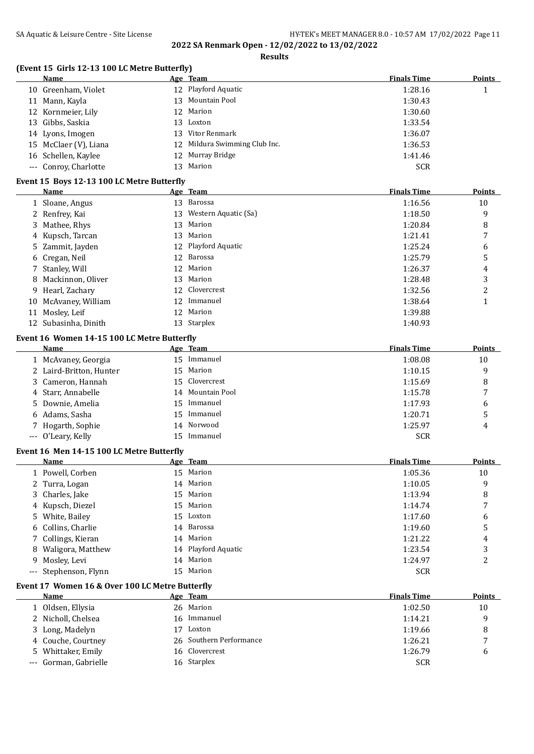**Results**

## **(Event 15 Girls 12-13 100 LC Metre Butterfly)**

|    | <b>Name</b>                                |    | Age Team                   | <b>Finals Time</b> | <b>Points</b> |
|----|--------------------------------------------|----|----------------------------|--------------------|---------------|
|    | 10 Greenham, Violet                        |    | 12 Playford Aquatic        | 1:28.16            | 1<br>т        |
| 11 | Mann, Kayla                                |    | 13 Mountain Pool           | 1:30.43            |               |
|    | 12 Kornmeier, Lily                         |    | 12 Marion                  | 1:30.60            |               |
| 13 | Gibbs, Saskia                              |    | 13 Loxton                  | 1:33.54            |               |
|    | 14 Lyons, Imogen                           | 13 | Vitor Renmark              | 1:36.07            |               |
| 15 | McClaer (V), Liana                         | 12 | Mildura Swimming Club Inc. | 1:36.53            |               |
|    | 16 Schellen, Kaylee                        |    | 12 Murray Bridge           | 1:41.46            |               |
|    | --- Conroy, Charlotte                      | 13 | Marion                     | <b>SCR</b>         |               |
|    | Event 15 Boys 12-13 100 LC Metre Butterfly |    |                            |                    |               |
|    | <b>Name</b>                                |    | Age Team                   | <b>Finals Time</b> | <b>Points</b> |
|    | 1 Sloane, Angus                            | 13 | Barossa                    | 1:16.56            | 10            |
|    | 2 Renfrey, Kai                             |    | 13 Western Aquatic (Sa)    | 1:18.50            | 9             |
|    | 3 Mathee, Rhys                             | 13 | Marion                     | 1:20.84            | 8             |
|    | 4 Kupsch, Tarcan                           |    | 13 Marion                  | 1:21.41            | 7             |

| 5 Zammit, Jayden     | 12 Playford Aquatic | 1:25.24 |   |
|----------------------|---------------------|---------|---|
| 6 Cregan, Neil       | 12 Barossa          | 1:25.79 | 5 |
| 7 Stanley, Will      | 12 Marion           | 1:26.37 | 4 |
| 8 Mackinnon, Oliver  | Marion<br>13.       | 1:28.48 | 3 |
| 9 Hearl, Zachary     | 12 Clovercrest      | 1:32.56 | 2 |
| 10 McAvaney, William | 12 Immanuel         | 1:38.64 |   |
| 11 Mosley, Leif      | 12 Marion           | 1:39.88 |   |
| 12 Subasinha, Dinith | Starplex<br>13.     | 1:40.93 |   |

#### **Event 16 Women 14-15 100 LC Metre Butterfly**

| Name                    |     | Age Team         | <b>Finals Time</b> | <b>Points</b> |
|-------------------------|-----|------------------|--------------------|---------------|
| 1 McAvaney, Georgia     | 15  | Immanuel         | 1:08.08            | 10            |
| 2 Laird-Britton, Hunter |     | 15 Marion        | 1:10.15            | 9             |
| 3 Cameron, Hannah       |     | 15 Clovercrest   | 1:15.69            | 8             |
| 4 Starr, Annabelle      |     | 14 Mountain Pool | 1:15.78            |               |
| 5 Downie, Amelia        | 15. | Immanuel         | 1:17.93            | 6             |
| 6 Adams, Sasha          | 15. | Immanuel         | 1:20.71            |               |
| 7 Hogarth, Sophie       |     | 14 Norwood       | 1:25.97            | 4             |
| --- O'Leary, Kelly      |     | Immanuel         | <b>SCR</b>         |               |

#### **Event 16 Men 14-15 100 LC Metre Butterfly**

| Name                  | Age Team            | <b>Finals Time</b> | <b>Points</b> |
|-----------------------|---------------------|--------------------|---------------|
| 1 Powell, Corben      | 15 Marion           | 1:05.36            | 10            |
| 2 Turra, Logan        | 14 Marion           | 1:10.05            | 9             |
| 3 Charles, Jake       | 15 Marion           | 1:13.94            | 8             |
| 4 Kupsch, Diezel      | 15 Marion           | 1:14.74            | 7             |
| 5 White, Bailey       | 15 Loxton           | 1:17.60            | 6             |
| 6 Collins, Charlie    | 14 Barossa          | 1:19.60            | 5             |
| 7 Collings, Kieran    | 14 Marion           | 1:21.22            | 4             |
| 8 Waligora, Matthew   | 14 Playford Aquatic | 1:23.54            | 3             |
| 9 Mosley, Levi        | 14 Marion           | 1:24.97            | 2             |
| --- Stephenson, Flynn | 15 Marion           | <b>SCR</b>         |               |

#### **Event 17 Women 16 & Over 100 LC Metre Butterfly**

| Name |                                                                                                                                 |        | <b>Finals Time</b>                                                                               | Points                   |
|------|---------------------------------------------------------------------------------------------------------------------------------|--------|--------------------------------------------------------------------------------------------------|--------------------------|
|      |                                                                                                                                 |        | 1:02.50                                                                                          | 10                       |
|      |                                                                                                                                 |        | 1:14.21                                                                                          | q                        |
|      | 17                                                                                                                              | Loxton | 1:19.66                                                                                          | 8                        |
|      |                                                                                                                                 |        | 1:26.21                                                                                          | $\overline{\phantom{a}}$ |
|      |                                                                                                                                 |        | 1:26.79                                                                                          | b                        |
|      |                                                                                                                                 |        | <b>SCR</b>                                                                                       |                          |
|      | 1 Oldsen, Ellysia<br>2 Nicholl, Chelsea<br>3 Long, Madelyn<br>4 Couche, Courtney<br>5 Whittaker, Emily<br>--- Gorman, Gabrielle |        | Age Team<br>26 Marion<br>16 Immanuel<br>26 Southern Performance<br>16 Clovercrest<br>16 Starplex |                          |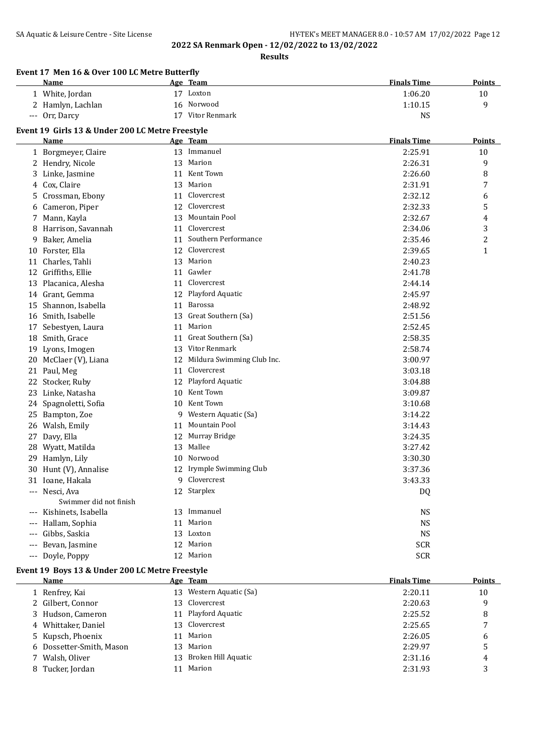**Results**

|       | Event 17 Men 16 & Over 100 LC Metre Butterfly<br>Name |    | Age Team                      | <b>Finals Time</b> | Points        |
|-------|-------------------------------------------------------|----|-------------------------------|--------------------|---------------|
|       | 1 White, Jordan                                       |    | 17 Loxton                     | 1:06.20            | 10            |
|       | 2 Hamlyn, Lachlan                                     |    | 16 Norwood                    | 1:10.15            | 9             |
|       | --- Orr, Darcy                                        |    | 17 Vitor Renmark              | <b>NS</b>          |               |
|       | Event 19 Girls 13 & Under 200 LC Metre Freestyle      |    |                               |                    |               |
|       | Name                                                  |    | Age Team                      | <b>Finals Time</b> | <b>Points</b> |
|       | 1 Borgmeyer, Claire                                   |    | 13 Immanuel                   | 2:25.91            | 10            |
|       | 2 Hendry, Nicole                                      |    | 13 Marion                     | 2:26.31            | 9             |
|       | 3 Linke, Jasmine                                      |    | 11 Kent Town                  | 2:26.60            | 8             |
| 4     | Cox, Claire                                           |    | 13 Marion                     | 2:31.91            | 7             |
| 5     | Crossman, Ebony                                       | 11 | Clovercrest                   | 2:32.12            | 6             |
| 6     | Cameron, Piper                                        | 12 | Clovercrest                   | 2:32.33            | 5             |
| 7     | Mann, Kayla                                           | 13 | Mountain Pool                 | 2:32.67            | 4             |
| 8     | Harrison, Savannah                                    | 11 | Clovercrest                   | 2:34.06            | 3             |
| 9     | Baker, Amelia                                         | 11 | Southern Performance          | 2:35.46            | 2             |
| 10    | Forster, Ella                                         | 12 | Clovercrest                   | 2:39.65            | $\mathbf{1}$  |
|       | 11 Charles, Tahli                                     |    | 13 Marion                     | 2:40.23            |               |
| 12    | Griffiths, Ellie                                      |    | 11 Gawler                     | 2:41.78            |               |
| 13    | Placanica, Alesha                                     |    | 11 Clovercrest                | 2:44.14            |               |
|       | 14 Grant, Gemma                                       |    | 12 Playford Aquatic           | 2:45.97            |               |
| 15    | Shannon, Isabella                                     |    | 11 Barossa                    | 2:48.92            |               |
|       | 16 Smith, Isabelle                                    |    | 13 Great Southern (Sa)        | 2:51.56            |               |
| 17    | Sebestyen, Laura                                      |    | 11 Marion                     | 2:52.45            |               |
|       | 18 Smith, Grace                                       |    | 11 Great Southern (Sa)        | 2:58.35            |               |
| 19    | Lyons, Imogen                                         |    | 13 Vitor Renmark              | 2:58.74            |               |
| 20    | McClaer (V), Liana                                    |    | 12 Mildura Swimming Club Inc. | 3:00.97            |               |
| 21    | Paul, Meg                                             | 11 | Clovercrest                   | 3:03.18            |               |
| 22    | Stocker, Ruby                                         |    | 12 Playford Aquatic           | 3:04.88            |               |
| 23    | Linke, Natasha                                        |    | 10 Kent Town                  | 3:09.87            |               |
| 24    | Spagnoletti, Sofia                                    |    | 10 Kent Town                  | 3:10.68            |               |
| 25    | Bampton, Zoe                                          |    | 9 Western Aquatic (Sa)        | 3:14.22            |               |
| 26    | Walsh, Emily                                          |    | 11 Mountain Pool              | 3:14.43            |               |
| 27    | Davy, Ella                                            |    | 12 Murray Bridge              | 3:24.35            |               |
|       | 28 Wyatt, Matilda                                     |    | 13 Mallee                     | 3:27.42            |               |
|       | 29 Hamlyn, Lily                                       |    | 10 Norwood                    | 3:30.30            |               |
|       | 30 Hunt (V), Annalise                                 |    | 12 Irymple Swimming Club      | 3:37.36            |               |
|       | 31 Ioane, Hakala                                      |    | 9 Clovercrest                 | 3:43.33            |               |
|       | --- Nesci, Ava                                        |    | 12 Starplex                   | DQ                 |               |
|       | Swimmer did not finish                                |    |                               |                    |               |
|       | --- Kishinets, Isabella                               |    | 13 Immanuel                   | <b>NS</b>          |               |
|       | --- Hallam, Sophia                                    |    | 11 Marion                     | <b>NS</b>          |               |
|       | --- Gibbs, Saskia                                     |    | 13 Loxton                     | <b>NS</b>          |               |
| $---$ | Bevan, Jasmine                                        |    | 12 Marion                     | <b>SCR</b>         |               |
|       | --- Doyle, Poppy                                      |    | 12 Marion                     | <b>SCR</b>         |               |

#### **Event 19 Boys 13 & Under 200 LC Metre Freestyle**

| Name                     | Age Team                   | <b>Finals Time</b> | Points |
|--------------------------|----------------------------|--------------------|--------|
| 1 Renfrey, Kai           | Western Aquatic (Sa)<br>13 | 2:20.11            | 10     |
| 2 Gilbert, Connor        | 13 Clovercrest             | 2:20.63            | 9      |
| 3 Hudson, Cameron        | 11 Playford Aquatic        | 2:25.52            | 8      |
| 4 Whittaker, Daniel      | 13 Clovercrest             | 2:25.65            |        |
| 5 Kupsch, Phoenix        | Marion<br>11               | 2:26.05            | 6      |
| 6 Dossetter-Smith, Mason | Marion<br>13.              | 2:29.97            | 5      |
| 7 Walsh, Oliver          | Broken Hill Aquatic<br>13. | 2:31.16            | 4      |
| 8 Tucker, Jordan         | Marion<br>11               | 2:31.93            | 3      |
|                          |                            |                    |        |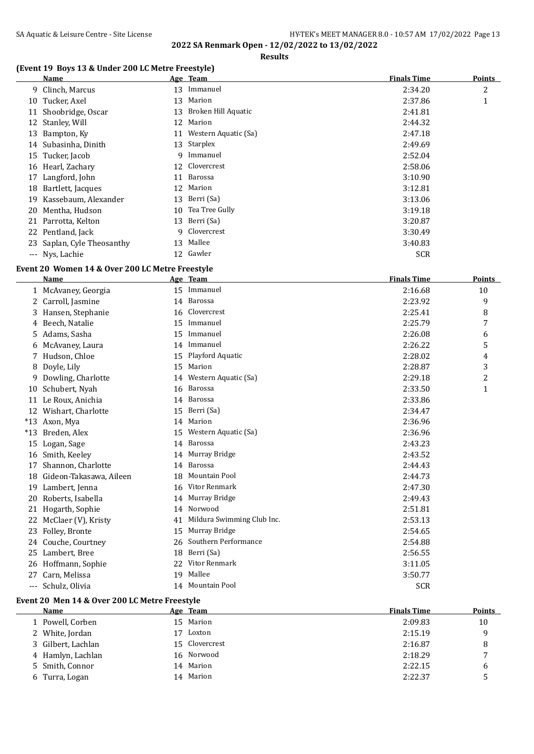#### **Results**

## **(Event 19 Boys 13 & Under 200 LC Metre Freestyle)**

|    | Name                    |    | Age Team             | <b>Finals Time</b> | <b>Points</b> |
|----|-------------------------|----|----------------------|--------------------|---------------|
|    | 9 Clinch, Marcus        | 13 | Immanuel             | 2:34.20            | 2             |
|    | 10 Tucker, Axel         | 13 | Marion               | 2:37.86            | $\mathbf{1}$  |
| 11 | Shoobridge, Oscar       | 13 | Broken Hill Aquatic  | 2:41.81            |               |
|    | 12 Stanley, Will        | 12 | Marion               | 2:44.32            |               |
| 13 | Bampton, Ky             | 11 | Western Aquatic (Sa) | 2:47.18            |               |
|    | 14 Subasinha, Dinith    |    | 13 Starplex          | 2:49.69            |               |
|    | 15 Tucker, Jacob        | 9. | Immanuel             | 2:52.04            |               |
|    | 16 Hearl, Zachary       | 12 | Clovercrest          | 2:58.06            |               |
| 17 | Langford, John          | 11 | Barossa              | 3:10.90            |               |
| 18 | Bartlett, Jacques       | 12 | Marion               | 3:12.81            |               |
|    | 19 Kassebaum, Alexander | 13 | Berri (Sa)           | 3:13.06            |               |
|    | 20 Mentha, Hudson       | 10 | Tea Tree Gully       | 3:19.18            |               |
|    | 21 Parrotta, Kelton     | 13 | Berri (Sa)           | 3:20.87            |               |
| 22 | Pentland, Jack          | 9. | Clovercrest          | 3:30.49            |               |
| 23 | Saplan, Cyle Theosanthy | 13 | Mallee               | 3:40.83            |               |
|    | --- Nys, Lachie         | 12 | Gawler               | <b>SCR</b>         |               |

## **Event 20 Women 14 & Over 200 LC Metre Freestyle**

|       | <b>Name</b>             |    | Age Team                   | <b>Finals Time</b> | <b>Points</b>  |
|-------|-------------------------|----|----------------------------|--------------------|----------------|
|       | 1 McAvaney, Georgia     | 15 | Immanuel                   | 2:16.68            | 10             |
| 2     | Carroll, Jasmine        | 14 | Barossa                    | 2:23.92            | 9              |
| 3     | Hansen, Stephanie       | 16 | Clovercrest                | 2:25.41            | 8              |
| 4     | Beech, Natalie          | 15 | Immanuel                   | 2:25.79            | 7              |
| 5     | Adams, Sasha            | 15 | Immanuel                   | 2:26.08            | 6              |
| 6     | McAvaney, Laura         | 14 | Immanuel                   | 2:26.22            | 5              |
|       | Hudson, Chloe           | 15 | Playford Aquatic           | 2:28.02            | 4              |
| 8     | Doyle, Lily             | 15 | Marion                     | 2:28.87            | 3              |
| 9     | Dowling, Charlotte      | 14 | Western Aquatic (Sa)       | 2:29.18            | $\overline{c}$ |
| 10    | Schubert, Nyah          | 16 | Barossa                    | 2:33.50            | 1              |
| 11    | Le Roux, Anichia        |    | 14 Barossa                 | 2:33.86            |                |
| 12    | Wishart, Charlotte      | 15 | Berri (Sa)                 | 2:34.47            |                |
| $*13$ | Axon, Mya               | 14 | Marion                     | 2:36.96            |                |
| $*13$ | Breden, Alex            | 15 | Western Aquatic (Sa)       | 2:36.96            |                |
| 15    | Logan, Sage             | 14 | Barossa                    | 2:43.23            |                |
| 16    | Smith, Keeley           | 14 | Murray Bridge              | 2:43.52            |                |
| 17    | Shannon, Charlotte      | 14 | Barossa                    | 2:44.43            |                |
| 18    | Gideon-Takasawa, Aileen | 18 | Mountain Pool              | 2:44.73            |                |
| 19    | Lambert, Jenna          | 16 | Vitor Renmark              | 2:47.30            |                |
| 20    | Roberts, Isabella       | 14 | Murray Bridge              | 2:49.43            |                |
| 21    | Hogarth, Sophie         | 14 | Norwood                    | 2:51.81            |                |
| 22    | McClaer (V), Kristy     | 41 | Mildura Swimming Club Inc. | 2:53.13            |                |
| 23    | Folley, Bronte          | 15 | Murray Bridge              | 2:54.65            |                |
| 24    | Couche, Courtney        | 26 | Southern Performance       | 2:54.88            |                |
| 25    | Lambert, Bree           | 18 | Berri (Sa)                 | 2:56.55            |                |
| 26    | Hoffmann, Sophie        | 22 | Vitor Renmark              | 3:11.05            |                |
| 27    | Carn, Melissa           | 19 | Mallee                     | 3:50.77            |                |
| $---$ | Schulz, Olivia          |    | 14 Mountain Pool           | <b>SCR</b>         |                |
|       |                         |    |                            |                    |                |

#### **Event 20 Men 14 & Over 200 LC Metre Freestyle**

| Name               |    | Age Team       | <b>Finals Time</b> | <b>Points</b> |
|--------------------|----|----------------|--------------------|---------------|
| Powell, Corben     | 15 | Marion         | 2:09.83            | 10            |
| 2 White, Jordan    |    | Loxton         | 2:15.19            |               |
| 3 Gilbert, Lachlan |    | 15 Clovercrest | 2:16.87            | 8             |
| 4 Hamlyn, Lachlan  |    | 16 Norwood     | 2:18.29            | -             |
| 5 Smith, Connor    | 14 | Marion         | 2:22.15            | b             |
| 6 Turra, Logan     | 14 | Marion         | 2:22.37            |               |
|                    |    |                |                    |               |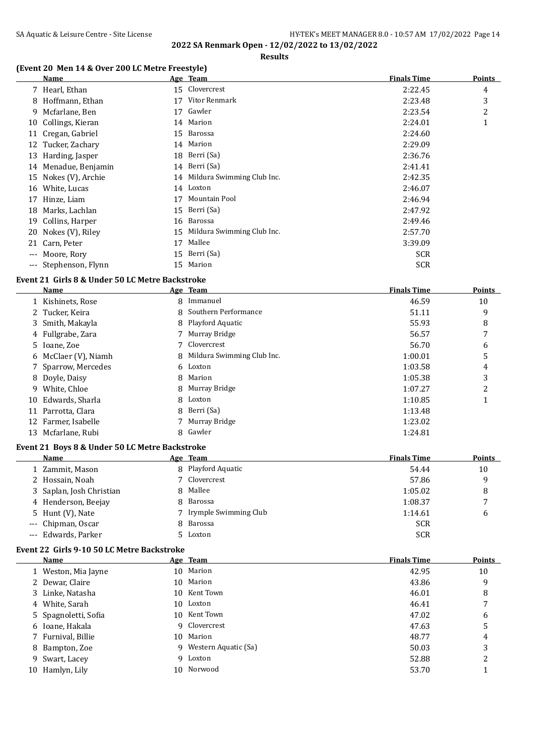**Results**

#### **(Event 20 Men 14 & Over 200 LC Metre Freestyle)**

|                     | Name                  |    | Age Team                      | <b>Finals Time</b> | <b>Points</b> |
|---------------------|-----------------------|----|-------------------------------|--------------------|---------------|
|                     | 7 Hearl, Ethan        |    | 15 Clovercrest                | 2:22.45            | 4             |
| 8                   | Hoffmann, Ethan       | 17 | Vitor Renmark                 | 2:23.48            | 3             |
|                     | 9 Mcfarlane, Ben      | 17 | Gawler                        | 2:23.54            | 2             |
|                     | 10 Collings, Kieran   |    | 14 Marion                     | 2:24.01            | 1             |
| 11                  | Cregan, Gabriel       |    | 15 Barossa                    | 2:24.60            |               |
|                     | 12 Tucker, Zachary    |    | 14 Marion                     | 2:29.09            |               |
|                     | 13 Harding, Jasper    |    | 18 Berri (Sa)                 | 2:36.76            |               |
|                     | 14 Menadue, Benjamin  |    | 14 Berri (Sa)                 | 2:41.41            |               |
|                     | 15 Nokes (V), Archie  |    | 14 Mildura Swimming Club Inc. | 2:42.35            |               |
| 16                  | White, Lucas          |    | 14 Loxton                     | 2:46.07            |               |
| 17                  | Hinze, Liam           | 17 | Mountain Pool                 | 2:46.94            |               |
| 18                  | Marks, Lachlan        | 15 | Berri (Sa)                    | 2:47.92            |               |
| 19                  | Collins, Harper       | 16 | Barossa                       | 2:49.46            |               |
|                     | 20 Nokes (V), Riley   | 15 | Mildura Swimming Club Inc.    | 2:57.70            |               |
|                     | 21 Carn, Peter        | 17 | Mallee                        | 3:39.09            |               |
| $\qquad \qquad - -$ | Moore, Rory           |    | 15 Berri (Sa)                 | <b>SCR</b>         |               |
|                     | --- Stephenson, Flynn | 15 | Marion                        | <b>SCR</b>         |               |

## **Event 21 Girls 8 & Under 50 LC Metre Backstroke**

| Name                 | Age Team                     | <b>Finals Time</b> | <b>Points</b> |
|----------------------|------------------------------|--------------------|---------------|
| 1 Kishinets, Rose    | 8 Immanuel                   | 46.59              | 10            |
| 2 Tucker, Keira      | 8 Southern Performance       | 51.11              | 9             |
| 3 Smith, Makayla     | 8 Playford Aquatic           | 55.93              | 8             |
| 4 Fullgrabe, Zara    | 7 Murray Bridge              | 56.57              | 7             |
| 5 Ioane, Zoe         | 7 Clovercrest                | 56.70              | 6             |
| 6 McClaer (V), Niamh | 8 Mildura Swimming Club Inc. | 1:00.01            | 5             |
| 7 Sparrow, Mercedes  | 6 Loxton                     | 1:03.58            | 4             |
| 8 Doyle, Daisy       | 8 Marion                     | 1:05.38            | 3             |
| 9 White, Chloe       | 8 Murray Bridge              | 1:07.27            | າ             |
| 10 Edwards, Sharla   | 8 Loxton                     | 1:10.85            |               |
| 11 Parrotta, Clara   | 8 Berri (Sa)                 | 1:13.48            |               |
| 12 Farmer, Isabelle  | 7 Murray Bridge              | 1:23.02            |               |
| 13 Mcfarlane, Rubi   | 8 Gawler                     | 1:24.81            |               |

#### **Event 21 Boys 8 & Under 50 LC Metre Backstroke**

| Name                     | Age Team                | <b>Finals Time</b> | <b>Points</b> |
|--------------------------|-------------------------|--------------------|---------------|
| Zammit, Mason            | 8 Playford Aquatic      | 54.44              | 10            |
| 2 Hossain, Noah          | 7 Clovercrest           | 57.86              | q             |
| 3 Saplan, Josh Christian | 8 Mallee                | 1:05.02            | 8             |
| 4 Henderson, Beejay      | 8 Barossa               | 1:08.37            |               |
| 5 Hunt (V), Nate         | 7 Irymple Swimming Club | 1:14.61            | b             |
| --- Chipman, Oscar       | 8 Barossa               | <b>SCR</b>         |               |
| --- Edwards, Parker      | 5 Loxton                | <b>SCR</b>         |               |

#### **Event 22 Girls 9-10 50 LC Metre Backstroke**

|    | <b>Name</b>          |     | Age Team             | <b>Finals Time</b> | <b>Points</b> |
|----|----------------------|-----|----------------------|--------------------|---------------|
|    | 1 Weston, Mia Jayne  |     | 10 Marion            | 42.95              | 10            |
|    | 2 Dewar, Claire      |     | 10 Marion            | 43.86              | 9             |
|    | 3 Linke, Natasha     | 10  | Kent Town            | 46.01              | 8             |
|    | 4 White, Sarah       |     | 10 Loxton            | 46.41              |               |
|    | 5 Spagnoletti, Sofia | 10. | Kent Town            | 47.02              | 6             |
|    | 6 Ioane, Hakala      |     | 9 Clovercrest        | 47.63              | 5             |
|    | 7 Furnival, Billie   |     | 10 Marion            | 48.77              | 4             |
|    | 8 Bampton, Zoe       | 9   | Western Aquatic (Sa) | 50.03              | 3             |
|    | 9 Swart, Lacey       | 9   | Loxton               | 52.88              | 2             |
| 10 | Hamlyn, Lily         | 10  | Norwood              | 53.70              |               |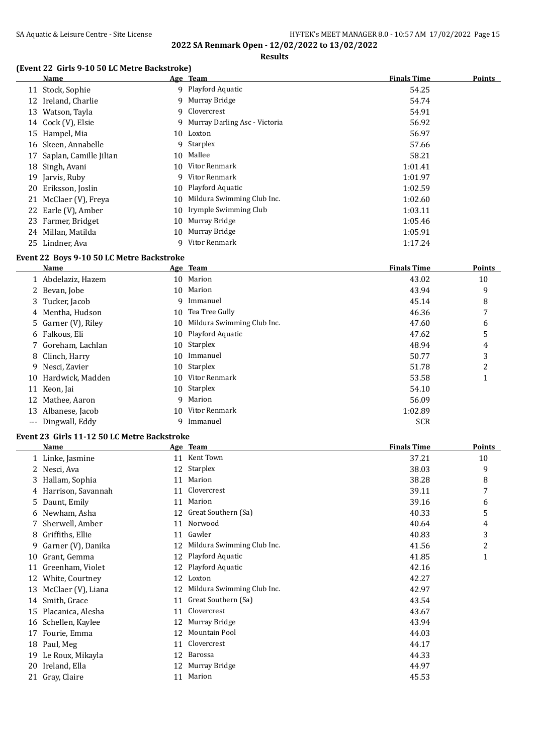**Results**

#### **(Event 22 Girls 9-10 50 LC Metre Backstroke)**

| Name                   |                                                                                                                                                                                                     |               | <b>Finals Time</b>                                                                                                                                                                                                                                                               | <b>Points</b> |
|------------------------|-----------------------------------------------------------------------------------------------------------------------------------------------------------------------------------------------------|---------------|----------------------------------------------------------------------------------------------------------------------------------------------------------------------------------------------------------------------------------------------------------------------------------|---------------|
|                        |                                                                                                                                                                                                     |               | 54.25                                                                                                                                                                                                                                                                            |               |
| Ireland, Charlie       |                                                                                                                                                                                                     |               | 54.74                                                                                                                                                                                                                                                                            |               |
| Watson, Tayla          | 9                                                                                                                                                                                                   |               | 54.91                                                                                                                                                                                                                                                                            |               |
|                        |                                                                                                                                                                                                     |               | 56.92                                                                                                                                                                                                                                                                            |               |
| Hampel, Mia            |                                                                                                                                                                                                     |               | 56.97                                                                                                                                                                                                                                                                            |               |
| Skeen, Annabelle       | 9                                                                                                                                                                                                   |               | 57.66                                                                                                                                                                                                                                                                            |               |
| Saplan, Camille Jilian |                                                                                                                                                                                                     |               | 58.21                                                                                                                                                                                                                                                                            |               |
| Singh, Avani           |                                                                                                                                                                                                     |               | 1:01.41                                                                                                                                                                                                                                                                          |               |
| Jarvis, Ruby           | 9                                                                                                                                                                                                   | Vitor Renmark | 1:01.97                                                                                                                                                                                                                                                                          |               |
|                        |                                                                                                                                                                                                     |               | 1:02.59                                                                                                                                                                                                                                                                          |               |
|                        | 10                                                                                                                                                                                                  |               | 1:02.60                                                                                                                                                                                                                                                                          |               |
|                        | 10                                                                                                                                                                                                  |               | 1:03.11                                                                                                                                                                                                                                                                          |               |
|                        | 10                                                                                                                                                                                                  |               | 1:05.46                                                                                                                                                                                                                                                                          |               |
|                        |                                                                                                                                                                                                     |               | 1:05.91                                                                                                                                                                                                                                                                          |               |
| Lindner, Ava           |                                                                                                                                                                                                     | Vitor Renmark | 1:17.24                                                                                                                                                                                                                                                                          |               |
| 17                     | 11 Stock, Sophie<br>12<br>13<br>14 Cock (V), Elsie<br>15<br>16<br>18<br>19<br>20 Eriksson, Joslin<br>21 McClaer (V), Freya<br>22 Earle (V), Amber<br>23 Farmer, Bridget<br>24 Millan, Matilda<br>25 |               | Age Team<br>9 Playford Aquatic<br>9 Murray Bridge<br>Clovercrest<br>9 Murray Darling Asc - Victoria<br>10 Loxton<br>Starplex<br>10 Mallee<br>10 Vitor Renmark<br>10 Playford Aquatic<br>Mildura Swimming Club Inc.<br>Irymple Swimming Club<br>Murray Bridge<br>10 Murray Bridge |               |

## **Event 22 Boys 9-10 50 LC Metre Backstroke**

|    | Name                |    | Age Team                   | <b>Finals Time</b> | Points |
|----|---------------------|----|----------------------------|--------------------|--------|
|    | 1 Abdelaziz, Hazem  |    | 10 Marion                  | 43.02              | 10     |
|    | 2 Bevan, Jobe       |    | 10 Marion                  | 43.94              | 9      |
|    | 3 Tucker, Jacob     | 9  | Immanuel                   | 45.14              | 8      |
|    | 4 Mentha, Hudson    | 10 | Tea Tree Gully             | 46.36              | 7      |
|    | 5 Garner (V), Riley | 10 | Mildura Swimming Club Inc. | 47.60              | 6      |
|    | 6 Falkous, Eli      |    | 10 Playford Aquatic        | 47.62              | 5      |
|    | 7 Goreham, Lachlan  |    | 10 Starplex                | 48.94              | 4      |
|    | 8 Clinch, Harry     |    | 10 Immanuel                | 50.77              | 3      |
|    | 9 Nesci, Zavier     |    | 10 Starplex                | 51.78              | 2      |
|    | 10 Hardwick, Madden | 10 | Vitor Renmark              | 53.58              |        |
| 11 | Keon, Jai           |    | 10 Starplex                | 54.10              |        |
|    | 12 Mathee, Aaron    | 9  | Marion                     | 56.09              |        |
| 13 | Albanese, Jacob     |    | 10 Vitor Renmark           | 1:02.89            |        |
|    | --- Dingwall, Eddy  | 9  | Immanuel                   | <b>SCR</b>         |        |

#### **Event 23 Girls 11-12 50 LC Metre Backstroke**

|    | Name               |    | Age Team                   | <b>Finals Time</b> | Points         |
|----|--------------------|----|----------------------------|--------------------|----------------|
|    | 1 Linke, Jasmine   | 11 | Kent Town                  | 37.21              | 10             |
|    | Nesci, Ava         | 12 | <b>Starplex</b>            | 38.03              | 9              |
| 3. | Hallam, Sophia     | 11 | Marion                     | 38.28              | 8              |
|    | Harrison, Savannah | 11 | Clovercrest                | 39.11              | 7              |
| 5. | Daunt, Emily       | 11 | Marion                     | 39.16              | 6              |
| 6  | Newham, Asha       |    | 12 Great Southern (Sa)     | 40.33              | 5              |
|    | Sherwell, Amber    | 11 | Norwood                    | 40.64              | 4              |
| 8  | Griffiths, Ellie   | 11 | Gawler                     | 40.83              | 3              |
| 9  | Garner (V), Danika | 12 | Mildura Swimming Club Inc. | 41.56              | $\overline{c}$ |
| 10 | Grant, Gemma       | 12 | Playford Aquatic           | 41.85              | 1              |
| 11 | Greenham, Violet   | 12 | Playford Aquatic           | 42.16              |                |
| 12 | White, Courtney    | 12 | Loxton                     | 42.27              |                |
| 13 | McClaer (V), Liana | 12 | Mildura Swimming Club Inc. | 42.97              |                |
| 14 | Smith, Grace       | 11 | Great Southern (Sa)        | 43.54              |                |
| 15 | Placanica, Alesha  | 11 | Clovercrest                | 43.67              |                |
| 16 | Schellen, Kaylee   | 12 | Murray Bridge              | 43.94              |                |
| 17 | Fourie, Emma       | 12 | Mountain Pool              | 44.03              |                |
| 18 | Paul, Meg          | 11 | Clovercrest                | 44.17              |                |
| 19 | Le Roux, Mikayla   | 12 | Barossa                    | 44.33              |                |
| 20 | Ireland, Ella      | 12 | Murray Bridge              | 44.97              |                |
|    | 21 Gray, Claire    | 11 | Marion                     | 45.53              |                |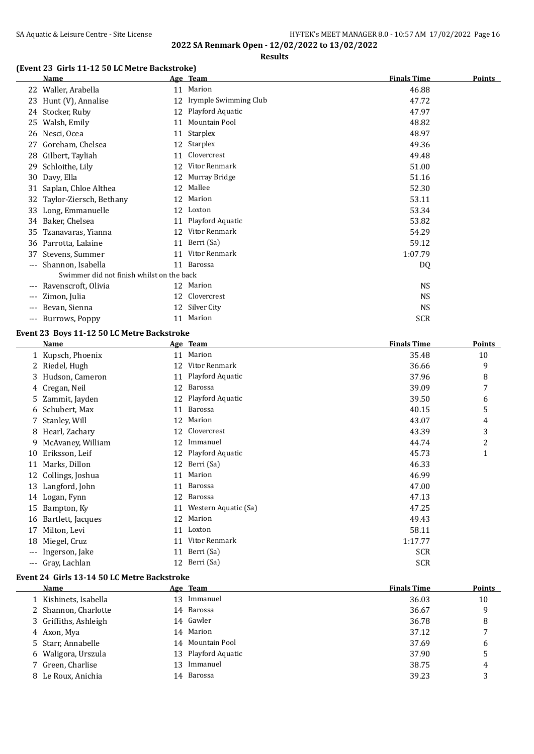## SA Aquatic & Leisure Centre - Site License **HY-TEK's MEET MANAGER 8.0 - 10:57 AM 17/02/2022** Page 16 **2022 SA Renmark Open - 12/02/2022 to 13/02/2022**

**Results**

## **(Event 23 Girls 11-12 50 LC Metre Backstroke)**

|       | <b>Name</b>                               |    | Age Team              | <b>Finals Time</b> | <b>Points</b> |
|-------|-------------------------------------------|----|-----------------------|--------------------|---------------|
|       | 22 Waller, Arabella                       | 11 | Marion                | 46.88              |               |
| 23    | Hunt (V), Annalise                        | 12 | Irymple Swimming Club | 47.72              |               |
|       | 24 Stocker, Ruby                          | 12 | Playford Aquatic      | 47.97              |               |
| 25    | Walsh, Emily                              | 11 | Mountain Pool         | 48.82              |               |
| 26    | Nesci, Ocea                               | 11 | Starplex              | 48.97              |               |
| 27    | Goreham, Chelsea                          | 12 | Starplex              | 49.36              |               |
| 28    | Gilbert, Tayliah                          | 11 | Clovercrest           | 49.48              |               |
| 29    | Schloithe, Lily                           | 12 | Vitor Renmark         | 51.00              |               |
| 30    | Davy, Ella                                | 12 | Murray Bridge         | 51.16              |               |
| 31    | Saplan, Chloe Althea                      | 12 | Mallee                | 52.30              |               |
| 32    | Taylor-Ziersch, Bethany                   | 12 | Marion                | 53.11              |               |
| 33    | Long, Emmanuelle                          | 12 | Loxton                | 53.34              |               |
| 34    | Baker, Chelsea                            | 11 | Playford Aquatic      | 53.82              |               |
| 35    | Tzanavaras, Yianna                        | 12 | Vitor Renmark         | 54.29              |               |
| 36    | Parrotta, Lalaine                         | 11 | Berri (Sa)            | 59.12              |               |
| 37    | Stevens, Summer                           | 11 | Vitor Renmark         | 1:07.79            |               |
| ---   | Shannon, Isabella                         | 11 | Barossa               | DQ                 |               |
|       | Swimmer did not finish whilst on the back |    |                       |                    |               |
| ---   | Ravenscroft, Olivia                       |    | 12 Marion             | <b>NS</b>          |               |
| ---   | Zimon, Julia                              | 12 | Clovercrest           | <b>NS</b>          |               |
| $---$ | Bevan, Sienna                             |    | 12 Silver City        | <b>NS</b>          |               |
| $---$ | Burrows, Poppy                            | 11 | Marion                | <b>SCR</b>         |               |

#### **Event 23 Boys 11-12 50 LC Metre Backstroke**

|       | Name              |    | Age Team             | <b>Finals Time</b> | Points                  |
|-------|-------------------|----|----------------------|--------------------|-------------------------|
|       | 1 Kupsch, Phoenix | 11 | Marion               | 35.48              | 10                      |
|       | 2 Riedel, Hugh    | 12 | Vitor Renmark        | 36.66              | 9                       |
| 3     | Hudson, Cameron   | 11 | Playford Aquatic     | 37.96              | 8                       |
|       | Cregan, Neil      | 12 | Barossa              | 39.09              | 7                       |
|       | 5 Zammit, Jayden  | 12 | Playford Aquatic     | 39.50              | 6                       |
|       | 6 Schubert, Max   | 11 | Barossa              | 40.15              | 5                       |
|       | 7 Stanley, Will   | 12 | Marion               | 43.07              | 4                       |
| 8     | Hearl, Zachary    | 12 | Clovercrest          | 43.39              | 3                       |
| 9.    | McAvaney, William | 12 | Immanuel             | 44.74              | $\overline{\mathbf{c}}$ |
| 10    | Eriksson, Leif    | 12 | Playford Aquatic     | 45.73              | 1                       |
| 11    | Marks, Dillon     |    | 12 Berri (Sa)        | 46.33              |                         |
| 12    | Collings, Joshua  | 11 | Marion               | 46.99              |                         |
| 13    | Langford, John    | 11 | Barossa              | 47.00              |                         |
| 14    | Logan, Fynn       | 12 | Barossa              | 47.13              |                         |
| 15    | Bampton, Ky       | 11 | Western Aquatic (Sa) | 47.25              |                         |
| 16    | Bartlett, Jacques | 12 | Marion               | 49.43              |                         |
| 17    | Milton, Levi      | 11 | Loxton               | 58.11              |                         |
| 18    | Miegel, Cruz      | 11 | Vitor Renmark        | 1:17.77            |                         |
|       | Ingerson, Jake    | 11 | Berri (Sa)           | <b>SCR</b>         |                         |
| $---$ | Gray, Lachlan     |    | 12 Berri (Sa)        | <b>SCR</b>         |                         |

#### **Event 24 Girls 13-14 50 LC Metre Backstroke**

| Name                  |     | Age Team            | <b>Finals Time</b> | <b>Points</b> |
|-----------------------|-----|---------------------|--------------------|---------------|
| 1 Kishinets, Isabella | 13. | Immanuel            | 36.03              | 10            |
| 2 Shannon, Charlotte  |     | 14 Barossa          | 36.67              | 9             |
| 3 Griffiths, Ashleigh |     | 14 Gawler           | 36.78              | 8             |
| 4 Axon, Mya           |     | 14 Marion           | 37.12              |               |
| 5 Starr, Annabelle    |     | 14 Mountain Pool    | 37.69              | 6             |
| 6 Waligora, Urszula   |     | 13 Playford Aquatic | 37.90              | 5             |
| 7 Green, Charlise     | 13  | Immanuel            | 38.75              | 4             |
| 8 Le Roux, Anichia    |     | 14 Barossa          | 39.23              | 3             |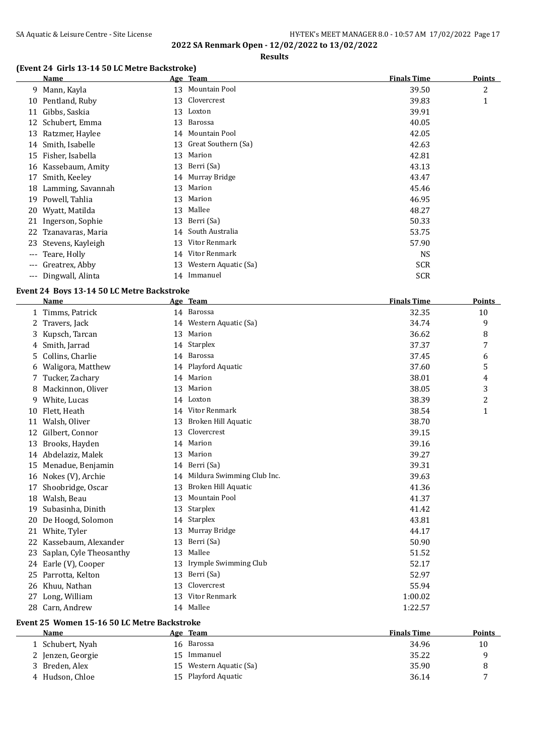# SA Aquatic & Leisure Centre - Site License **HY-TEK's MEET MANAGER 8.0 - 10:57 AM 17/02/2022** Page 17

**2022 SA Renmark Open - 12/02/2022 to 13/02/2022**

#### **Results**

## **(Event 24 Girls 13-14 50 LC Metre Backstroke)**

|                     | Name                 |    | Age Team             | <b>Finals Time</b> | <b>Points</b> |
|---------------------|----------------------|----|----------------------|--------------------|---------------|
| 9                   | Mann, Kayla          |    | 13 Mountain Pool     | 39.50              | 2             |
|                     | 10 Pentland, Ruby    | 13 | Clovercrest          | 39.83              | 1             |
| 11                  | Gibbs, Saskia        | 13 | Loxton               | 39.91              |               |
|                     | 12 Schubert, Emma    | 13 | Barossa              | 40.05              |               |
| 13                  | Ratzmer, Haylee      |    | 14 Mountain Pool     | 42.05              |               |
|                     | 14 Smith, Isabelle   | 13 | Great Southern (Sa)  | 42.63              |               |
| 15                  | Fisher, Isabella     | 13 | Marion               | 42.81              |               |
|                     | 16 Kassebaum, Amity  |    | 13 Berri (Sa)        | 43.13              |               |
| 17                  | Smith, Keeley        |    | 14 Murray Bridge     | 43.47              |               |
| 18                  | Lamming, Savannah    | 13 | Marion               | 45.46              |               |
|                     | 19 Powell, Tahlia    | 13 | Marion               | 46.95              |               |
|                     | 20 Wyatt, Matilda    | 13 | Mallee               | 48.27              |               |
|                     | 21 Ingerson, Sophie  | 13 | Berri (Sa)           | 50.33              |               |
|                     | 22 Tzanavaras, Maria | 14 | South Australia      | 53.75              |               |
|                     | 23 Stevens, Kayleigh | 13 | Vitor Renmark        | 57.90              |               |
| $\qquad \qquad - -$ | Teare, Holly         | 14 | Vitor Renmark        | <b>NS</b>          |               |
| $---$               | Greatrex, Abby       | 13 | Western Aquatic (Sa) | <b>SCR</b>         |               |
| $\qquad \qquad - -$ | Dingwall, Alinta     | 14 | Immanuel             | <b>SCR</b>         |               |

#### **Event 24 Boys 13-14 50 LC Metre Backstroke**

|    | Name                    |    | Age Team                   | <b>Finals Time</b> | Points         |
|----|-------------------------|----|----------------------------|--------------------|----------------|
|    | 1 Timms, Patrick        |    | 14 Barossa                 | 32.35              | 10             |
| 2  | Travers, Jack           |    | 14 Western Aquatic (Sa)    | 34.74              | 9              |
| 3. | Kupsch, Tarcan          | 13 | Marion                     | 36.62              | 8              |
| 4  | Smith, Jarrad           |    | 14 Starplex                | 37.37              | 7              |
| 5. | Collins, Charlie        | 14 | Barossa                    | 37.45              | 6              |
| 6  | Waligora, Matthew       |    | 14 Playford Aquatic        | 37.60              | 5              |
|    | Tucker, Zachary         |    | 14 Marion                  | 38.01              | 4              |
| 8  | Mackinnon, Oliver       | 13 | Marion                     | 38.05              | 3              |
| 9  | White, Lucas            | 14 | Loxton                     | 38.39              | $\overline{c}$ |
| 10 | Flett, Heath            | 14 | Vitor Renmark              | 38.54              | 1              |
| 11 | Walsh, Oliver           | 13 | Broken Hill Aquatic        | 38.70              |                |
| 12 | Gilbert, Connor         | 13 | Clovercrest                | 39.15              |                |
| 13 | Brooks, Hayden          | 14 | Marion                     | 39.16              |                |
|    | 14 Abdelaziz, Malek     | 13 | Marion                     | 39.27              |                |
| 15 | Menadue, Benjamin       | 14 | Berri (Sa)                 | 39.31              |                |
| 16 | Nokes (V), Archie       | 14 | Mildura Swimming Club Inc. | 39.63              |                |
| 17 | Shoobridge, Oscar       | 13 | Broken Hill Aquatic        | 41.36              |                |
| 18 | Walsh, Beau             | 13 | Mountain Pool              | 41.37              |                |
| 19 | Subasinha, Dinith       | 13 | Starplex                   | 41.42              |                |
| 20 | De Hoogd, Solomon       | 14 | Starplex                   | 43.81              |                |
| 21 | White, Tyler            | 13 | Murray Bridge              | 44.17              |                |
| 22 | Kassebaum, Alexander    | 13 | Berri (Sa)                 | 50.90              |                |
| 23 | Saplan, Cyle Theosanthy | 13 | Mallee                     | 51.52              |                |
| 24 | Earle (V), Cooper       | 13 | Irymple Swimming Club      | 52.17              |                |
| 25 | Parrotta, Kelton        | 13 | Berri (Sa)                 | 52.97              |                |
| 26 | Khuu, Nathan            | 13 | Clovercrest                | 55.94              |                |
| 27 | Long, William           | 13 | Vitor Renmark              | 1:00.02            |                |
|    | 28 Carn, Andrew         |    | 14 Mallee                  | 1:22.57            |                |
|    |                         |    |                            |                    |                |

## **Event 25 Women 15-16 50 LC Metre Backstroke**

| Name              | Age Team                   | <b>Finals Time</b> | Points       |
|-------------------|----------------------------|--------------------|--------------|
| 1 Schubert, Nyah  | Barossa<br>16              | 34.96              | 10           |
| 2 Jenzen, Georgie | Immanuel                   | 35.22              |              |
| 3 Breden, Alex    | Western Aquatic (Sa)<br>15 | 35.90              | 8            |
| 4 Hudson, Chloe   | 15 Playford Aquatic        | 36.14              | $\mathbf{r}$ |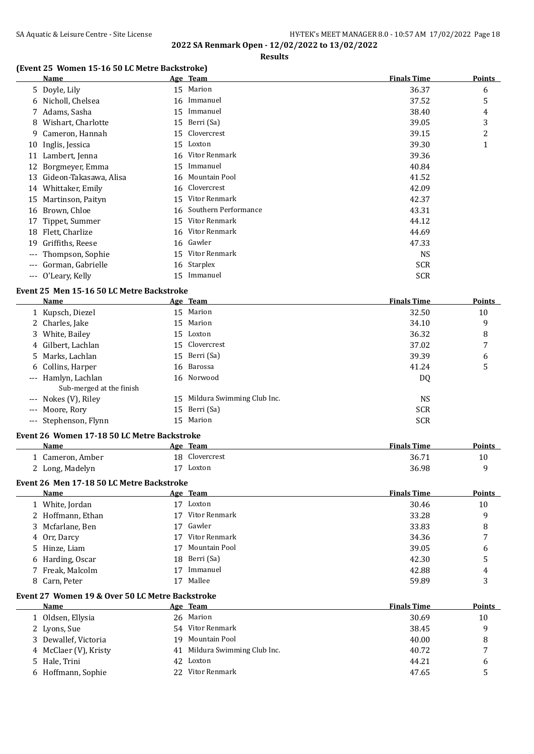#### SA Aquatic & Leisure Centre - Site License **HY-TEK's MEET MANAGER 8.0 - 10:57 AM 17/02/2022** Page 18 **2022 SA Renmark Open - 12/02/2022 to 13/02/2022**

**Results**

#### **(Event 25 Women 15-16 50 LC Metre Backstroke)**

|                     | Name                   |    | Age Team             | <b>Finals Time</b> | <b>Points</b> |
|---------------------|------------------------|----|----------------------|--------------------|---------------|
|                     | 5 Doyle, Lily          | 15 | Marion               | 36.37              | 6             |
| 6                   | Nicholl, Chelsea       | 16 | Immanuel             | 37.52              | 5             |
|                     | 7 Adams, Sasha         | 15 | Immanuel             | 38.40              | 4             |
| 8                   | Wishart, Charlotte     | 15 | Berri (Sa)           | 39.05              | 3             |
| 9                   | Cameron, Hannah        | 15 | Clovercrest          | 39.15              | 2             |
|                     | 10 Inglis, Jessica     | 15 | Loxton               | 39.30              | $\mathbf 1$   |
|                     | 11 Lambert, Jenna      | 16 | Vitor Renmark        | 39.36              |               |
| 12                  | Borgmeyer, Emma        | 15 | Immanuel             | 40.84              |               |
| 13                  | Gideon-Takasawa, Alisa | 16 | Mountain Pool        | 41.52              |               |
| 14                  | Whittaker, Emily       | 16 | Clovercrest          | 42.09              |               |
| 15                  | Martinson, Paityn      | 15 | Vitor Renmark        | 42.37              |               |
| 16                  | Brown, Chloe           | 16 | Southern Performance | 43.31              |               |
| 17                  | Tippet, Summer         | 15 | Vitor Renmark        | 44.12              |               |
| 18                  | Flett, Charlize        | 16 | Vitor Renmark        | 44.69              |               |
| 19                  | Griffiths, Reese       | 16 | Gawler               | 47.33              |               |
| $\qquad \qquad - -$ | Thompson, Sophie       | 15 | Vitor Renmark        | <b>NS</b>          |               |
| $---$               | Gorman, Gabrielle      | 16 | Starplex             | <b>SCR</b>         |               |
| $\qquad \qquad - -$ | O'Leary, Kelly         | 15 | Immanuel             | <b>SCR</b>         |               |

#### **Event 25 Men 15-16 50 LC Metre Backstroke**

| <b>Name</b>              |    | Age Team                   | <b>Finals Time</b> | <b>Points</b> |
|--------------------------|----|----------------------------|--------------------|---------------|
| 1 Kupsch, Diezel         |    | 15 Marion                  | 32.50              | 10            |
| 2 Charles, Jake          |    | 15 Marion                  | 34.10              | 9             |
| 3 White, Bailey          |    | 15 Loxton                  | 36.32              | 8             |
| 4 Gilbert, Lachlan       |    | 15 Clovercrest             | 37.02              | 7             |
| 5 Marks, Lachlan         |    | 15 Berri (Sa)              | 39.39              | 6             |
| 6 Collins, Harper        |    | 16 Barossa                 | 41.24              | 5             |
| --- Hamlyn, Lachlan      |    | 16 Norwood                 | DQ                 |               |
| Sub-merged at the finish |    |                            |                    |               |
| --- Nokes (V), Riley     | 15 | Mildura Swimming Club Inc. | NS.                |               |
| --- Moore, Rory          |    | 15 Berri (Sa)              | <b>SCR</b>         |               |
| --- Stephenson, Flynn    |    | 15 Marion                  | <b>SCR</b>         |               |

#### **Event 26 Women 17-18 50 LC Metre Backstroke**

| Name           | Age Team       | <b>Finals Time</b> | <b>Points</b> |
|----------------|----------------|--------------------|---------------|
| Cameron, Amber | 18 Clovercrest | 36.71              | 10            |
| Long, Madelyn  | Loxton         | 36.98              |               |

## **Event 26 Men 17-18 50 LC Metre Backstroke**

| Name              |    | Age Team      | <b>Finals Time</b> | <b>Points</b>  |
|-------------------|----|---------------|--------------------|----------------|
| 1 White, Jordan   | 17 | Loxton        | 30.46              | 10             |
| 2 Hoffmann, Ethan | 17 | Vitor Renmark | 33.28              | 9              |
| 3 Mcfarlane, Ben  | 17 | Gawler        | 33.83              | 8              |
| 4 Orr, Darcy      | 17 | Vitor Renmark | 34.36              | $\overline{ }$ |
| 5 Hinze, Liam     | 17 | Mountain Pool | 39.05              | 6              |
| 6 Harding, Oscar  |    | 18 Berri (Sa) | 42.30              | 5              |
| 7 Freak, Malcolm  |    | Immanuel      | 42.88              | 4              |
| 8 Carn, Peter     |    | Mallee        | 59.89              | 3              |

#### **Event 27 Women 19 & Over 50 LC Metre Backstroke**

| <b>Name</b>           |     | Age Team                      | <b>Finals Time</b> | <b>Points</b> |
|-----------------------|-----|-------------------------------|--------------------|---------------|
| 1 Oldsen, Ellysia     |     | 26 Marion                     | 30.69              | 10            |
| 2 Lyons, Sue          |     | 54 Vitor Renmark              | 38.45              | a             |
| 3 Dewallef, Victoria  | 19. | Mountain Pool                 | 40.00              | 8             |
| 4 McClaer (V), Kristy |     | 41 Mildura Swimming Club Inc. | 40.72              |               |
| 5 Hale, Trini         |     | 42 Loxton                     | 44.21              | h             |
| 6 Hoffmann, Sophie    |     | 22 Vitor Renmark              | 47.65              |               |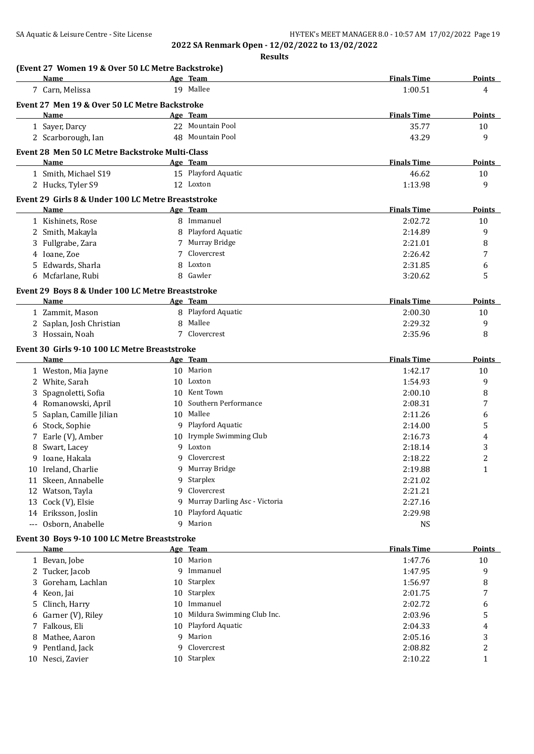**Results**

|    | (Event 27 Women 19 & Over 50 LC Metre Backstroke)  |         |                                |                    |                     |
|----|----------------------------------------------------|---------|--------------------------------|--------------------|---------------------|
|    | Name                                               |         | Age Team                       | <b>Finals Time</b> | <b>Points</b>       |
|    | 7 Carn, Melissa                                    |         | 19 Mallee                      | 1:00.51            | 4                   |
|    | Event 27 Men 19 & Over 50 LC Metre Backstroke      |         |                                |                    |                     |
|    | Name                                               |         | Age Team                       | <b>Finals Time</b> | Points              |
|    | 1 Sayer, Darcy                                     |         | 22 Mountain Pool               | 35.77              | 10                  |
|    | 2 Scarborough, Ian                                 |         | 48 Mountain Pool               | 43.29              | 9                   |
|    | Event 28 Men 50 LC Metre Backstroke Multi-Class    |         |                                |                    |                     |
|    | Name                                               |         | Age Team                       | <b>Finals Time</b> | <b>Points</b>       |
|    | 1 Smith, Michael S19                               |         | 15 Playford Aquatic            | 46.62              | 10                  |
|    | 2 Hucks, Tyler S9                                  |         | 12 Loxton                      | 1:13.98            | 9                   |
|    | Event 29 Girls 8 & Under 100 LC Metre Breaststroke |         |                                |                    |                     |
|    | Name                                               |         | Age Team                       | <b>Finals Time</b> | Points              |
|    | 1 Kishinets, Rose                                  |         | 8 Immanuel                     | 2:02.72            | 10                  |
|    | 2 Smith, Makayla                                   | 8       | Playford Aquatic               | 2:14.89            | 9                   |
|    | 3 Fullgrabe, Zara                                  | 7       | Murray Bridge                  | 2:21.01            | 8                   |
|    | 4 Ioane, Zoe                                       | 7       | Clovercrest                    | 2:26.42            | 7                   |
|    | Edwards, Sharla                                    | 8       | Loxton                         | 2:31.85            | 6                   |
|    | 6 Mcfarlane, Rubi                                  |         | 8 Gawler                       | 3:20.62            | 5                   |
|    | Event 29 Boys 8 & Under 100 LC Metre Breaststroke  |         |                                |                    |                     |
|    | Name                                               |         | Age Team                       | <b>Finals Time</b> | <b>Points</b>       |
|    | 1 Zammit, Mason                                    |         | 8 Playford Aquatic             | 2:00.30            | 10                  |
|    | 2 Saplan, Josh Christian                           | 8       | Mallee                         | 2:29.32            | 9                   |
|    | 3 Hossain, Noah                                    | 7       | Clovercrest                    | 2:35.96            | 8                   |
|    |                                                    |         |                                |                    |                     |
|    | Event 30 Girls 9-10 100 LC Metre Breaststroke      |         |                                |                    |                     |
|    | Name                                               |         | Age Team                       | <b>Finals Time</b> | Points              |
|    | 1 Weston, Mia Jayne                                |         | 10 Marion                      | 1:42.17            | 10                  |
|    | 2 White, Sarah                                     |         | 10 Loxton                      | 1:54.93            | 9                   |
|    | Spagnoletti, Sofia                                 |         | 10 Kent Town                   | 2:00.10            | 8                   |
| 4  | Romanowski, April                                  | 10      | Southern Performance           | 2:08.31            | 7                   |
| 5. | Saplan, Camille Jilian                             | 10      | Mallee                         | 2:11.26            | 6                   |
|    | 6 Stock, Sophie                                    |         | 9 Playford Aquatic             | 2:14.00            | 5                   |
|    | 7 Earle (V), Amber                                 |         | 10 Irymple Swimming Club       | 2:16.73            | 4                   |
|    | Swart, Lacey                                       | q<br>9  | Loxton                         | 2:18.14            | 3<br>$\overline{2}$ |
|    | 9 Ioane, Hakala                                    |         | Clovercrest<br>9 Murray Bridge | 2:18.22            |                     |
|    | 10 Ireland, Charlie                                |         |                                | 2:19.88            | 1                   |
|    | 11 Skeen, Annabelle                                | q       | 9 Starplex<br>Clovercrest      | 2:21.02            |                     |
|    | 12 Watson, Tayla                                   |         | Murray Darling Asc - Victoria  | 2:21.21<br>2:27.16 |                     |
|    | 13 Cock (V), Elsie<br>14 Eriksson, Joslin          | 9<br>10 | Playford Aquatic               | 2:29.98            |                     |
|    | --- Osborn, Anabelle                               | 9       | Marion                         | <b>NS</b>          |                     |
|    |                                                    |         |                                |                    |                     |
|    | Event 30 Boys 9-10 100 LC Metre Breaststroke       |         |                                |                    |                     |
|    | Name                                               |         | Age Team                       | <b>Finals Time</b> | Points              |
|    | 1 Bevan, Jobe                                      |         | 10 Marion                      | 1:47.76            | 10                  |
|    | 2 Tucker, Jacob                                    | 9       | Immanuel                       | 1:47.95            | 9                   |
| 3  | Goreham, Lachlan                                   | 10.     | Starplex                       | 1:56.97            | 8                   |
|    | 4 Keon, Jai                                        | 10      | Starplex                       | 2:01.75            | 7                   |
| 5. | Clinch, Harry                                      | 10      | Immanuel                       | 2:02.72            | 6                   |
| 6  | Garner (V), Riley                                  | 10      | Mildura Swimming Club Inc.     | 2:03.96            | 5                   |
|    | 7 Falkous, Eli                                     |         | 10 Playford Aquatic            | 2:04.33            | 4                   |
| 8  | Mathee, Aaron                                      | 9       | Marion                         | 2:05.16            | 3                   |
|    | 9 Pentland, Jack                                   |         | 9 Clovercrest                  | 2:08.82            | 2                   |

10 Nesci, Zavier 10 Starplex 2:10.22 1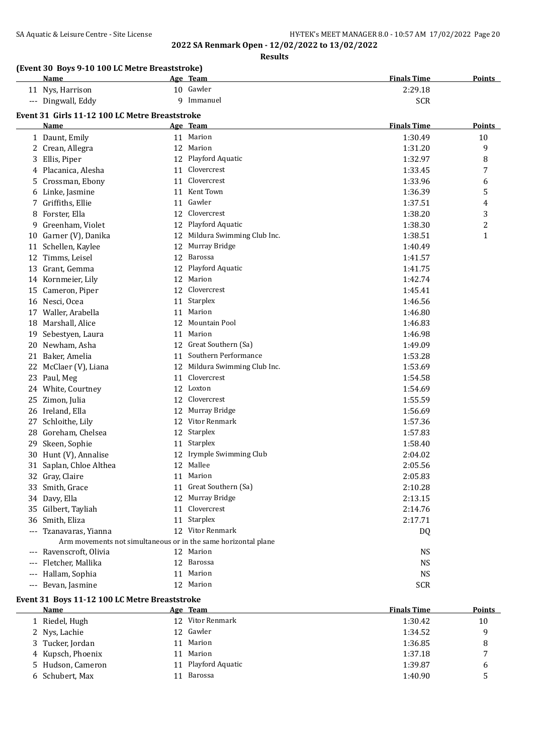**Results**

|                     | (Event 30 Boys 9-10 100 LC Metre Breaststroke)<br>Name |    | Age Team                                                       | <b>Finals Time</b> | <b>Points</b> |
|---------------------|--------------------------------------------------------|----|----------------------------------------------------------------|--------------------|---------------|
|                     | 11 Nys, Harrison                                       |    | 10 Gawler                                                      | 2:29.18            |               |
|                     | --- Dingwall, Eddy                                     |    | 9 Immanuel                                                     | <b>SCR</b>         |               |
|                     |                                                        |    |                                                                |                    |               |
|                     | Event 31 Girls 11-12 100 LC Metre Breaststroke<br>Name |    |                                                                | <b>Finals Time</b> | <b>Points</b> |
|                     |                                                        |    | Age Team<br>11 Marion                                          | 1:30.49            | 10            |
|                     | 1 Daunt, Emily                                         |    | 12 Marion                                                      | 1:31.20            | 9             |
|                     | 2 Crean, Allegra                                       |    | 12 Playford Aquatic                                            | 1:32.97            | 8             |
| 3                   | Ellis, Piper                                           |    | Clovercrest                                                    |                    |               |
|                     | 4 Placanica, Alesha                                    | 11 | Clovercrest                                                    | 1:33.45            | 7             |
| 5.                  | Crossman, Ebony                                        | 11 | Kent Town                                                      | 1:33.96            | 6             |
| 6                   | Linke, Jasmine                                         | 11 |                                                                | 1:36.39            | 5             |
| 7                   | Griffiths, Ellie                                       | 11 | Gawler                                                         | 1:37.51            | 4             |
| 8                   | Forster, Ella                                          | 12 | Clovercrest                                                    | 1:38.20            | 3             |
| 9                   | Greenham, Violet                                       | 12 | Playford Aquatic                                               | 1:38.30            | 2             |
|                     | 10 Garner (V), Danika                                  | 12 | Mildura Swimming Club Inc.                                     | 1:38.51            | 1             |
|                     | 11 Schellen, Kaylee                                    | 12 | Murray Bridge                                                  | 1:40.49            |               |
|                     | 12 Timms, Leisel                                       | 12 | Barossa                                                        | 1:41.57            |               |
|                     | 13 Grant, Gemma                                        | 12 | Playford Aquatic                                               | 1:41.75            |               |
|                     | 14 Kornmeier, Lily                                     |    | 12 Marion                                                      | 1:42.74            |               |
|                     | 15 Cameron, Piper                                      | 12 | Clovercrest                                                    | 1:45.41            |               |
|                     | 16 Nesci, Ocea                                         |    | 11 Starplex                                                    | 1:46.56            |               |
| 17                  | Waller, Arabella                                       | 11 | Marion                                                         | 1:46.80            |               |
|                     | 18 Marshall, Alice                                     |    | 12 Mountain Pool                                               | 1:46.83            |               |
|                     | 19 Sebestyen, Laura                                    | 11 | Marion                                                         | 1:46.98            |               |
| 20                  | Newham, Asha                                           |    | 12 Great Southern (Sa)                                         | 1:49.09            |               |
|                     | 21 Baker, Amelia                                       | 11 | Southern Performance                                           | 1:53.28            |               |
|                     | 22 McClaer (V), Liana                                  | 12 | Mildura Swimming Club Inc.                                     | 1:53.69            |               |
|                     | 23 Paul, Meg                                           | 11 | Clovercrest                                                    | 1:54.58            |               |
|                     | 24 White, Courtney                                     |    | 12 Loxton                                                      | 1:54.69            |               |
| 25                  | Zimon, Julia                                           | 12 | Clovercrest                                                    | 1:55.59            |               |
|                     | 26 Ireland, Ella                                       | 12 | Murray Bridge                                                  | 1:56.69            |               |
|                     | 27 Schloithe, Lily                                     |    | 12 Vitor Renmark                                               | 1:57.36            |               |
|                     | 28 Goreham, Chelsea                                    |    | 12 Starplex                                                    | 1:57.83            |               |
|                     | 29 Skeen, Sophie                                       |    | 11 Starplex                                                    | 1:58.40            |               |
|                     | 30 Hunt (V), Annalise                                  |    | 12 Irymple Swimming Club                                       | 2:04.02            |               |
|                     | 31 Saplan, Chloe Althea                                |    | 12 Mallee                                                      | 2:05.56            |               |
|                     | 32 Gray, Claire                                        |    | 11 Marion                                                      | 2:05.83            |               |
|                     | 33 Smith, Grace                                        |    | 11 Great Southern (Sa)                                         | 2:10.28            |               |
|                     | 34 Davy, Ella                                          |    | 12 Murray Bridge                                               | 2:13.15            |               |
|                     | 35 Gilbert, Tayliah                                    | 11 | Clovercrest                                                    | 2:14.76            |               |
| 36                  | Smith, Eliza                                           |    | 11 Starplex                                                    | 2:17.71            |               |
|                     | Tzanavaras, Yianna                                     |    | 12 Vitor Renmark                                               | DQ                 |               |
|                     |                                                        |    | Arm movements not simultaneous or in the same horizontal plane |                    |               |
| $---$               | Ravenscroft, Olivia                                    |    | 12 Marion                                                      | <b>NS</b>          |               |
| $---$               | Fletcher, Mallika                                      | 12 | Barossa                                                        | <b>NS</b>          |               |
| $\qquad \qquad - -$ | Hallam, Sophia                                         | 11 | Marion                                                         | <b>NS</b>          |               |
|                     | --- Bevan, Jasmine                                     |    | 12 Marion                                                      | <b>SCR</b>         |               |

#### **Event 31 Boys 11-12 100 LC Metre Breaststroke**

| <b>Name</b>       |                 | Age Team         | <b>Finals Time</b> | <b>Points</b> |
|-------------------|-----------------|------------------|--------------------|---------------|
| 1 Riedel, Hugh    | 12 <sup>1</sup> | Vitor Renmark    | 1:30.42            | 10            |
| 2 Nys, Lachie     |                 | 12 Gawler        | 1:34.52            | q             |
| 3 Tucker, Jordan  | 11              | Marion           | 1:36.85            | 8             |
| 4 Kupsch, Phoenix | 11              | Marion           | 1:37.18            | 7             |
| 5 Hudson, Cameron | 11              | Playford Aquatic | 1:39.87            | 6             |
| 6 Schubert, Max   |                 | Barossa          | 1:40.90            |               |
|                   |                 |                  |                    |               |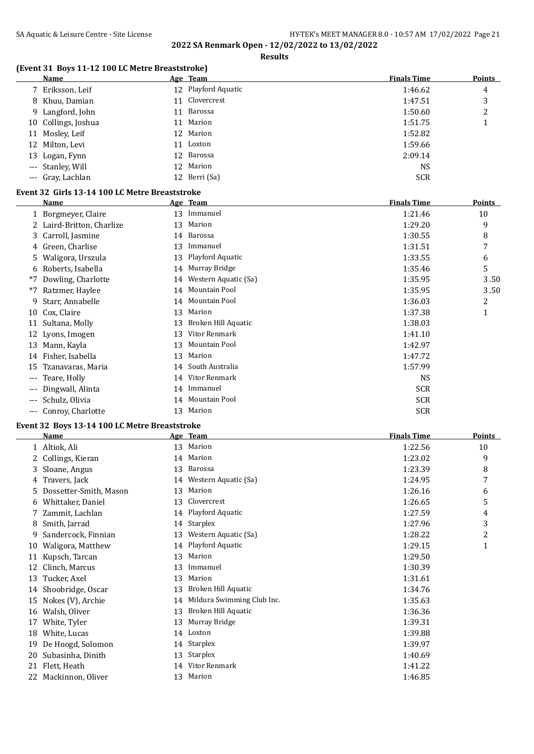**Results**

## **(Event 31 Boys 11-12 100 LC Metre Breaststroke)**

| Name                | <u>Age Team</u>     | <b>Finals Time</b> | <b>Points</b> |
|---------------------|---------------------|--------------------|---------------|
| 7 Eriksson, Leif    | 12 Playford Aquatic | 1:46.62            | 4             |
| 8 Khuu, Damian      | 11 Clovercrest      | 1:47.51            | 3             |
| 9 Langford, John    | 11 Barossa          | 1:50.60            | 2             |
| 10 Collings, Joshua | 11 Marion           | 1:51.75            |               |
| 11 Mosley, Leif     | 12 Marion           | 1:52.82            |               |
| 12 Milton, Levi     | 11 Loxton           | 1:59.66            |               |
| 13 Logan, Fynn      | 12 Barossa          | 2:09.14            |               |
| --- Stanley, Will   | 12 Marion           | <b>NS</b>          |               |
| --- Gray, Lachlan   | 12 Berri (Sa)       | <b>SCR</b>         |               |

## **Event 32 Girls 13-14 100 LC Metre Breaststroke**

|       | Name                      |    | Age Team             | <b>Finals Time</b> | <b>Points</b> |
|-------|---------------------------|----|----------------------|--------------------|---------------|
|       | 1 Borgmeyer, Claire       | 13 | Immanuel             | 1:21.46            | 10            |
|       | 2 Laird-Britton, Charlize | 13 | Marion               | 1:29.20            | 9             |
|       | 3 Carroll, Jasmine        | 14 | Barossa              | 1:30.55            | 8             |
| 4     | Green, Charlise           | 13 | Immanuel             | 1:31.51            | 7             |
| 5.    | Waligora, Urszula         | 13 | Playford Aquatic     | 1:33.55            | 6             |
| 6     | Roberts, Isabella         | 14 | Murray Bridge        | 1:35.46            | 5             |
| *7    | Dowling, Charlotte        | 14 | Western Aquatic (Sa) | 1:35.95            | 3.50          |
| *7    | Ratzmer, Haylee           | 14 | Mountain Pool        | 1:35.95            | 3.50          |
| 9     | Starr, Annabelle          | 14 | Mountain Pool        | 1:36.03            | 2             |
| 10    | Cox, Claire               | 13 | Marion               | 1:37.38            | 1             |
| 11    | Sultana, Molly            | 13 | Broken Hill Aquatic  | 1:38.03            |               |
|       | 12 Lyons, Imogen          | 13 | Vitor Renmark        | 1:41.10            |               |
| 13    | Mann, Kayla               | 13 | Mountain Pool        | 1:42.97            |               |
| 14    | Fisher, Isabella          | 13 | Marion               | 1:47.72            |               |
| 15    | Tzanavaras, Maria         | 14 | South Australia      | 1:57.99            |               |
| $---$ | Teare, Holly              | 14 | Vitor Renmark        | NS.                |               |
| $---$ | Dingwall, Alinta          | 14 | Immanuel             | <b>SCR</b>         |               |
| $---$ | Schulz, Olivia            | 14 | Mountain Pool        | <b>SCR</b>         |               |
| ---   | Conroy, Charlotte         | 13 | Marion               | <b>SCR</b>         |               |

#### **Event 32 Boys 13-14 100 LC Metre Breaststroke**

|    | Name                   |    | Age Team                   | <b>Finals Time</b> | <b>Points</b> |
|----|------------------------|----|----------------------------|--------------------|---------------|
|    | 1 Altiok, Ali          | 13 | Marion                     | 1:22.56            | 10            |
|    | 2 Collings, Kieran     | 14 | Marion                     | 1:23.02            | 9             |
| 3. | Sloane, Angus          | 13 | Barossa                    | 1:23.39            | 8             |
| 4  | Travers, Jack          | 14 | Western Aquatic (Sa)       | 1:24.95            | 7             |
| 5. | Dossetter-Smith, Mason | 13 | Marion                     | 1:26.16            | 6             |
| 6  | Whittaker, Daniel      | 13 | Clovercrest                | 1:26.65            | 5             |
| 7. | Zammit, Lachlan        |    | 14 Playford Aquatic        | 1:27.59            | 4             |
| 8  | Smith, Jarrad          |    | 14 Starplex                | 1:27.96            | 3             |
| 9  | Sandercock, Finnian    | 13 | Western Aquatic (Sa)       | 1:28.22            | 2             |
| 10 | Waligora, Matthew      |    | 14 Playford Aquatic        | 1:29.15            | $\mathbf{1}$  |
| 11 | Kupsch, Tarcan         | 13 | Marion                     | 1:29.50            |               |
| 12 | Clinch, Marcus         | 13 | Immanuel                   | 1:30.39            |               |
| 13 | Tucker, Axel           | 13 | Marion                     | 1:31.61            |               |
| 14 | Shoobridge, Oscar      | 13 | Broken Hill Aquatic        | 1:34.76            |               |
| 15 | Nokes (V), Archie      | 14 | Mildura Swimming Club Inc. | 1:35.63            |               |
| 16 | Walsh, Oliver          | 13 | Broken Hill Aquatic        | 1:36.36            |               |
| 17 | White, Tyler           | 13 | Murray Bridge              | 1:39.31            |               |
| 18 | White, Lucas           | 14 | Loxton                     | 1:39.88            |               |
| 19 | De Hoogd, Solomon      |    | 14 Starplex                | 1:39.97            |               |
| 20 | Subasinha, Dinith      | 13 | Starplex                   | 1:40.69            |               |
| 21 | Flett, Heath           | 14 | Vitor Renmark              | 1:41.22            |               |
| 22 | Mackinnon, Oliver      | 13 | Marion                     | 1:46.85            |               |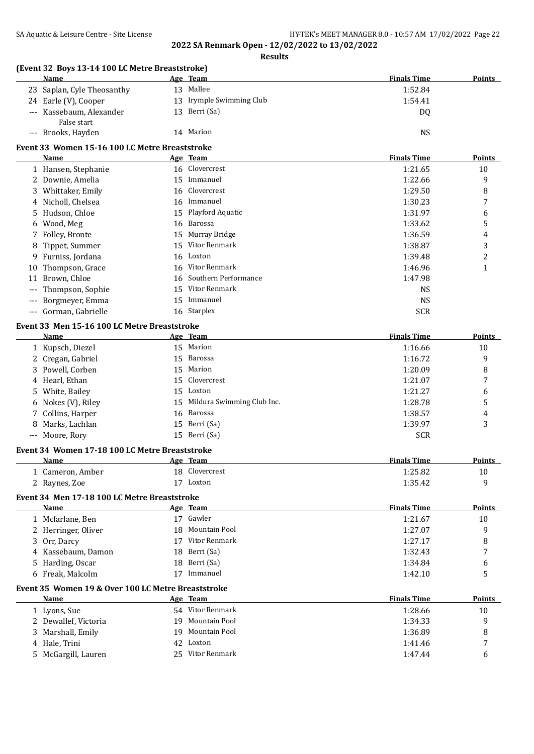| SA Aquatic & Leisure Centre - Site License                     |    | 2022 SA Renmark Open - 12/02/2022 to 13/02/2022 | HY-TEK's MEET MANAGER 8.0 - 10:57 AM 17/02/2022 Page 22 |                |
|----------------------------------------------------------------|----|-------------------------------------------------|---------------------------------------------------------|----------------|
|                                                                |    | <b>Results</b>                                  |                                                         |                |
| (Event 32 Boys 13-14 100 LC Metre Breaststroke)<br><b>Name</b> |    | Age Team                                        | <b>Finals Time</b>                                      | Points         |
| 23 Saplan, Cyle Theosanthy                                     |    | 13 Mallee                                       | 1:52.84                                                 |                |
| 24 Earle (V), Cooper                                           |    | 13 Irymple Swimming Club                        | 1:54.41                                                 |                |
| --- Kassebaum, Alexander                                       |    | 13 Berri (Sa)                                   | DQ                                                      |                |
| False start                                                    |    |                                                 |                                                         |                |
| --- Brooks, Hayden                                             |    | 14 Marion                                       | <b>NS</b>                                               |                |
| Event 33 Women 15-16 100 LC Metre Breaststroke                 |    |                                                 |                                                         |                |
| <b>Name</b>                                                    |    | Age Team                                        | <b>Finals Time</b>                                      | Points         |
| 1 Hansen, Stephanie                                            |    | 16 Clovercrest                                  | 1:21.65                                                 | 10             |
| 2 Downie, Amelia                                               |    | 15 Immanuel                                     | 1:22.66                                                 | 9              |
| Whittaker, Emily<br>3                                          |    | 16 Clovercrest                                  | 1:29.50                                                 | 8              |
| 4 Nicholl, Chelsea                                             |    | 16 Immanuel                                     | 1:30.23                                                 | 7              |
| Hudson, Chloe<br>5.                                            | 15 | Playford Aquatic                                | 1:31.97                                                 | 6              |
| Wood, Meg<br>6                                                 |    | 16 Barossa                                      | 1:33.62                                                 | 5              |
| Folley, Bronte<br>7                                            |    | 15 Murray Bridge                                | 1:36.59                                                 | 4              |
| 8 Tippet, Summer                                               |    | 15 Vitor Renmark                                | 1:38.87                                                 | 3              |
| 9 Furniss, Jordana                                             |    | 16 Loxton                                       | 1:39.48                                                 | $\overline{c}$ |
| Thompson, Grace<br>10                                          |    | 16 Vitor Renmark                                | 1:46.96                                                 | $\mathbf{1}$   |
| Brown, Chloe<br>11                                             |    | 16 Southern Performance                         | 1:47.98                                                 |                |
| Thompson, Sophie                                               |    | 15 Vitor Renmark                                | <b>NS</b>                                               |                |
| Borgmeyer, Emma                                                |    | 15 Immanuel                                     | <b>NS</b>                                               |                |
| --- Gorman, Gabrielle                                          |    | 16 Starplex                                     | <b>SCR</b>                                              |                |
| Event 33 Men 15-16 100 LC Metre Breaststroke                   |    |                                                 |                                                         |                |
| Name                                                           |    | Age Team                                        | <b>Finals Time</b>                                      | <b>Points</b>  |
| 1 Kupsch, Diezel                                               |    | 15 Marion                                       | 1:16.66                                                 | 10             |
| 2 Cregan, Gabriel                                              | 15 | Barossa                                         | 1:16.72                                                 | 9              |
| 3 Powell, Corben                                               |    | 15 Marion                                       | 1:20.09                                                 | 8              |
| 4 Hearl, Ethan                                                 | 15 | Clovercrest                                     | 1:21.07                                                 | 7              |
| 5 White, Bailey                                                |    | 15 Loxton                                       | 1:21.27                                                 | 6              |
| 6 Nokes (V), Riley                                             |    | 15 Mildura Swimming Club Inc.                   | 1:28.78                                                 | 5              |
| 7 Collins, Harper                                              |    | 16 Barossa                                      | 1:38.57                                                 | 4              |
| 8 Marks, Lachlan                                               |    | 15 Berri (Sa)                                   | 1:39.97                                                 | 3              |
| --- Moore, Rory                                                |    | 15 Berri (Sa)                                   | <b>SCR</b>                                              |                |
| Event 34 Women 17-18 100 LC Metre Breaststroke                 |    |                                                 |                                                         |                |
| <b>Name</b>                                                    |    | Age Team                                        | <b>Finals Time</b>                                      | <b>Points</b>  |
| 1 Cameron, Amber                                               |    | 18 Clovercrest                                  | 1:25.82                                                 | 10             |
| 2 Raynes, Zoe                                                  |    | 17 Loxton                                       | 1:35.42                                                 | 9              |
| Event 34 Men 17-18 100 LC Metre Breaststroke                   |    |                                                 |                                                         |                |
| Name                                                           |    | Age Team                                        | <b>Finals Time</b>                                      | Points         |
| 1 Mcfarlane, Ben                                               |    | 17 Gawler                                       | 1:21.67                                                 | 10             |
| 2 Herringer, Oliver                                            |    | 18 Mountain Pool                                | 1:27.07                                                 | 9              |
| 3 Orr, Darcy                                                   |    | 17 Vitor Renmark                                | 1:27.17                                                 | 8              |
| 4 Kassebaum, Damon                                             | 18 | Berri (Sa)                                      | 1:32.43                                                 | 7              |
| 5 Harding, Oscar                                               |    | 18 Berri (Sa)                                   | 1:34.84                                                 | 6              |
| 6 Freak, Malcolm                                               |    | 17 Immanuel                                     | 1:42.10                                                 | 5              |
| Event 35 Women 19 & Over 100 LC Metre Breaststroke             |    |                                                 |                                                         |                |
| Name                                                           |    | Age Team                                        | <b>Finals Time</b>                                      | Points         |
| 1 Lyons, Sue                                                   |    | 54 Vitor Renmark                                | 1:28.66                                                 | 10             |
| 2 Dewallef, Victoria                                           |    | 19 Mountain Pool                                | 1:34.33                                                 | 9              |
| Marshall, Emily<br>3                                           | 19 | Mountain Pool                                   | 1:36.89                                                 | 8              |
| 4 Hale, Trini                                                  | 42 | Loxton                                          | 1:41.46                                                 | 7              |
| 5 McGargill, Lauren                                            |    | 25 Vitor Renmark                                | 1:47.44                                                 | 6              |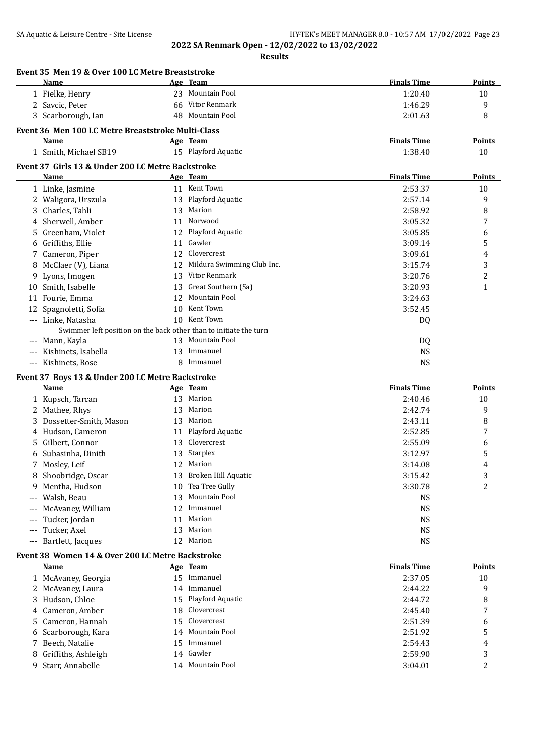**Event 35 Men 19 & Over 100 LC Metre Breaststroke**

**2022 SA Renmark Open - 12/02/2022 to 13/02/2022 Results**

|       | Name                                                              |    | Age Team                           | <b>Finals Time</b> | <b>Points</b>  |
|-------|-------------------------------------------------------------------|----|------------------------------------|--------------------|----------------|
|       | 1 Fielke, Henry                                                   |    | 23 Mountain Pool                   | 1:20.40            | 10             |
|       | 2 Savcic, Peter                                                   |    | 66 Vitor Renmark                   | 1:46.29            | 9              |
|       | 3 Scarborough, Ian                                                |    | 48 Mountain Pool                   | 2:01.63            | 8              |
|       | Event 36 Men 100 LC Metre Breaststroke Multi-Class                |    |                                    |                    |                |
|       | Name                                                              |    | Age Team                           | <b>Finals Time</b> | <b>Points</b>  |
|       | 1 Smith, Michael SB19                                             |    | 15 Playford Aquatic                | 1:38.40            | 10             |
|       |                                                                   |    |                                    |                    |                |
|       | Event 37 Girls 13 & Under 200 LC Metre Backstroke<br>Name         |    | Age Team                           | <b>Finals Time</b> | <b>Points</b>  |
|       | 1 Linke, Jasmine                                                  |    | 11 Kent Town                       | 2:53.37            | 10             |
|       | 2 Waligora, Urszula                                               |    | 13 Playford Aquatic                | 2:57.14            | 9              |
| 3     | Charles, Tahli                                                    |    | 13 Marion                          | 2:58.92            | 8              |
|       | 4 Sherwell, Amber                                                 |    | 11 Norwood                         | 3:05.32            | 7              |
|       |                                                                   |    | 12 Playford Aquatic                |                    |                |
| 5.    | Greenham, Violet                                                  |    | Gawler                             | 3:05.85            | 6              |
|       | 6 Griffiths, Ellie                                                | 11 | Clovercrest                        | 3:09.14            | 5              |
|       | 7 Cameron, Piper                                                  | 12 |                                    | 3:09.61            | 4              |
| 8     | McClaer (V), Liana                                                | 12 | Mildura Swimming Club Inc.         | 3:15.74            | 3              |
|       | 9 Lyons, Imogen                                                   |    | 13 Vitor Renmark                   | 3:20.76            | $\overline{c}$ |
|       | 10 Smith, Isabelle                                                | 13 | Great Southern (Sa)                | 3:20.93            | 1              |
| 11    | Fourie, Emma                                                      | 12 | Mountain Pool                      | 3:24.63            |                |
|       | 12 Spagnoletti, Sofia                                             | 10 | Kent Town                          | 3:52.45            |                |
|       | --- Linke, Natasha                                                |    | 10 Kent Town                       | DQ                 |                |
|       | Swimmer left position on the back other than to initiate the turn |    |                                    |                    |                |
| ---   | Mann, Kayla                                                       |    | 13 Mountain Pool                   | DQ                 |                |
|       | Kishinets, Isabella                                               |    | 13 Immanuel                        | <b>NS</b>          |                |
| ---   | Kishinets, Rose                                                   |    | 8 Immanuel                         | <b>NS</b>          |                |
|       | Event 37 Boys 13 & Under 200 LC Metre Backstroke                  |    |                                    |                    |                |
|       |                                                                   |    |                                    |                    |                |
|       | Name                                                              |    | Age Team                           | <b>Finals Time</b> | Points         |
|       | 1 Kupsch, Tarcan                                                  |    | 13 Marion                          | 2:40.46            | 10             |
|       | 2 Mathee, Rhys                                                    |    | 13 Marion                          | 2:42.74            | 9              |
| 3     | Dossetter-Smith, Mason                                            |    | 13 Marion                          | 2:43.11            | 8              |
| 4     | Hudson, Cameron                                                   | 11 | Playford Aquatic                   | 2:52.85            | 7              |
| 5     | Gilbert, Connor                                                   | 13 | Clovercrest                        | 2:55.09            | 6              |
| 6     | Subasinha, Dinith                                                 | 13 | Starplex                           | 3:12.97            | 5              |
| 7     |                                                                   | 12 | Marion                             | 3:14.08            | 4              |
|       | Mosley, Leif                                                      |    | 13 Broken Hill Aquatic             | 3:15.42            |                |
|       | 8 Shoobridge, Oscar                                               |    |                                    |                    | 3              |
|       | 9 Mentha, Hudson                                                  | 13 | 10 Tea Tree Gully<br>Mountain Pool | 3:30.78            | 2              |
| $---$ | Walsh, Beau                                                       | 12 | Immanuel                           | <b>NS</b>          |                |
| ---   | McAvaney, William                                                 | 11 | Marion                             | <b>NS</b>          |                |
| ---   | Tucker, Jordan                                                    |    |                                    | <b>NS</b>          |                |
|       | Tucker, Axel                                                      | 13 | Marion                             | <b>NS</b>          |                |
| $---$ | Bartlett, Jacques                                                 |    | 12 Marion                          | <b>NS</b>          |                |
|       | Event 38 Women 14 & Over 200 LC Metre Backstroke                  |    |                                    |                    |                |
|       | <u>Name</u>                                                       |    | Age Team                           | <b>Finals Time</b> | <b>Points</b>  |
|       | 1 McAvaney, Georgia                                               |    | 15 Immanuel                        | 2:37.05            | 10             |
|       | 2 McAvaney, Laura                                                 |    | 14 Immanuel                        | 2:44.22            | 9              |
| 3     | Hudson, Chloe                                                     | 15 | Playford Aquatic                   | 2:44.72            | 8              |
| 4     | Cameron, Amber                                                    | 18 | Clovercrest                        | 2:45.40            | 7              |
| 5     | Cameron, Hannah                                                   | 15 | Clovercrest                        | 2:51.39            | 6              |
| 6     | Scarborough, Kara                                                 | 14 | Mountain Pool                      | 2:51.92            | 5              |
| 7     | Beech, Natalie                                                    |    | 15 Immanuel                        | 2:54.43            | 4              |
| 8     | Griffiths, Ashleigh<br>9 Starr, Annabelle                         | 14 | Gawler<br>14 Mountain Pool         | 2:59.90            | 3<br>2         |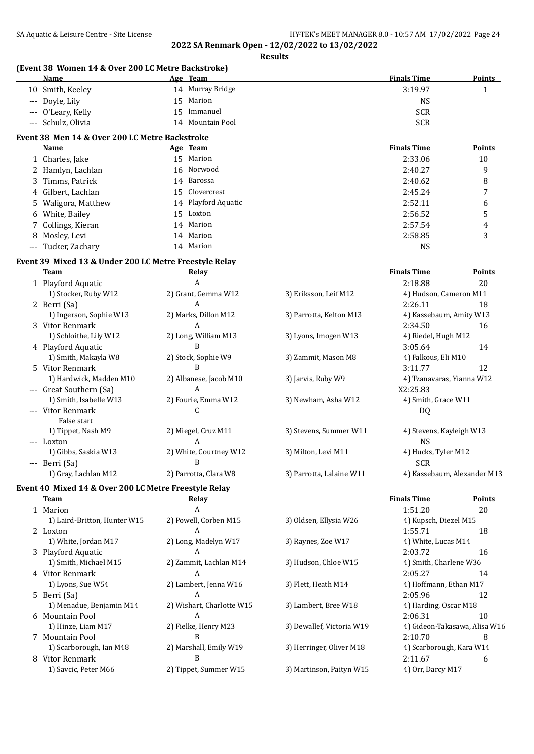**Results**

|     | (Event 38 Women 14 & Over 200 LC Metre Backstroke)<br><b>Name</b>     | Age Team                  |                           | <b>Finals Time</b>            | <b>Points</b> |
|-----|-----------------------------------------------------------------------|---------------------------|---------------------------|-------------------------------|---------------|
|     | 10 Smith, Keeley                                                      | 14 Murray Bridge          |                           | 3:19.97                       | 1             |
|     | --- Doyle, Lily                                                       | 15 Marion                 |                           | <b>NS</b>                     |               |
| --- | O'Leary, Kelly                                                        | 15 Immanuel               |                           | <b>SCR</b>                    |               |
| --- | Schulz, Olivia                                                        | 14 Mountain Pool          |                           | <b>SCR</b>                    |               |
|     | Event 38 Men 14 & Over 200 LC Metre Backstroke                        |                           |                           |                               |               |
|     | <b>Name</b>                                                           | Age Team                  |                           | <b>Finals Time</b>            | <b>Points</b> |
|     | 1 Charles, Jake                                                       | 15 Marion                 |                           | 2:33.06                       | 10            |
|     | 2 Hamlyn, Lachlan                                                     | 16 Norwood                |                           | 2:40.27                       | 9             |
|     | 3 Timms, Patrick                                                      | 14 Barossa                |                           | 2:40.62                       | 8             |
| 4   | Gilbert, Lachlan                                                      | 15 Clovercrest            |                           | 2:45.24                       | 7             |
| 5.  | Waligora, Matthew                                                     | 14 Playford Aquatic       |                           | 2:52.11                       | 6             |
| 6   | White, Bailey                                                         | 15 Loxton                 |                           | 2:56.52                       | 5             |
| 7   | Collings, Kieran                                                      | 14 Marion                 |                           | 2:57.54                       | 4             |
| 8   | Mosley, Levi                                                          | 14 Marion                 |                           | 2:58.85                       | 3             |
| --- | Tucker, Zachary                                                       | 14 Marion                 |                           | <b>NS</b>                     |               |
|     |                                                                       |                           |                           |                               |               |
|     | Event 39 Mixed 13 & Under 200 LC Metre Freestyle Relay<br><b>Team</b> | <b>Relay</b>              |                           | <b>Finals Time</b>            | <b>Points</b> |
|     | 1 Playford Aquatic                                                    | A                         |                           | 2:18.88                       | 20            |
|     | 1) Stocker, Ruby W12                                                  | 2) Grant, Gemma W12       | 3) Eriksson, Leif M12     | 4) Hudson, Cameron M11        |               |
|     | 2 Berri (Sa)                                                          | A                         |                           | 2:26.11                       | 18            |
|     | 1) Ingerson, Sophie W13                                               | 2) Marks, Dillon M12      | 3) Parrotta, Kelton M13   | 4) Kassebaum, Amity W13       |               |
|     | 3 Vitor Renmark                                                       | A                         |                           | 2:34.50                       | 16            |
|     | 1) Schloithe, Lily W12                                                | 2) Long, William M13      | 3) Lyons, Imogen W13      | 4) Riedel, Hugh M12           |               |
|     | 4 Playford Aquatic                                                    | B                         |                           | 3:05.64                       | 14            |
|     | 1) Smith, Makayla W8                                                  | 2) Stock, Sophie W9       | 3) Zammit, Mason M8       | 4) Falkous, Eli M10           |               |
|     | 5 Vitor Renmark                                                       | B                         |                           | 3:11.77                       | 12            |
|     | 1) Hardwick, Madden M10                                               | 2) Albanese, Jacob M10    | 3) Jarvis, Ruby W9        | 4) Tzanavaras, Yianna W12     |               |
|     | --- Great Southern (Sa)                                               | A                         |                           | X2:25.83                      |               |
|     | 1) Smith, Isabelle W13                                                | 2) Fourie, Emma W12       | 3) Newham, Asha W12       | 4) Smith, Grace W11           |               |
|     | --- Vitor Renmark                                                     | C                         |                           | DQ                            |               |
|     | False start                                                           |                           |                           |                               |               |
|     | 1) Tippet, Nash M9                                                    | 2) Miegel, Cruz M11       | 3) Stevens, Summer W11    | 4) Stevens, Kayleigh W13      |               |
|     | --- Loxton                                                            | A                         |                           | <b>NS</b>                     |               |
|     | 1) Gibbs, Saskia W13                                                  | 2) White, Courtney W12    | 3) Milton, Levi M11       | 4) Hucks, Tyler M12           |               |
|     | --- Berri (Sa)                                                        | B                         |                           | <b>SCR</b>                    |               |
|     | 1) Gray, Lachlan M12                                                  | 2) Parrotta, Clara W8     | 3) Parrotta, Lalaine W11  | 4) Kassebaum, Alexander M13   |               |
|     | Event 40 Mixed 14 & Over 200 LC Metre Freestyle Relay                 |                           |                           |                               |               |
|     | Team                                                                  | <b>Relay</b>              |                           | <b>Finals Time</b>            | <b>Points</b> |
|     | 1 Marion                                                              | A                         |                           | 1:51.20                       | 20            |
|     | 1) Laird-Britton, Hunter W15                                          | 2) Powell, Corben M15     | 3) Oldsen, Ellysia W26    | 4) Kupsch, Diezel M15         |               |
|     | 2 Loxton                                                              | A                         |                           | 1:55.71                       | 18            |
|     | 1) White, Jordan M17                                                  | 2) Long, Madelyn W17      | 3) Raynes, Zoe W17        | 4) White, Lucas M14           |               |
|     | 3 Playford Aquatic                                                    | A                         |                           | 2:03.72                       | 16            |
|     | 1) Smith, Michael M15                                                 | 2) Zammit, Lachlan M14    | 3) Hudson, Chloe W15      | 4) Smith, Charlene W36        |               |
|     | 4 Vitor Renmark                                                       | A                         |                           | 2:05.27                       | 14            |
|     | 1) Lyons, Sue W54                                                     | 2) Lambert, Jenna W16     | 3) Flett, Heath M14       | 4) Hoffmann, Ethan M17        |               |
|     | 5 Berri (Sa)                                                          | A                         |                           | 2:05.96                       | 12            |
|     | 1) Menadue, Benjamin M14                                              | 2) Wishart, Charlotte W15 | 3) Lambert, Bree W18      | 4) Harding, Oscar M18         |               |
|     | 6 Mountain Pool                                                       | A                         |                           | 2:06.31                       | 10            |
|     | 1) Hinze, Liam M17                                                    | 2) Fielke, Henry M23      | 3) Dewallef, Victoria W19 | 4) Gideon-Takasawa, Alisa W16 |               |
|     | 7 Mountain Pool                                                       | B                         |                           | 2:10.70                       | 8             |
|     | 1) Scarborough, Ian M48                                               | 2) Marshall, Emily W19    | 3) Herringer, Oliver M18  | 4) Scarborough, Kara W14      |               |
|     | 8 Vitor Renmark                                                       | B                         |                           | 2:11.67                       | 6             |
|     | 1) Savcic, Peter M66                                                  | 2) Tippet, Summer W15     | 3) Martinson, Paityn W15  | 4) Orr, Darcy M17             |               |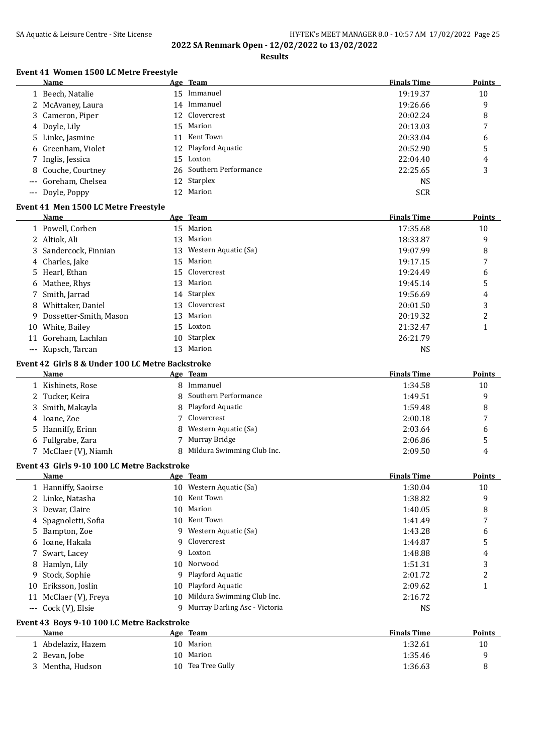## SA Aquatic & Leisure Centre - Site License **HY-TEK's MEET MANAGER 8.0 - 10:57 AM 17/02/2022** Page 25 **2022 SA Renmark Open - 12/02/2022 to 13/02/2022**

**Results**

## **Event 41 Women 1500 LC Metre Freestyle**

|    | Name                                             |    | Age Team                        | <b>Finals Time</b> | <b>Points</b> |
|----|--------------------------------------------------|----|---------------------------------|--------------------|---------------|
|    | 1 Beech, Natalie                                 |    | 15 Immanuel                     | 19:19.37           | 10            |
|    | 2 McAvaney, Laura                                |    | 14 Immanuel                     | 19:26.66           | 9             |
|    | 3 Cameron, Piper                                 | 12 | Clovercrest                     | 20:02.24           | 8             |
|    | 4 Doyle, Lily                                    | 15 | Marion                          | 20:13.03           | 7             |
| 5. | Linke, Jasmine                                   | 11 | Kent Town                       | 20:33.04           | 6             |
|    | Greenham, Violet                                 | 12 | Playford Aquatic                | 20:52.90           | 5             |
| 7  | Inglis, Jessica                                  | 15 | Loxton                          | 22:04.40           | 4             |
| 8  | Couche, Courtney                                 | 26 | Southern Performance            | 22:25.65           | 3             |
|    | Goreham, Chelsea                                 | 12 | Starplex                        | <b>NS</b>          |               |
|    | --- Doyle, Poppy                                 |    | 12 Marion                       | <b>SCR</b>         |               |
|    |                                                  |    |                                 |                    |               |
|    | Event 41 Men 1500 LC Metre Freestyle<br>Name     |    |                                 | <b>Finals Time</b> |               |
|    |                                                  |    | Age Team                        |                    | Points        |
|    | 1 Powell, Corben                                 |    | 15 Marion                       | 17:35.68           | 10            |
|    | 2 Altiok, Ali                                    |    | 13 Marion                       | 18:33.87           | 9             |
|    | 3 Sandercock, Finnian                            |    | 13 Western Aquatic (Sa)         | 19:07.99           | 8             |
|    | 4 Charles, Jake                                  |    | 15 Marion                       | 19:17.15           | 7             |
|    | 5 Hearl, Ethan                                   | 15 | Clovercrest                     | 19:24.49           | 6             |
| 6  | Mathee, Rhys                                     | 13 | Marion                          | 19:45.14           | 5             |
| 7  | Smith, Jarrad                                    |    | 14 Starplex                     | 19:56.69           | 4             |
| 8  | Whittaker, Daniel                                | 13 | Clovercrest                     | 20:01.50           | 3             |
| 9  | Dossetter-Smith, Mason                           | 13 | Marion                          | 20:19.32           | 2             |
|    | 10 White, Bailey                                 |    | 15 Loxton                       | 21:32.47           | 1             |
|    | 11 Goreham, Lachlan                              |    | 10 Starplex                     | 26:21.79           |               |
|    | --- Kupsch, Tarcan                               |    | 13 Marion                       | <b>NS</b>          |               |
|    | Event 42 Girls 8 & Under 100 LC Metre Backstroke |    |                                 |                    |               |
|    | <b>Name</b>                                      |    | Age Team                        | <b>Finals Time</b> | <b>Points</b> |
|    | 1 Kishinets, Rose                                |    | 8 Immanuel                      | 1:34.58            | 10            |
|    | 2 Tucker, Keira                                  | 8  | Southern Performance            | 1:49.51            | 9             |
| 3  | Smith, Makayla                                   |    | Playford Aquatic                | 1:59.48            | 8             |
|    | 4 Ioane, Zoe                                     | 7  | Clovercrest                     | 2:00.18            | 7             |
|    | 5 Hanniffy, Erinn                                |    | Western Aquatic (Sa)            | 2:03.64            | 6             |
|    | 6 Fullgrabe, Zara                                |    | 7 Murray Bridge                 | 2:06.86            | 5             |
|    |                                                  |    | 8 Mildura Swimming Club Inc.    |                    | 4             |
|    | 7 McClaer (V), Niamh                             |    |                                 | 2:09.50            |               |
|    | Event 43 Girls 9-10 100 LC Metre Backstroke      |    |                                 |                    |               |
|    | Name                                             |    | Age Team                        | <b>Finals Time</b> | <b>Points</b> |
|    | 1 Hanniffy, Saoirse                              |    | 10 Western Aquatic (Sa)         | 1:30.04            | 10            |
| 2  | Linke, Natasha                                   | 10 | Kent Town                       | 1:38.82            | 9             |
| 3  | Dewar, Claire                                    | 10 | Marion                          | 1:40.05            | 8             |
| 4  | Spagnoletti, Sofia                               |    | 10 Kent Town                    | 1:41.49            | 7             |
| 5  | Bampton, Zoe                                     |    | 9 Western Aquatic (Sa)          | 1:43.28            | 6             |
| 6  | Ioane, Hakala                                    | 9  | Clovercrest                     | 1:44.87            | 5             |
| 7. | Swart, Lacey                                     |    | 9 Loxton                        | 1:48.88            | 4             |
| 8  | Hamlyn, Lily                                     |    | 10 Norwood                      | 1:51.31            | 3             |
| 9  | Stock, Sophie                                    |    | 9 Playford Aquatic              | 2:01.72            | 2             |
| 10 | Eriksson, Joslin                                 | 10 | Playford Aquatic                | 2:09.62            | 1             |
|    | 11 McClaer (V), Freya                            | 10 | Mildura Swimming Club Inc.      | 2:16.72            |               |
|    | --- Cock (V), Elsie                              |    | 9 Murray Darling Asc - Victoria | <b>NS</b>          |               |
|    | Event 43 Boys 9-10 100 LC Metre Backstroke       |    |                                 |                    |               |
|    | <b>Name</b>                                      |    | Age Team                        | <b>Finals Time</b> | <b>Points</b> |
|    | 1 Abdelaziz, Hazem                               |    | 10 Marion                       | 1:32.61            | 10            |
|    |                                                  |    | 10 Marion                       | 1:35.46            |               |
|    | 2 Bevan, Jobe                                    |    | 10 Tea Tree Gully               |                    | 9             |
|    | 3 Mentha, Hudson                                 |    |                                 | 1:36.63            | 8             |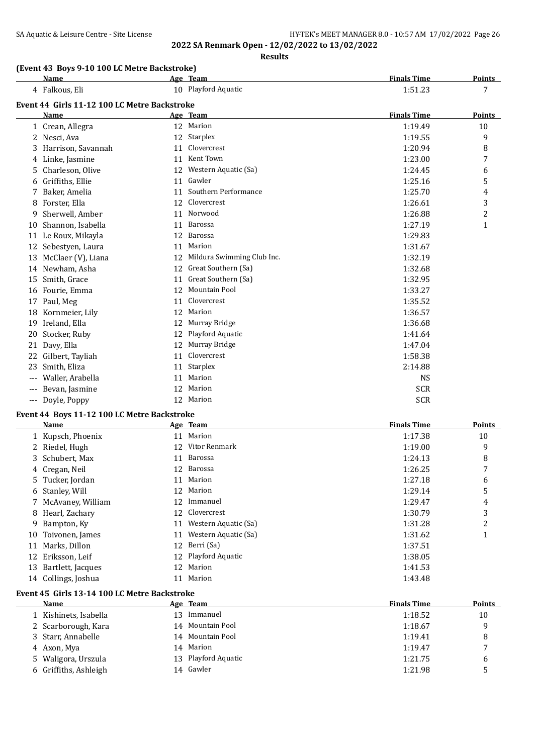## SA Aquatic & Leisure Centre - Site License **HY-TEK's MEET MANAGER 8.0 - 10:57 AM 17/02/2022** Page 26 **2022 SA Renmark Open - 12/02/2022 to 13/02/2022**

**Results**

## **(Event 43 Boys 9-10 100 LC Metre Backstroke)**

|                     | <b>Name</b>                                  |    | Age Team                   | <b>Finals Time</b> | <b>Points</b> |
|---------------------|----------------------------------------------|----|----------------------------|--------------------|---------------|
|                     | 4 Falkous, Eli                               |    | 10 Playford Aquatic        | 1:51.23            | 7             |
|                     | Event 44 Girls 11-12 100 LC Metre Backstroke |    |                            |                    |               |
|                     | Name                                         |    | Age Team                   | <b>Finals Time</b> | Points        |
|                     | 1 Crean, Allegra                             | 12 | Marion                     | 1:19.49            | 10            |
| 2                   | Nesci, Ava                                   |    | 12 Starplex                | 1:19.55            | 9             |
| 3                   | Harrison, Savannah                           | 11 | Clovercrest                | 1:20.94            | 8             |
| 4                   | Linke, Jasmine                               | 11 | Kent Town                  | 1:23.00            | 7             |
| 5                   | Charleson, Olive                             | 12 | Western Aquatic (Sa)       | 1:24.45            | 6             |
| 6                   | Griffiths, Ellie                             | 11 | Gawler                     | 1:25.16            | 5             |
| 7                   | Baker, Amelia                                | 11 | Southern Performance       | 1:25.70            | 4             |
| 8                   | Forster, Ella                                | 12 | Clovercrest                | 1:26.61            | 3             |
| 9                   | Sherwell, Amber                              | 11 | Norwood                    | 1:26.88            | 2             |
| 10                  | Shannon, Isabella                            | 11 | Barossa                    | 1:27.19            | 1             |
| 11                  | Le Roux, Mikayla                             | 12 | Barossa                    | 1:29.83            |               |
| 12                  | Sebestyen, Laura                             | 11 | Marion                     | 1:31.67            |               |
| 13                  | McClaer (V), Liana                           | 12 | Mildura Swimming Club Inc. | 1:32.19            |               |
| 14                  | Newham, Asha                                 | 12 | Great Southern (Sa)        | 1:32.68            |               |
| 15                  | Smith, Grace                                 | 11 | Great Southern (Sa)        | 1:32.95            |               |
| 16                  | Fourie, Emma                                 | 12 | <b>Mountain Pool</b>       | 1:33.27            |               |
| 17                  | Paul, Meg                                    | 11 | Clovercrest                | 1:35.52            |               |
| 18                  | Kornmeier, Lily                              | 12 | Marion                     | 1:36.57            |               |
| 19                  | Ireland, Ella                                | 12 | Murray Bridge              | 1:36.68            |               |
| 20                  | Stocker, Ruby                                | 12 | Playford Aquatic           | 1:41.64            |               |
| 21                  | Davy, Ella                                   | 12 | Murray Bridge              | 1:47.04            |               |
| 22                  | Gilbert, Tayliah                             | 11 | Clovercrest                | 1:58.38            |               |
| 23                  | Smith, Eliza                                 | 11 | <b>Starplex</b>            | 2:14.88            |               |
| $\qquad \qquad - -$ | Waller, Arabella                             | 11 | Marion                     | <b>NS</b>          |               |
|                     | Bevan, Jasmine                               | 12 | Marion                     | <b>SCR</b>         |               |
| $---$               | Doyle, Poppy                                 | 12 | Marion                     | <b>SCR</b>         |               |

#### **Event 44 Boys 11-12 100 LC Metre Backstroke**

|     | Name                |    | Age Team                | <b>Finals Time</b> | Points |
|-----|---------------------|----|-------------------------|--------------------|--------|
|     | 1 Kupsch, Phoenix   |    | 11 Marion               | 1:17.38            | 10     |
|     | 2 Riedel, Hugh      | 12 | Vitor Renmark           | 1:19.00            | 9      |
|     | 3 Schubert, Max     | 11 | Barossa                 | 1:24.13            | 8      |
|     | 4 Cregan, Neil      | 12 | Barossa                 | 1:26.25            | 7      |
|     | 5 Tucker, Jordan    |    | 11 Marion               | 1:27.18            | 6      |
|     | 6 Stanley, Will     |    | 12 Marion               | 1:29.14            | 5      |
|     | 7 McAvaney, William | 12 | Immanuel                | 1:29.47            | 4      |
|     | 8 Hearl, Zachary    | 12 | Clovercrest             | 1:30.79            | 3      |
|     | 9 Bampton, Ky       | 11 | Western Aquatic (Sa)    | 1:31.28            | 2      |
|     | 10 Toivonen, James  |    | 11 Western Aquatic (Sa) | 1:31.62            | 1      |
| 11  | Marks, Dillon       | 12 | Berri (Sa)              | 1:37.51            |        |
|     | 12 Eriksson, Leif   |    | 12 Playford Aquatic     | 1:38.05            |        |
| 13. | Bartlett, Jacques   | 12 | Marion                  | 1:41.53            |        |
|     | 14 Collings, Joshua |    | 11 Marion               | 1:43.48            |        |

#### **Event 45 Girls 13-14 100 LC Metre Backstroke**

| Name                  |    | Age Team            | <b>Finals Time</b> | <b>Points</b>            |
|-----------------------|----|---------------------|--------------------|--------------------------|
| 1 Kishinets, Isabella | 13 | Immanuel            | 1:18.52            | 10                       |
| 2 Scarborough, Kara   |    | 14 Mountain Pool    | 1:18.67            | q                        |
| 3 Starr, Annabelle    |    | 14 Mountain Pool    | 1:19.41            | 8                        |
| 4 Axon, Mya           |    | 14 Marion           | 1:19.47            | $\overline{\phantom{a}}$ |
| 5 Waligora, Urszula   |    | 13 Playford Aquatic | 1:21.75            | 6                        |
| 6 Griffiths, Ashleigh |    | 14 Gawler           | 1:21.98            |                          |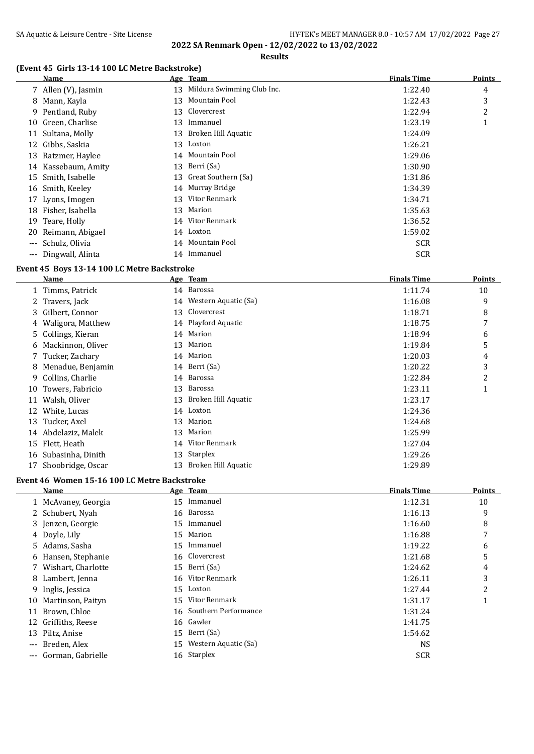#### **Results**

## **(Event 45 Girls 13-14 100 LC Metre Backstroke)**

|    | Name                 |    | Age Team                      | <b>Finals Time</b> | <b>Points</b> |
|----|----------------------|----|-------------------------------|--------------------|---------------|
|    | 7 Allen (V), Jasmin  |    | 13 Mildura Swimming Club Inc. | 1:22.40            | 4             |
|    | 8 Mann, Kayla        | 13 | Mountain Pool                 | 1:22.43            | 3             |
|    | 9 Pentland, Ruby     |    | 13 Clovercrest                | 1:22.94            | 2             |
|    | 10 Green, Charlise   | 13 | Immanuel                      | 1:23.19            |               |
|    | 11 Sultana, Molly    | 13 | Broken Hill Aquatic           | 1:24.09            |               |
|    | 12 Gibbs, Saskia     | 13 | Loxton                        | 1:26.21            |               |
|    | 13 Ratzmer, Haylee   |    | 14 Mountain Pool              | 1:29.06            |               |
|    | 14 Kassebaum, Amity  | 13 | Berri (Sa)                    | 1:30.90            |               |
| 15 | Smith, Isabelle      |    | 13 Great Southern (Sa)        | 1:31.86            |               |
| 16 | Smith, Keeley        |    | 14 Murray Bridge              | 1:34.39            |               |
|    | 17 Lyons, Imogen     | 13 | Vitor Renmark                 | 1:34.71            |               |
| 18 | Fisher, Isabella     |    | 13 Marion                     | 1:35.63            |               |
| 19 | Teare, Holly         |    | 14 Vitor Renmark              | 1:36.52            |               |
| 20 | Reimann, Abigael     |    | 14 Loxton                     | 1:59.02            |               |
|    | --- Schulz, Olivia   |    | 14 Mountain Pool              | <b>SCR</b>         |               |
|    | --- Dingwall, Alinta |    | 14 Immanuel                   | <b>SCR</b>         |               |

## **Event 45 Boys 13-14 100 LC Metre Backstroke**

|    | Name                 |    | Age Team                | <b>Finals Time</b> | <b>Points</b> |
|----|----------------------|----|-------------------------|--------------------|---------------|
|    | 1 Timms, Patrick     |    | 14 Barossa              | 1:11.74            | 10            |
|    | 2 Travers, Jack      |    | 14 Western Aquatic (Sa) | 1:16.08            | 9             |
|    | 3 Gilbert, Connor    |    | 13 Clovercrest          | 1:18.71            | 8             |
|    | 4 Waligora, Matthew  |    | 14 Playford Aquatic     | 1:18.75            | 7             |
|    | 5 Collings, Kieran   |    | 14 Marion               | 1:18.94            | 6             |
|    | 6 Mackinnon, Oliver  | 13 | Marion                  | 1:19.84            | 5             |
|    | 7 Tucker, Zachary    | 14 | Marion                  | 1:20.03            | 4             |
| 8  | Menadue, Benjamin    |    | 14 Berri (Sa)           | 1:20.22            | 3             |
| 9  | Collins, Charlie     | 14 | Barossa                 | 1:22.84            | 2             |
| 10 | Towers, Fabricio     | 13 | Barossa                 | 1:23.11            | 1             |
| 11 | Walsh, Oliver        | 13 | Broken Hill Aquatic     | 1:23.17            |               |
| 12 | White, Lucas         |    | 14 Loxton               | 1:24.36            |               |
| 13 | Tucker, Axel         | 13 | Marion                  | 1:24.68            |               |
| 14 | Abdelaziz, Malek     | 13 | Marion                  | 1:25.99            |               |
| 15 | Flett, Heath         | 14 | Vitor Renmark           | 1:27.04            |               |
|    | 16 Subasinha, Dinith | 13 | Starplex                | 1:29.26            |               |
| 17 | Shoobridge, Oscar    | 13 | Broken Hill Aquatic     | 1:29.89            |               |
|    |                      |    |                         |                    |               |

## **Event 46 Women 15-16 100 LC Metre Backstroke**

|          | Name                |    | Age Team             | <b>Finals Time</b> | <b>Points</b>  |
|----------|---------------------|----|----------------------|--------------------|----------------|
|          | 1 McAvaney, Georgia | 15 | Immanuel             | 1:12.31            | 10             |
|          | 2 Schubert, Nyah    |    | 16 Barossa           | 1:16.13            | 9              |
|          | 3 Jenzen, Georgie   | 15 | Immanuel             | 1:16.60            | 8              |
|          | 4 Doyle, Lily       | 15 | Marion               | 1:16.88            | 7              |
|          | 5 Adams, Sasha      |    | 15 Immanuel          | 1:19.22            | 6              |
|          | 6 Hansen, Stephanie |    | 16 Clovercrest       | 1:21.68            | 5              |
|          | Wishart, Charlotte  |    | 15 Berri (Sa)        | 1:24.62            | 4              |
|          | 8 Lambert, Jenna    | 16 | Vitor Renmark        | 1:26.11            | 3              |
| 9        | Inglis, Jessica     |    | 15 Loxton            | 1:27.44            | $\overline{2}$ |
| 10       | Martinson, Paityn   | 15 | Vitor Renmark        | 1:31.17            | 1              |
| 11       | Brown, Chloe        | 16 | Southern Performance | 1:31.24            |                |
|          | 12 Griffiths, Reese |    | 16 Gawler            | 1:41.75            |                |
|          | 13 Piltz, Anise     |    | 15 Berri (Sa)        | 1:54.62            |                |
| $\cdots$ | Breden, Alex        | 15 | Western Aquatic (Sa) | <b>NS</b>          |                |
| $---$    | Gorman, Gabrielle   | 16 | Starplex             | <b>SCR</b>         |                |
|          |                     |    |                      |                    |                |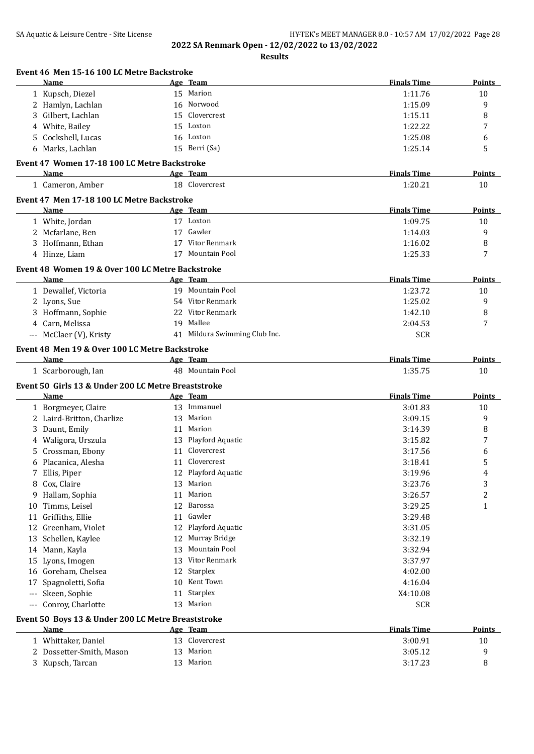**Results**

| Event 46 Men 15-16 100 LC Metre Backstroke               |    |                               |                    |               |
|----------------------------------------------------------|----|-------------------------------|--------------------|---------------|
| Name                                                     |    | Age Team                      | <b>Finals Time</b> | Points        |
| 1 Kupsch, Diezel                                         |    | 15 Marion                     | 1:11.76            | 10            |
| 2 Hamlyn, Lachlan                                        |    | 16 Norwood                    | 1:15.09            | 9             |
| Gilbert, Lachlan<br>3                                    | 15 | Clovercrest                   | 1:15.11            | 8             |
| White, Bailey<br>4                                       | 15 | Loxton                        | 1:22.22            | 7             |
| Cockshell, Lucas<br>5.                                   |    | 16 Loxton                     | 1:25.08            | 6             |
| 6 Marks, Lachlan                                         |    | 15 Berri (Sa)                 | 1:25.14            | 5             |
| Event 47 Women 17-18 100 LC Metre Backstroke             |    |                               |                    |               |
| Name                                                     |    | Age Team                      | <b>Finals Time</b> | Points        |
| 1 Cameron, Amber                                         |    | 18 Clovercrest                | 1:20.21            | 10            |
| Event 47 Men 17-18 100 LC Metre Backstroke               |    |                               |                    |               |
| Name                                                     |    | Age Team                      | <b>Finals Time</b> | Points        |
| 1 White, Jordan                                          |    | 17 Loxton                     | 1:09.75            | 10            |
| 2 Mcfarlane, Ben                                         |    | 17 Gawler                     | 1:14.03            | 9             |
| 3 Hoffmann, Ethan                                        |    | 17 Vitor Renmark              | 1:16.02            | 8             |
| 4 Hinze, Liam                                            |    | 17 Mountain Pool              | 1:25.33            | 7             |
|                                                          |    |                               |                    |               |
| Event 48 Women 19 & Over 100 LC Metre Backstroke<br>Name |    | Age Team                      | <b>Finals Time</b> | Points        |
| 1 Dewallef, Victoria                                     |    | 19 Mountain Pool              | 1:23.72            | 10            |
| 2 Lyons, Sue                                             |    | 54 Vitor Renmark              | 1:25.02            | 9             |
| 3 Hoffmann, Sophie                                       |    | 22 Vitor Renmark              | 1:42.10            | 8             |
|                                                          |    | 19 Mallee                     |                    | 7             |
| 4 Carn, Melissa                                          |    |                               | 2:04.53            |               |
| --- McClaer (V), Kristy                                  |    | 41 Mildura Swimming Club Inc. | <b>SCR</b>         |               |
| Event 48 Men 19 & Over 100 LC Metre Backstroke           |    |                               |                    |               |
| Name                                                     |    | Age Team                      | <b>Finals Time</b> | <b>Points</b> |
| 1 Scarborough, Ian                                       |    | 48 Mountain Pool              | 1:35.75            | 10            |
| Event 50 Girls 13 & Under 200 LC Metre Breaststroke      |    |                               |                    |               |
| Name                                                     |    | Age Team                      | <b>Finals Time</b> | Points        |
| 1 Borgmeyer, Claire                                      |    | 13 Immanuel                   | 3:01.83            | 10            |
| 2 Laird-Britton, Charlize                                | 13 | Marion                        | 3:09.15            | 9             |
| Daunt, Emily<br>3                                        | 11 | Marion                        | 3:14.39            | 8             |
| 4 Waligora, Urszula                                      |    | 13 Playford Aquatic           | 3:15.82            | 7             |
| Crossman, Ebony<br>5.                                    | 11 | Clovercrest                   | 3:17.56            | 6             |
| 6 Placanica, Alesha                                      |    | 11 Clovercrest                | 3:18.41            | 5             |
| 7 Ellis, Piper                                           |    | 12 Playford Aquatic           | 3:19.96            | 4             |
| Cox, Claire<br>8                                         |    | 13 Marion                     | 3:23.76            | 3             |
| Hallam, Sophia<br>9                                      | 11 | Marion                        | 3:26.57            | 2             |
| Timms, Leisel<br>10                                      | 12 | Barossa                       | 3:29.25            | $\mathbf{1}$  |
| Griffiths, Ellie<br>11                                   | 11 | Gawler                        | 3:29.48            |               |
| 12 Greenham, Violet                                      | 12 | Playford Aquatic              | 3:31.05            |               |
| Schellen, Kaylee<br>13                                   |    | 12 Murray Bridge              | 3:32.19            |               |
| 14 Mann, Kayla                                           | 13 | Mountain Pool                 | 3:32.94            |               |
| Lyons, Imogen                                            | 13 | Vitor Renmark                 | 3:37.97            |               |
| 15                                                       |    |                               |                    |               |
| Goreham, Chelsea<br>16                                   | 12 | Starplex                      | 4:02.00            |               |
| Spagnoletti, Sofia<br>17                                 | 10 | Kent Town                     | 4:16.04            |               |
| Skeen, Sophie<br>$\scriptstyle\cdots$                    | 11 | Starplex                      | X4:10.08           |               |
| Conroy, Charlotte<br>$\scriptstyle\cdots$                |    | 13 Marion                     | <b>SCR</b>         |               |
| Event 50 Boys 13 & Under 200 LC Metre Breaststroke       |    |                               |                    |               |
| Name                                                     |    | Age Team                      | <b>Finals Time</b> | <b>Points</b> |
| 1 Whittaker, Daniel                                      |    | 13 Clovercrest                | 3:00.91            | 10            |
| 2 Dossetter-Smith, Mason                                 | 13 | Marion                        | 3:05.12            | 9             |
| 3 Kupsch, Tarcan                                         |    | 13 Marion                     | 3:17.23            | 8             |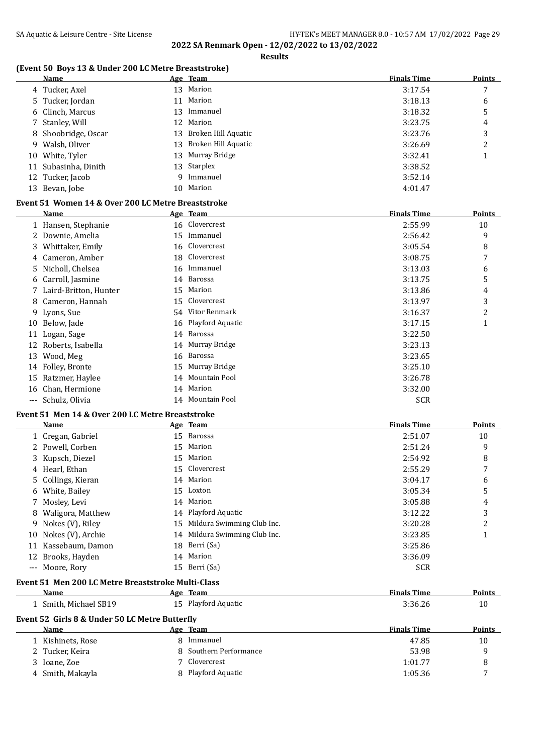$\overline{a}$ 

**2022 SA Renmark Open - 12/02/2022 to 13/02/2022 Results**

#### **(Event 50 Boys 13 & Under 200 LC Metre Breaststroke)**

|    | Name                 | Age Team               | <b>Finals Time</b> | <b>Points</b> |
|----|----------------------|------------------------|--------------------|---------------|
|    | 4 Tucker, Axel       | 13 Marion              | 3:17.54            | 7             |
|    | 5 Tucker, Jordan     | 11 Marion              | 3:18.13            | 6             |
|    | 6 Clinch, Marcus     | 13 Immanuel            | 3:18.32            | 5             |
|    | 7 Stanley, Will      | 12 Marion              | 3:23.75            | 4             |
|    | 8 Shoobridge, Oscar  | 13 Broken Hill Aquatic | 3:23.76            | 3             |
|    | 9 Walsh, Oliver      | 13 Broken Hill Aquatic | 3:26.69            | 2             |
|    | 10 White, Tyler      | 13 Murray Bridge       | 3:32.41            |               |
|    | 11 Subasinha, Dinith | 13 Starplex            | 3:38.52            |               |
|    | 12 Tucker, Jacob     | 9 Immanuel             | 3:52.14            |               |
| 13 | Bevan, Jobe          | 10 Marion              | 4:01.47            |               |

## **Event 51 Women 14 & Over 200 LC Metre Breaststroke**

|    | Name                  |    | Age Team            | <b>Finals Time</b> | Points |
|----|-----------------------|----|---------------------|--------------------|--------|
|    | 1 Hansen, Stephanie   |    | 16 Clovercrest      | 2:55.99            | 10     |
|    | 2 Downie, Amelia      | 15 | Immanuel            | 2:56.42            | 9      |
| 3  | Whittaker, Emily      | 16 | Clovercrest         | 3:05.54            | 8      |
| 4  | Cameron, Amber        | 18 | Clovercrest         | 3:08.75            | 7      |
| 5. | Nicholl, Chelsea      | 16 | Immanuel            | 3:13.03            | 6      |
|    | 6 Carroll, Jasmine    | 14 | Barossa             | 3:13.75            | 5      |
|    | Laird-Britton, Hunter | 15 | Marion              | 3:13.86            | 4      |
| 8  | Cameron, Hannah       | 15 | Clovercrest         | 3:13.97            | 3      |
|    | 9 Lyons, Sue          |    | 54 Vitor Renmark    | 3:16.37            | 2      |
| 10 | Below, Jade           |    | 16 Playford Aquatic | 3:17.15            | 1      |
|    | 11 Logan, Sage        |    | 14 Barossa          | 3:22.50            |        |
| 12 | Roberts, Isabella     | 14 | Murray Bridge       | 3:23.13            |        |
| 13 | Wood, Meg             | 16 | Barossa             | 3:23.65            |        |
|    | 14 Folley, Bronte     | 15 | Murray Bridge       | 3:25.10            |        |
|    | 15 Ratzmer, Haylee    | 14 | Mountain Pool       | 3:26.78            |        |
|    | 16 Chan, Hermione     | 14 | Marion              | 3:32.00            |        |
|    | --- Schulz, Olivia    | 14 | Mountain Pool       | <b>SCR</b>         |        |

#### **Event 51 Men 14 & Over 200 LC Metre Breaststroke**

|    | <b>Name</b>                                        |    | Age Team                   | <b>Finals Time</b> | Points        |
|----|----------------------------------------------------|----|----------------------------|--------------------|---------------|
|    | 1 Cregan, Gabriel                                  | 15 | Barossa                    | 2:51.07            | 10            |
|    | Powell, Corben                                     | 15 | Marion                     | 2:51.24            | 9             |
|    | 3 Kupsch, Diezel                                   | 15 | Marion                     | 2:54.92            | 8             |
| 4  | Hearl, Ethan                                       | 15 | Clovercrest                | 2:55.29            | 7             |
|    | Collings, Kieran                                   | 14 | Marion                     | 3:04.17            | 6             |
| 6  | White, Bailey                                      | 15 | Loxton                     | 3:05.34            | 5             |
|    | Mosley, Levi                                       | 14 | Marion                     | 3:05.88            | 4             |
| 8  | Waligora, Matthew                                  | 14 | Playford Aquatic           | 3:12.22            | 3             |
| 9  | Nokes (V), Riley                                   | 15 | Mildura Swimming Club Inc. | 3:20.28            | 2             |
| 10 | Nokes (V), Archie                                  | 14 | Mildura Swimming Club Inc. | 3:23.85            |               |
| 11 | Kassebaum, Damon                                   | 18 | Berri (Sa)                 | 3:25.86            |               |
| 12 | Brooks, Hayden                                     | 14 | Marion                     | 3:36.09            |               |
|    | --- Moore, Rory                                    |    | 15 Berri (Sa)              | <b>SCR</b>         |               |
|    | Event 51 Men 200 LC Metre Breaststroke Multi-Class |    |                            |                    |               |
|    | Name                                               |    | Age Team                   | <b>Finals Time</b> | Points        |
|    | 1 Smith, Michael SB19                              |    | 15 Playford Aquatic        | 3:36.26            | 10            |
|    | Event 52 Girls 8 & Under 50 LC Metre Butterfly     |    |                            |                    |               |
|    | Name                                               |    | Age Team                   | <b>Finals Time</b> | <b>Points</b> |
|    | Kishinets, Rose                                    | 8  | Immanuel                   | 47.85              | 10            |
|    | 2 Tucker, Keira                                    | 8  | Southern Performance       | 53.98              | 9             |
|    | $2 \times 7$                                       |    | $7$ Clorenancet            | 1.0177             | <sup>o</sup>  |

#### Ioane, Zoe 7 Clovercrest 1:01.77 8 4 Smith, Makayla **8 Playford Aquatic 8 Playford Aquatic** 1:05.36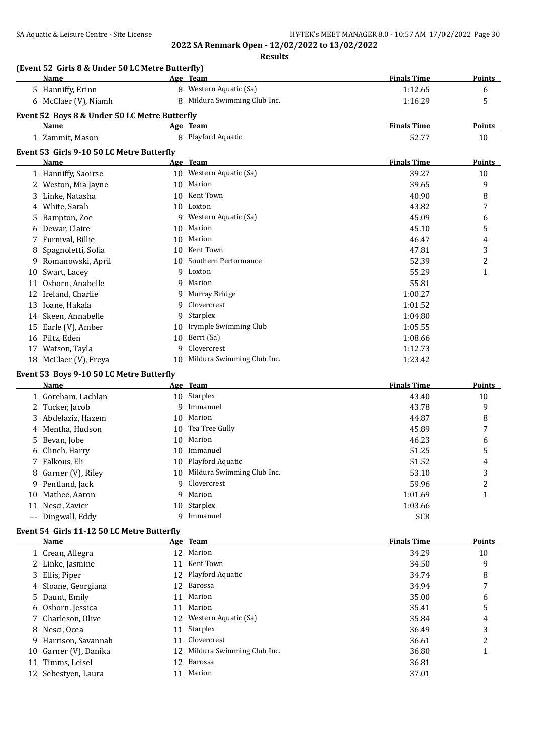**Results**

|    | (Event 52 Girls 8 & Under 50 LC Metre Butterfly)<br>Name  |     | Age Team                      | <b>Finals Time</b> | <b>Points</b>           |
|----|-----------------------------------------------------------|-----|-------------------------------|--------------------|-------------------------|
|    | 5 Hanniffy, Erinn                                         |     | 8 Western Aquatic (Sa)        | 1:12.65            | 6                       |
|    | 6 McClaer (V), Niamh                                      |     | 8 Mildura Swimming Club Inc.  | 1:16.29            | 5                       |
|    | Event 52 Boys 8 & Under 50 LC Metre Butterfly             |     |                               |                    |                         |
|    | Name                                                      |     | Age Team                      | <b>Finals Time</b> | <b>Points</b>           |
|    | 1 Zammit, Mason                                           |     | 8 Playford Aquatic            | 52.77              | 10                      |
|    | Event 53 Girls 9-10 50 LC Metre Butterfly                 |     |                               |                    |                         |
|    | <b>Name</b>                                               |     | Age Team                      | <b>Finals Time</b> | Points                  |
|    | 1 Hanniffy, Saoirse                                       |     | 10 Western Aquatic (Sa)       | 39.27              | 10                      |
|    | 2 Weston, Mia Jayne                                       | 10. | Marion                        | 39.65              | 9                       |
|    | 3 Linke, Natasha                                          | 10  | Kent Town                     | 40.90              | 8                       |
|    | 4 White, Sarah                                            |     | 10 Loxton                     | 43.82              | 7                       |
| 5  | Bampton, Zoe                                              |     | 9 Western Aquatic (Sa)        | 45.09              | 6                       |
| 6  | Dewar, Claire                                             | 10  | Marion                        | 45.10              | 5                       |
|    | 7 Furnival, Billie                                        | 10  | Marion                        | 46.47              | 4                       |
| 8  | Spagnoletti, Sofia                                        | 10  | Kent Town                     | 47.81              | 3                       |
|    | 9 Romanowski, April                                       | 10  | Southern Performance          | 52.39              | 2                       |
| 10 | Swart, Lacey                                              |     | 9 Loxton                      | 55.29              | 1                       |
| 11 | Osborn, Anabelle                                          | 9   | Marion                        | 55.81              |                         |
|    | 12 Ireland, Charlie                                       | 9   | Murray Bridge                 | 1:00.27            |                         |
|    | 13 Ioane, Hakala                                          | q   | Clovercrest                   | 1:01.52            |                         |
|    | 14 Skeen, Annabelle                                       | 9   | Starplex                      | 1:04.80            |                         |
|    | 15 Earle (V), Amber                                       |     | 10 Irymple Swimming Club      | 1:05.55            |                         |
|    | 16 Piltz, Eden                                            | 10  | Berri (Sa)                    | 1:08.66            |                         |
|    | 17 Watson, Tayla                                          | 9   | Clovercrest                   | 1:12.73            |                         |
|    | 18 McClaer (V), Freya                                     |     | 10 Mildura Swimming Club Inc. | 1:23.42            |                         |
|    | Event 53 Boys 9-10 50 LC Metre Butterfly                  |     |                               |                    |                         |
|    | Name                                                      |     | Age Team                      | <b>Finals Time</b> | Points                  |
|    | 1 Goreham, Lachlan                                        |     | 10 Starplex                   | 43.40              | 10                      |
|    | 2 Tucker, Jacob                                           | 9   | Immanuel                      | 43.78              | 9                       |
|    | 3 Abdelaziz, Hazem                                        | 10  | Marion                        | 44.87              | 8                       |
| 4  | Mentha, Hudson                                            | 10  | Tea Tree Gully                | 45.89              | 7                       |
| 5. | Bevan, Jobe                                               | 10  | Marion                        | 46.23              | 6                       |
| 6  | Clinch, Harry                                             |     | 10 Immanuel                   | 51.25              | 5                       |
|    | 7 Falkous, Eli                                            |     | 10 Playford Aquatic           | 51.52              |                         |
|    |                                                           |     |                               |                    | 4                       |
|    | 8 Garner (V), Riley                                       |     | 10 Mildura Swimming Club Inc. | 53.10              | 3                       |
|    | 9 Pentland, Jack                                          | Q.  | Clovercrest                   | 59.96              | 2                       |
|    | 10 Mathee, Aaron                                          | 9   | Marion                        | 1:01.69            | 1                       |
|    | 11 Nesci, Zavier                                          |     | 10 Starplex                   | 1:03.66            |                         |
|    | --- Dingwall, Eddy                                        | q   | Immanuel                      | <b>SCR</b>         |                         |
|    |                                                           |     |                               |                    |                         |
|    | Event 54 Girls 11-12 50 LC Metre Butterfly<br><b>Name</b> |     | Age Team                      | <b>Finals Time</b> | Points                  |
|    | 1 Crean, Allegra                                          |     | 12 Marion                     | 34.29              | 10                      |
|    |                                                           |     | 11 Kent Town                  | 34.50              | 9                       |
|    | 2 Linke, Jasmine                                          |     | 12 Playford Aquatic           | 34.74              | 8                       |
| 4  | 3 Ellis, Piper                                            | 12  | Barossa                       | 34.94              | 7                       |
| 5  | Sloane, Georgiana<br>Daunt, Emily                         | 11  | Marion                        | 35.00              | 6                       |
| 6  | Osborn, Jessica                                           | 11  | Marion                        | 35.41              | 5                       |
| 7  | Charleson, Olive                                          |     | 12 Western Aquatic (Sa)       | 35.84              | 4                       |
| 8  | Nesci, Ocea                                               | 11  | Starplex                      | 36.49              | 3                       |
| 9  | Harrison, Savannah                                        | 11  | Clovercrest                   | 36.61              | $\overline{\mathbf{c}}$ |
| 10 |                                                           | 12  | Mildura Swimming Club Inc.    |                    | $\mathbf{1}$            |
| 11 | Garner (V), Danika<br>Timms, Leisel                       | 12  | Barossa                       | 36.80<br>36.81     |                         |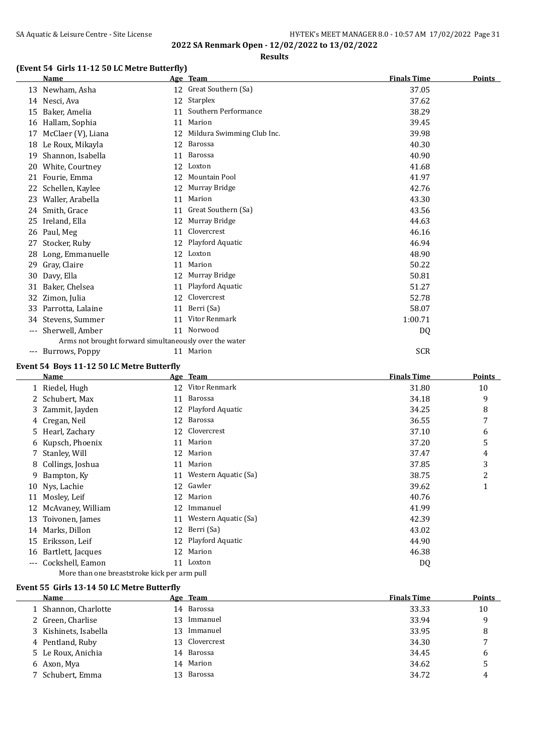## **Results**

## **(Event 54 Girls 11-12 50 LC Metre Butterfly)**

|    | <b>Name</b>                                            |    | Age Team                   | <b>Finals Time</b> | <b>Points</b> |
|----|--------------------------------------------------------|----|----------------------------|--------------------|---------------|
|    | 13 Newham, Asha                                        |    | 12 Great Southern (Sa)     | 37.05              |               |
|    | 14 Nesci, Ava                                          | 12 | Starplex                   | 37.62              |               |
| 15 | Baker, Amelia                                          | 11 | Southern Performance       | 38.29              |               |
| 16 | Hallam, Sophia                                         | 11 | Marion                     | 39.45              |               |
| 17 | McClaer (V), Liana                                     | 12 | Mildura Swimming Club Inc. | 39.98              |               |
| 18 | Le Roux, Mikayla                                       | 12 | Barossa                    | 40.30              |               |
| 19 | Shannon, Isabella                                      | 11 | Barossa                    | 40.90              |               |
| 20 | White, Courtney                                        | 12 | Loxton                     | 41.68              |               |
| 21 | Fourie, Emma                                           | 12 | <b>Mountain Pool</b>       | 41.97              |               |
| 22 | Schellen, Kaylee                                       | 12 | Murray Bridge              | 42.76              |               |
| 23 | Waller, Arabella                                       | 11 | Marion                     | 43.30              |               |
| 24 | Smith, Grace                                           | 11 | Great Southern (Sa)        | 43.56              |               |
| 25 | Ireland, Ella                                          | 12 | Murray Bridge              | 44.63              |               |
| 26 | Paul, Meg                                              | 11 | Clovercrest                | 46.16              |               |
| 27 | Stocker, Ruby                                          | 12 | Playford Aquatic           | 46.94              |               |
| 28 | Long, Emmanuelle                                       | 12 | Loxton                     | 48.90              |               |
| 29 | Gray, Claire                                           | 11 | Marion                     | 50.22              |               |
| 30 | Davy, Ella                                             | 12 | Murray Bridge              | 50.81              |               |
| 31 | Baker, Chelsea                                         | 11 | Playford Aquatic           | 51.27              |               |
| 32 | Zimon, Julia                                           | 12 | Clovercrest                | 52.78              |               |
|    | 33 Parrotta, Lalaine                                   | 11 | Berri (Sa)                 | 58.07              |               |
| 34 | Stevens, Summer                                        | 11 | Vitor Renmark              | 1:00.71            |               |
|    | --- Sherwell, Amber                                    |    | 11 Norwood                 | DQ                 |               |
|    | Arms not brought forward simultaneously over the water |    |                            |                    |               |
|    | --- Burrows, Poppy                                     |    | 11 Marion                  | <b>SCR</b>         |               |
|    | Event 54 Boys 11-12 50 LC Metre Butterfly              |    |                            |                    |               |
|    | Name                                                   |    | Age Team                   | <b>Finals Time</b> | <b>Points</b> |
|    | 1 Riedel, Hugh                                         |    | 12 Vitor Renmark           | 31.80              | 10            |
|    | 2 Schubert May                                         |    | 11 Barossa                 | 34.18              | q             |

|       | Riedel, Hugh                                 | 12 | Vitor Renmark        | 31.80 | 10 |
|-------|----------------------------------------------|----|----------------------|-------|----|
|       | 2 Schubert, Max                              | 11 | Barossa              | 34.18 | 9  |
| 3     | Zammit, Jayden                               | 12 | Playford Aquatic     | 34.25 | 8  |
|       | 4 Cregan, Neil                               | 12 | Barossa              | 36.55 | 7  |
|       | 5 Hearl, Zachary                             | 12 | Clovercrest          | 37.10 | 6  |
| 6     | Kupsch, Phoenix                              | 11 | Marion               | 37.20 | 5  |
| 7     | Stanley, Will                                | 12 | Marion               | 37.47 | 4  |
|       | 8 Collings, Joshua                           | 11 | Marion               | 37.85 | 3  |
| 9     | Bampton, Ky                                  | 11 | Western Aquatic (Sa) | 38.75 | 2  |
| 10    | Nys, Lachie                                  | 12 | Gawler               | 39.62 | 1  |
| 11    | Mosley, Leif                                 | 12 | Marion               | 40.76 |    |
| 12    | McAvaney, William                            | 12 | Immanuel             | 41.99 |    |
| 13    | Toivonen, James                              | 11 | Western Aquatic (Sa) | 42.39 |    |
| 14    | Marks, Dillon                                | 12 | Berri (Sa)           | 43.02 |    |
| 15    | Eriksson, Leif                               | 12 | Playford Aquatic     | 44.90 |    |
| 16    | Bartlett, Jacques                            | 12 | Marion               | 46.38 |    |
| $---$ | Cockshell, Eamon                             | 11 | Loxton               | DQ    |    |
|       | More than one breaststroke kick per arm pull |    |                      |       |    |

#### **Event 55 Girls 13-14 50 LC Metre Butterfly**

| Name                  |    | Age Team    | <b>Finals Time</b> | <b>Points</b> |
|-----------------------|----|-------------|--------------------|---------------|
| 1 Shannon, Charlotte  |    | 14 Barossa  | 33.33              | 10            |
| 2 Green, Charlise     | 13 | Immanuel    | 33.94              | 9             |
| 3 Kishinets, Isabella | 13 | Immanuel    | 33.95              | 8             |
| 4 Pentland, Ruby      | 13 | Clovercrest | 34.30              | 7             |
| 5 Le Roux, Anichia    |    | 14 Barossa  | 34.45              | 6             |
| 6 Axon, Mya           |    | 14 Marion   | 34.62              | 5             |
| 7 Schubert, Emma      | 13 | Barossa     | 34.72              | 4             |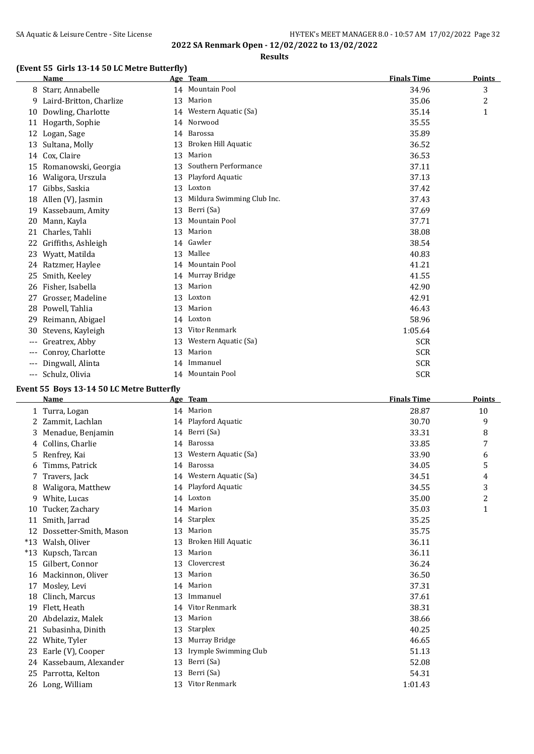## **Results**

## **(Event 55 Girls 13-14 50 LC Metre Butterfly)**

|     | <b>Name</b>             |    | Age Team                   | <b>Finals Time</b> | <b>Points</b> |
|-----|-------------------------|----|----------------------------|--------------------|---------------|
| 8   | Starr, Annabelle        |    | 14 Mountain Pool           | 34.96              | 3             |
| 9   | Laird-Britton, Charlize | 13 | Marion                     | 35.06              | 2             |
| 10  | Dowling, Charlotte      |    | 14 Western Aquatic (Sa)    | 35.14              | 1             |
| 11  | Hogarth, Sophie         | 14 | Norwood                    | 35.55              |               |
| 12  | Logan, Sage             | 14 | Barossa                    | 35.89              |               |
| 13  | Sultana, Molly          | 13 | Broken Hill Aquatic        | 36.52              |               |
| 14  | Cox, Claire             | 13 | Marion                     | 36.53              |               |
| 15  | Romanowski, Georgia     | 13 | Southern Performance       | 37.11              |               |
| 16  | Waligora, Urszula       | 13 | Playford Aquatic           | 37.13              |               |
| 17  | Gibbs, Saskia           | 13 | Loxton                     | 37.42              |               |
| 18  | Allen (V), Jasmin       | 13 | Mildura Swimming Club Inc. | 37.43              |               |
| 19  | Kassebaum, Amity        | 13 | Berri (Sa)                 | 37.69              |               |
| 20  | Mann, Kayla             | 13 | Mountain Pool              | 37.71              |               |
| 21  | Charles, Tahli          | 13 | Marion                     | 38.08              |               |
| 22  | Griffiths, Ashleigh     |    | 14 Gawler                  | 38.54              |               |
| 23  | Wyatt, Matilda          | 13 | Mallee                     | 40.83              |               |
| 24  | Ratzmer, Haylee         | 14 | Mountain Pool              | 41.21              |               |
| 25  | Smith, Keeley           |    | 14 Murray Bridge           | 41.55              |               |
| 26  | Fisher, Isabella        | 13 | Marion                     | 42.90              |               |
| 27  | Grosser, Madeline       | 13 | Loxton                     | 42.91              |               |
| 28  | Powell, Tahlia          | 13 | Marion                     | 46.43              |               |
| 29  | Reimann, Abigael        | 14 | Loxton                     | 58.96              |               |
| 30  | Stevens, Kayleigh       | 13 | Vitor Renmark              | 1:05.64            |               |
| --- | Greatrex, Abby          | 13 | Western Aquatic (Sa)       | <b>SCR</b>         |               |
| --- | Conroy, Charlotte       | 13 | Marion                     | <b>SCR</b>         |               |
| --- | Dingwall, Alinta        | 14 | Immanuel                   | <b>SCR</b>         |               |
| --- | Schulz, Olivia          |    | 14 Mountain Pool           | <b>SCR</b>         |               |

## **Event 55 Boys 13-14 50 LC Metre Butterfly**

|       | <b>Name</b>            |    | Age Team              | <b>Finals Time</b> | <b>Points</b>  |
|-------|------------------------|----|-----------------------|--------------------|----------------|
|       | 1 Turra, Logan         | 14 | Marion                | 28.87              | 10             |
|       | Zammit, Lachlan        |    | 14 Playford Aquatic   | 30.70              | 9              |
| 3     | Menadue, Benjamin      | 14 | Berri (Sa)            | 33.31              | 8              |
| 4     | Collins, Charlie       | 14 | Barossa               | 33.85              | 7              |
| 5.    | Renfrey, Kai           | 13 | Western Aquatic (Sa)  | 33.90              | 6              |
| 6     | Timms, Patrick         | 14 | Barossa               | 34.05              | 5              |
|       | Travers, Jack          | 14 | Western Aquatic (Sa)  | 34.51              | 4              |
| 8     | Waligora, Matthew      |    | 14 Playford Aquatic   | 34.55              | 3              |
| 9     | White, Lucas           |    | 14 Loxton             | 35.00              | $\overline{c}$ |
| 10    | Tucker, Zachary        |    | 14 Marion             | 35.03              | $\mathbf{1}$   |
| 11    | Smith, Jarrad          | 14 | Starplex              | 35.25              |                |
| 12    | Dossetter-Smith, Mason | 13 | Marion                | 35.75              |                |
| $*13$ | Walsh, Oliver          | 13 | Broken Hill Aquatic   | 36.11              |                |
| $*13$ | Kupsch, Tarcan         | 13 | Marion                | 36.11              |                |
| 15    | Gilbert, Connor        | 13 | Clovercrest           | 36.24              |                |
| 16    | Mackinnon, Oliver      | 13 | Marion                | 36.50              |                |
| 17    | Mosley, Levi           | 14 | Marion                | 37.31              |                |
| 18    | Clinch, Marcus         | 13 | Immanuel              | 37.61              |                |
| 19    | Flett, Heath           | 14 | Vitor Renmark         | 38.31              |                |
| 20    | Abdelaziz, Malek       | 13 | Marion                | 38.66              |                |
| 21    | Subasinha, Dinith      | 13 | <b>Starplex</b>       | 40.25              |                |
| 22    | White, Tyler           | 13 | Murray Bridge         | 46.65              |                |
| 23    | Earle (V), Cooper      | 13 | Irymple Swimming Club | 51.13              |                |
| 24    | Kassebaum, Alexander   | 13 | Berri (Sa)            | 52.08              |                |
| 25    | Parrotta, Kelton       | 13 | Berri (Sa)            | 54.31              |                |
|       | 26 Long, William       | 13 | Vitor Renmark         | 1:01.43            |                |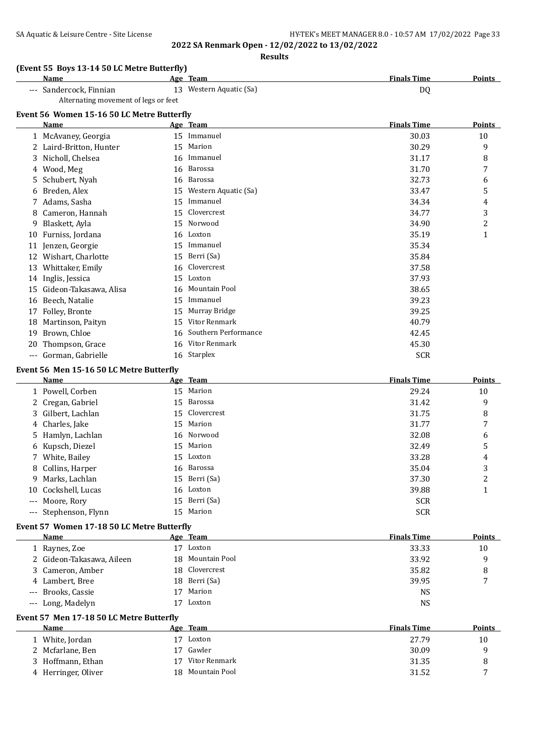# SA Aquatic & Leisure Centre - Site License **HY-TEK's MEET MANAGER 8.0 - 10:57 AM 17/02/2022** Page 33

**2022 SA Renmark Open - 12/02/2022 to 13/02/2022**

**Results**

#### **(Event 55 Boys 13-14 50 LC Metre Butterfly)**

| Name                                 | Team<br>Age             | <b>Finals Time</b><br><b>Points</b> |  |
|--------------------------------------|-------------------------|-------------------------------------|--|
| --- Sandercock, Finnian              | 13 Western Aquatic (Sa) | DC                                  |  |
| Alternating movement of legs or feet |                         |                                     |  |

## **Event 56 Women 15-16 50 LC Metre Butterfly**

|     | Name                   |    | Age Team             | <b>Finals Time</b> | <b>Points</b> |
|-----|------------------------|----|----------------------|--------------------|---------------|
|     | 1 McAvaney, Georgia    | 15 | Immanuel             | 30.03              | 10            |
|     | Laird-Britton, Hunter  | 15 | Marion               | 30.29              | 9             |
| 3   | Nicholl, Chelsea       | 16 | Immanuel             | 31.17              | 8             |
| 4   | Wood, Meg              | 16 | Barossa              | 31.70              | 7             |
| 5   | Schubert, Nyah         | 16 | Barossa              | 32.73              | 6             |
| 6   | Breden, Alex           | 15 | Western Aquatic (Sa) | 33.47              | 5             |
|     | Adams, Sasha           | 15 | Immanuel             | 34.34              | 4             |
| 8   | Cameron, Hannah        | 15 | Clovercrest          | 34.77              | 3             |
| 9   | Blaskett, Ayla         | 15 | Norwood              | 34.90              | 2             |
| 10  | Furniss, Jordana       | 16 | Loxton               | 35.19              | 1             |
| 11  | Jenzen, Georgie        | 15 | Immanuel             | 35.34              |               |
| 12  | Wishart, Charlotte     | 15 | Berri (Sa)           | 35.84              |               |
| 13  | Whittaker, Emily       | 16 | Clovercrest          | 37.58              |               |
| 14  | Inglis, Jessica        | 15 | Loxton               | 37.93              |               |
| 15  | Gideon-Takasawa, Alisa | 16 | Mountain Pool        | 38.65              |               |
| 16  | Beech, Natalie         | 15 | Immanuel             | 39.23              |               |
| 17  | Folley, Bronte         | 15 | Murray Bridge        | 39.25              |               |
| 18  | Martinson, Paityn      | 15 | Vitor Renmark        | 40.79              |               |
| 19  | Brown, Chloe           | 16 | Southern Performance | 42.45              |               |
| 20  | Thompson, Grace        | 16 | Vitor Renmark        | 45.30              |               |
| --- | Gorman, Gabrielle      |    | 16 Starplex          | <b>SCR</b>         |               |

#### **Event 56 Men 15-16 50 LC Metre Butterfly**

| Name                  |    | Age Team       | <b>Finals Time</b> | <b>Points</b> |
|-----------------------|----|----------------|--------------------|---------------|
| 1 Powell, Corben      |    | 15 Marion      | 29.24              | 10            |
| 2 Cregan, Gabriel     |    | 15 Barossa     | 31.42              | 9             |
| 3 Gilbert, Lachlan    |    | 15 Clovercrest | 31.75              | 8             |
| 4 Charles, Jake       |    | 15 Marion      | 31.77              | 7             |
| 5 Hamlyn, Lachlan     |    | 16 Norwood     | 32.08              | 6             |
| 6 Kupsch, Diezel      |    | 15 Marion      | 32.49              | 5             |
| 7 White, Bailey       |    | 15 Loxton      | 33.28              | 4             |
| 8 Collins, Harper     |    | 16 Barossa     | 35.04              | 3             |
| 9 Marks, Lachlan      |    | 15 Berri (Sa)  | 37.30              | 2             |
| 10 Cockshell, Lucas   |    | 16 Loxton      | 39.88              | 1             |
| --- Moore, Rory       |    | 15 Berri (Sa)  | <b>SCR</b>         |               |
| --- Stephenson, Flynn | 15 | Marion         | <b>SCR</b>         |               |

#### **Event 57 Women 17-18 50 LC Metre Butterfly**

| Name                      |    | Age Team         | <b>Finals Time</b> | Points |
|---------------------------|----|------------------|--------------------|--------|
| Raynes, Zoe               | 17 | Loxton           | 33.33              | 10     |
| 2 Gideon-Takasawa, Aileen |    | 18 Mountain Pool | 33.92              | 9      |
| 3 Cameron, Amber          |    | 18 Clovercrest   | 35.82              | 8      |
| 4 Lambert, Bree           |    | 18 Berri (Sa)    | 39.95              | 7      |
| --- Brooks, Cassie        |    | Marion           | NS                 |        |
| --- Long, Madelyn         |    | Loxton           | NS                 |        |
|                           |    |                  |                    |        |

#### **Event 57 Men 17-18 50 LC Metre Butterfly**

| Name                | Age Team            | <b>Finals Time</b> | <b>Points</b>  |
|---------------------|---------------------|--------------------|----------------|
| 1 White, Jordan     | 17<br>Loxton        | 27.79              | 10             |
| 2 Mcfarlane, Ben    | Gawler<br>17        | 30.09              | a              |
| 3 Hoffmann, Ethan   | Vitor Renmark<br>17 | 31.35              | 8              |
| 4 Herringer, Oliver | 18 Mountain Pool    | 31.52              | $\overline{ }$ |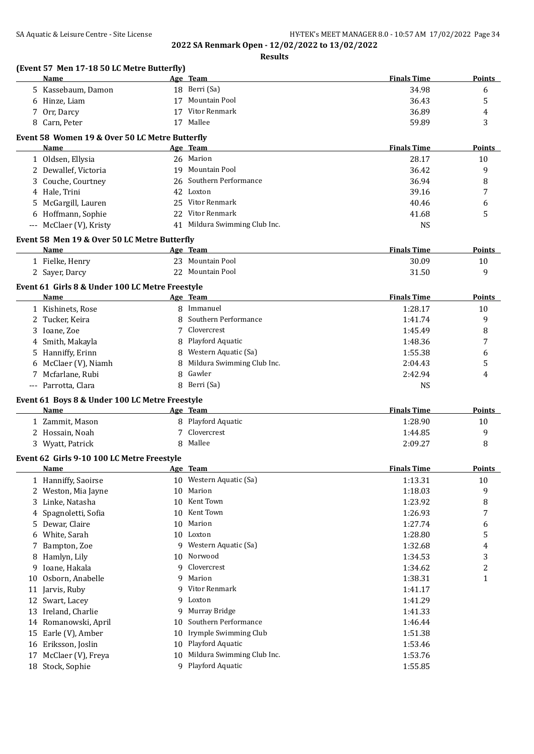**Results**

|          | (Event 57 Men 17-18 50 LC Metre Butterfly)<br><b>Name</b> |          | Age Team                                       | <b>Finals Time</b> | <b>Points</b> |
|----------|-----------------------------------------------------------|----------|------------------------------------------------|--------------------|---------------|
|          | 5 Kassebaum, Damon                                        |          | 18 Berri (Sa)                                  | 34.98              | 6             |
|          | 6 Hinze, Liam                                             |          | 17 Mountain Pool                               | 36.43              | 5             |
|          | 7 Orr, Darcy                                              |          | 17 Vitor Renmark                               | 36.89              | 4             |
|          | 8 Carn, Peter                                             |          | 17 Mallee                                      | 59.89              | 3             |
|          | Event 58 Women 19 & Over 50 LC Metre Butterfly            |          |                                                |                    |               |
|          | Name                                                      |          | Age Team                                       | <b>Finals Time</b> | <b>Points</b> |
|          | 1 Oldsen, Ellysia                                         |          | 26 Marion                                      | 28.17              | 10            |
|          | 2 Dewallef, Victoria                                      |          | 19 Mountain Pool                               | 36.42              | 9             |
|          | 3 Couche, Courtney                                        |          | 26 Southern Performance                        | 36.94              | 8             |
|          | 4 Hale, Trini                                             |          | 42 Loxton                                      | 39.16              | 7             |
|          | 5 McGargill, Lauren                                       |          | 25 Vitor Renmark                               | 40.46              | 6             |
|          | 6 Hoffmann, Sophie                                        |          | 22 Vitor Renmark                               | 41.68              | 5             |
|          | --- McClaer (V), Kristy                                   |          | 41 Mildura Swimming Club Inc.                  | <b>NS</b>          |               |
|          | Event 58 Men 19 & Over 50 LC Metre Butterfly              |          |                                                |                    |               |
|          | Name                                                      |          | Age Team                                       | <b>Finals Time</b> | <b>Points</b> |
|          | 1 Fielke, Henry                                           |          | 23 Mountain Pool                               | 30.09              | 10            |
|          | 2 Sayer, Darcy                                            |          | 22 Mountain Pool                               | 31.50              | 9             |
|          | Event 61 Girls 8 & Under 100 LC Metre Freestyle           |          |                                                |                    |               |
|          | Name                                                      |          | Age Team                                       | <b>Finals Time</b> | <b>Points</b> |
|          | 1 Kishinets, Rose                                         |          | 8 Immanuel                                     | 1:28.17            | 10            |
|          | 2 Tucker, Keira                                           | 8        | Southern Performance                           | 1:41.74            | 9             |
| 3        | Ioane, Zoe                                                |          | Clovercrest                                    | 1:45.49            | 8             |
| 4        | Smith, Makayla                                            |          | 8 Playford Aquatic                             | 1:48.36            | 7             |
| 5        | Hanniffy, Erinn                                           |          | 8 Western Aquatic (Sa)                         | 1:55.38            | 6             |
|          | 6 McClaer (V), Niamh                                      | 8        | Mildura Swimming Club Inc.                     | 2:04.43            | 5             |
|          | 7 Mcfarlane, Rubi                                         | 8        | Gawler                                         | 2:42.94            | 4             |
|          | --- Parrotta, Clara                                       |          | 8 Berri (Sa)                                   | <b>NS</b>          |               |
|          | Event 61 Boys 8 & Under 100 LC Metre Freestyle<br>Name    |          | Age Team                                       | <b>Finals Time</b> | Points        |
|          |                                                           |          | 8 Playford Aquatic                             | 1:28.90            | 10            |
|          | 1 Zammit, Mason<br>2 Hossain, Noah                        |          | Clovercrest                                    | 1:44.85            | 9             |
|          |                                                           |          |                                                |                    |               |
|          |                                                           |          |                                                |                    |               |
|          | 3 Wyatt, Patrick                                          |          | 8 Mallee                                       | 2:09.27            | 8             |
|          | Event 62 Girls 9-10 100 LC Metre Freestyle                |          |                                                |                    |               |
|          | <b>Name</b>                                               |          | Age Team                                       | <b>Finals Time</b> | <b>Points</b> |
|          | 1 Hanniffy, Saoirse                                       |          | 10 Western Aquatic (Sa)                        | 1:13.31            | 10            |
| 2        | Weston, Mia Jayne                                         | 10       | Marion                                         | 1:18.03            | 9             |
| 3        | Linke, Natasha                                            | 10       | Kent Town<br>Kent Town                         | 1:23.92            | 8             |
| 4        | Spagnoletti, Sofia                                        | 10       |                                                | 1:26.93            | 7             |
| 5        | Dewar, Claire                                             | 10       | Marion                                         | 1:27.74            | 6             |
| 6        | White, Sarah                                              | 10<br>9  | Loxton                                         | 1:28.80            | 5             |
|          | Bampton, Zoe                                              | 10       | Western Aquatic (Sa)<br>Norwood                | 1:32.68            | 4             |
| 8<br>9   | Hamlyn, Lily                                              | 9        | Clovercrest                                    | 1:34.53            | 3             |
| 10       | Ioane, Hakala                                             | q        | Marion                                         | 1:34.62            | 2             |
|          | Osborn, Anabelle                                          | 9        |                                                | 1:38.31            | $\mathbf{1}$  |
| 11       | Jarvis, Ruby                                              | 9        | Vitor Renmark<br>Loxton                        | 1:41.17            |               |
| 12       | Swart, Lacey                                              | 9        |                                                | 1:41.29            |               |
| 13       | Ireland, Charlie                                          | 10       | Murray Bridge<br>Southern Performance          | 1:41.33            |               |
| 14       | Romanowski, April                                         |          |                                                | 1:46.44            |               |
| 15       | Earle (V), Amber                                          | 10       | Irymple Swimming Club                          | 1:51.38            |               |
| 16<br>17 | Eriksson, Joslin<br>McClaer (V), Freya                    | 10<br>10 | Playford Aquatic<br>Mildura Swimming Club Inc. | 1:53.46<br>1:53.76 |               |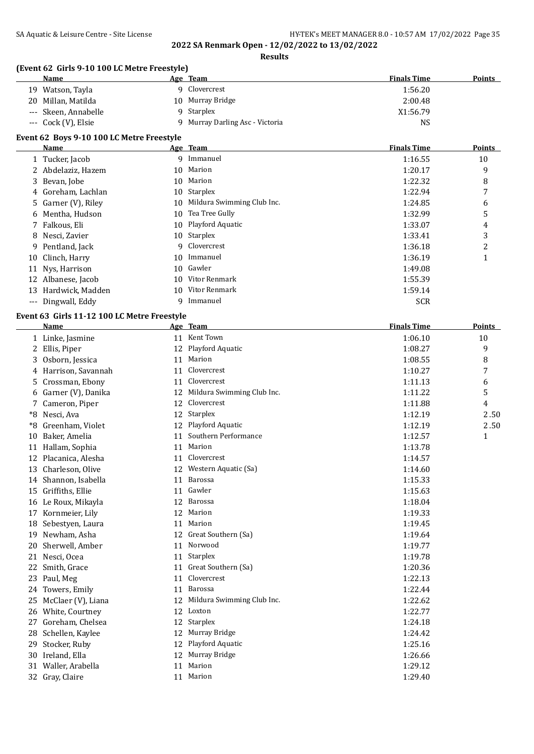**Results**

## **(Event 62 Girls 9-10 100 LC Metre Freestyle)**

| Name                 | Age Team                      | <b>Finals Time</b> | <b>Points</b> |
|----------------------|-------------------------------|--------------------|---------------|
| Watson, Tavla<br>19. | Clovercrest                   | 1:56.20            |               |
| 20 Millan, Matilda   | 10 Murray Bridge              | 2:00.48            |               |
| --- Skeen, Annabelle | Starplex                      | X1:56.79           |               |
| --- Cock (V), Elsie  | Murray Darling Asc - Victoria | NS                 |               |

#### **Event 62 Boys 9-10 100 LC Metre Freestyle**

|    | <b>Name</b>         |    | Age Team                   | <b>Finals Time</b> | <b>Points</b> |
|----|---------------------|----|----------------------------|--------------------|---------------|
|    | 1 Tucker, Jacob     |    | 9 Immanuel                 | 1:16.55            | 10            |
|    | 2 Abdelaziz, Hazem  | 10 | Marion                     | 1:20.17            | 9             |
|    | 3 Bevan, Jobe       | 10 | Marion                     | 1:22.32            | 8             |
|    | 4 Goreham, Lachlan  |    | 10 Starplex                | 1:22.94            | 7             |
|    | 5 Garner (V), Riley | 10 | Mildura Swimming Club Inc. | 1:24.85            | 6             |
|    | 6 Mentha, Hudson    | 10 | Tea Tree Gully             | 1:32.99            | 5             |
|    | 7 Falkous, Eli      |    | 10 Playford Aquatic        | 1:33.07            | 4             |
|    | 8 Nesci, Zavier     |    | 10 Starplex                | 1:33.41            | 3             |
|    | 9 Pentland, Jack    |    | 9 Clovercrest              | 1:36.18            | 2             |
|    | 10 Clinch, Harry    |    | 10 Immanuel                | 1:36.19            |               |
| 11 | Nys, Harrison       |    | 10 Gawler                  | 1:49.08            |               |
|    | 12 Albanese, Jacob  | 10 | Vitor Renmark              | 1:55.39            |               |
| 13 | Hardwick, Madden    |    | 10 Vitor Renmark           | 1:59.14            |               |
|    | --- Dingwall, Eddy  | 9. | Immanuel                   | <b>SCR</b>         |               |

## **Event 63 Girls 11-12 100 LC Metre Freestyle**

|      | <b>Name</b>         |    | Age Team                   | <b>Finals Time</b> | <b>Points</b> |
|------|---------------------|----|----------------------------|--------------------|---------------|
|      | 1 Linke, Jasmine    |    | 11 Kent Town               | 1:06.10            | 10            |
| 2    | Ellis, Piper        | 12 | Playford Aquatic           | 1:08.27            | 9             |
| 3    | Osborn, Jessica     | 11 | Marion                     | 1:08.55            | 8             |
| 4    | Harrison, Savannah  | 11 | Clovercrest                | 1:10.27            | 7             |
| 5    | Crossman, Ebony     | 11 | Clovercrest                | 1:11.13            | 6             |
| 6    | Garner (V), Danika  | 12 | Mildura Swimming Club Inc. | 1:11.22            | 5             |
| 7    | Cameron, Piper      | 12 | Clovercrest                | 1:11.88            | 4             |
| $*8$ | Nesci, Ava          | 12 | Starplex                   | 1:12.19            | 2.50          |
| $*8$ | Greenham, Violet    | 12 | Playford Aquatic           | 1:12.19            | 2.50          |
| 10   | Baker, Amelia       | 11 | Southern Performance       | 1:12.57            | $\mathbf{1}$  |
| 11   | Hallam, Sophia      | 11 | Marion                     | 1:13.78            |               |
| 12   | Placanica, Alesha   | 11 | Clovercrest                | 1:14.57            |               |
| 13   | Charleson, Olive    | 12 | Western Aquatic (Sa)       | 1:14.60            |               |
| 14   | Shannon, Isabella   | 11 | Barossa                    | 1:15.33            |               |
| 15   | Griffiths, Ellie    | 11 | Gawler                     | 1:15.63            |               |
|      | 16 Le Roux, Mikayla | 12 | Barossa                    | 1:18.04            |               |
| 17   | Kornmeier, Lily     | 12 | Marion                     | 1:19.33            |               |
| 18   | Sebestyen, Laura    | 11 | Marion                     | 1:19.45            |               |
| 19   | Newham, Asha        | 12 | Great Southern (Sa)        | 1:19.64            |               |
| 20   | Sherwell, Amber     | 11 | Norwood                    | 1:19.77            |               |
| 21   | Nesci, Ocea         | 11 | Starplex                   | 1:19.78            |               |
| 22   | Smith, Grace        | 11 | Great Southern (Sa)        | 1:20.36            |               |
| 23   | Paul, Meg           | 11 | Clovercrest                | 1:22.13            |               |
| 24   | Towers, Emily       | 11 | Barossa                    | 1:22.44            |               |
| 25   | McClaer (V), Liana  | 12 | Mildura Swimming Club Inc. | 1:22.62            |               |
|      | 26 White, Courtney  | 12 | Loxton                     | 1:22.77            |               |
| 27   | Goreham, Chelsea    | 12 | Starplex                   | 1:24.18            |               |
| 28   | Schellen, Kaylee    | 12 | Murray Bridge              | 1:24.42            |               |
| 29   | Stocker, Ruby       | 12 | Playford Aquatic           | 1:25.16            |               |
| 30   | Ireland, Ella       | 12 | Murray Bridge              | 1:26.66            |               |
| 31   | Waller, Arabella    | 11 | Marion                     | 1:29.12            |               |
|      | 32 Gray, Claire     |    | 11 Marion                  | 1:29.40            |               |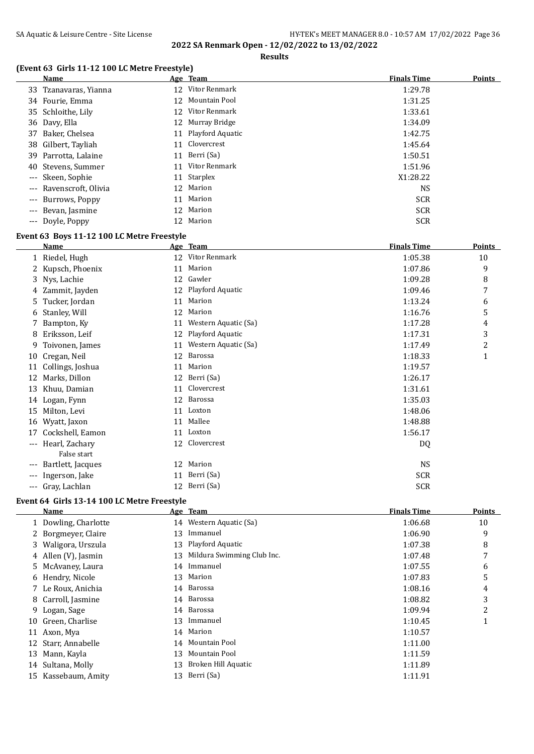## SA Aquatic & Leisure Centre - Site License **HY-TEK's MEET MANAGER 8.0 - 10:57 AM 17/02/2022** Page 36 **2022 SA Renmark Open - 12/02/2022 to 13/02/2022**

**Results**

#### **(Event 63 Girls 11-12 100 LC Metre Freestyle)**

| <b>Name</b>             |    | Age Team         | <b>Finals Time</b> | <b>Points</b> |
|-------------------------|----|------------------|--------------------|---------------|
| 33 Tzanavaras, Yianna   |    | 12 Vitor Renmark | 1:29.78            |               |
| 34 Fourie, Emma         | 12 | Mountain Pool    | 1:31.25            |               |
| 35 Schloithe, Lily      |    | 12 Vitor Renmark | 1:33.61            |               |
| 36 Davy, Ella           |    | 12 Murray Bridge | 1:34.09            |               |
| 37 Baker, Chelsea       | 11 | Playford Aquatic | 1:42.75            |               |
| 38 Gilbert, Tayliah     | 11 | Clovercrest      | 1:45.64            |               |
| 39 Parrotta, Lalaine    | 11 | Berri (Sa)       | 1:50.51            |               |
| 40 Stevens, Summer      |    | 11 Vitor Renmark | 1:51.96            |               |
| --- Skeen, Sophie       | 11 | Starplex         | X1:28.22           |               |
| --- Ravenscroft, Olivia | 12 | Marion           | NS                 |               |
| --- Burrows, Poppy      |    | 11 Marion        | <b>SCR</b>         |               |
| --- Bevan, Jasmine      | 12 | Marion           | <b>SCR</b>         |               |
| --- Doyle, Poppy        | 12 | Marion           | <b>SCR</b>         |               |
|                         |    |                  |                    |               |

#### **Event 63 Boys 11-12 100 LC Metre Freestyle**

|          | Name              |    | Age Team             | <b>Finals Time</b> | <b>Points</b>  |
|----------|-------------------|----|----------------------|--------------------|----------------|
|          | 1 Riedel, Hugh    |    | 12 Vitor Renmark     | 1:05.38            | 10             |
| 2        | Kupsch, Phoenix   | 11 | Marion               | 1:07.86            | 9              |
|          | 3 Nys, Lachie     |    | 12 Gawler            | 1:09.28            | 8              |
| 4        | Zammit, Jayden    | 12 | Playford Aquatic     | 1:09.46            | 7              |
| 5.       | Tucker, Jordan    | 11 | Marion               | 1:13.24            | 6              |
| 6        | Stanley, Will     | 12 | Marion               | 1:16.76            | 5              |
|          | Bampton, Ky       | 11 | Western Aquatic (Sa) | 1:17.28            | 4              |
| 8        | Eriksson, Leif    | 12 | Playford Aquatic     | 1:17.31            | 3              |
| 9.       | Toivonen, James   | 11 | Western Aquatic (Sa) | 1:17.49            | $\overline{2}$ |
| 10       | Cregan, Neil      | 12 | Barossa              | 1:18.33            | 1              |
| 11       | Collings, Joshua  | 11 | Marion               | 1:19.57            |                |
| 12       | Marks, Dillon     |    | 12 Berri (Sa)        | 1:26.17            |                |
| 13       | Khuu, Damian      | 11 | Clovercrest          | 1:31.61            |                |
| 14       | Logan, Fynn       | 12 | Barossa              | 1:35.03            |                |
| 15       | Milton, Levi      | 11 | Loxton               | 1:48.06            |                |
| 16       | Wyatt, Jaxon      | 11 | Mallee               | 1:48.88            |                |
| 17       | Cockshell, Eamon  |    | 11 Loxton            | 1:56.17            |                |
| $\cdots$ | Hearl, Zachary    |    | 12 Clovercrest       | DQ                 |                |
|          | False start       |    |                      |                    |                |
| ---      | Bartlett, Jacques | 12 | Marion               | <b>NS</b>          |                |
| $---$    | Ingerson, Jake    | 11 | Berri (Sa)           | <b>SCR</b>         |                |
| ---      | Gray, Lachlan     |    | 12 Berri (Sa)        | <b>SCR</b>         |                |

## **Event 64 Girls 13-14 100 LC Metre Freestyle**

|    | Name                 |    | Age Team                   | <b>Finals Time</b> | <b>Points</b> |
|----|----------------------|----|----------------------------|--------------------|---------------|
|    | 1 Dowling, Charlotte |    | 14 Western Aquatic (Sa)    | 1:06.68            | 10            |
|    | 2 Borgmeyer, Claire  | 13 | Immanuel                   | 1:06.90            | 9             |
|    | 3 Waligora, Urszula  |    | 13 Playford Aquatic        | 1:07.38            | 8             |
|    | 4 Allen (V), Jasmin  | 13 | Mildura Swimming Club Inc. | 1:07.48            | 7             |
|    | 5 McAvaney, Laura    |    | 14 Immanuel                | 1:07.55            | 6             |
|    | 6 Hendry, Nicole     |    | 13 Marion                  | 1:07.83            | 5             |
|    | 7 Le Roux, Anichia   |    | 14 Barossa                 | 1:08.16            | 4             |
|    | 8 Carroll, Jasmine   |    | 14 Barossa                 | 1:08.82            | 3             |
|    | 9 Logan, Sage        |    | 14 Barossa                 | 1:09.94            | 2             |
| 10 | Green, Charlise      |    | 13 Immanuel                | 1:10.45            | 1             |
| 11 | Axon, Mya            |    | 14 Marion                  | 1:10.57            |               |
| 12 | Starr, Annabelle     | 14 | Mountain Pool              | 1:11.00            |               |
| 13 | Mann, Kayla          | 13 | Mountain Pool              | 1:11.59            |               |
| 14 | Sultana, Molly       | 13 | Broken Hill Aquatic        | 1:11.89            |               |
| 15 | Kassebaum, Amity     | 13 | Berri (Sa)                 | 1:11.91            |               |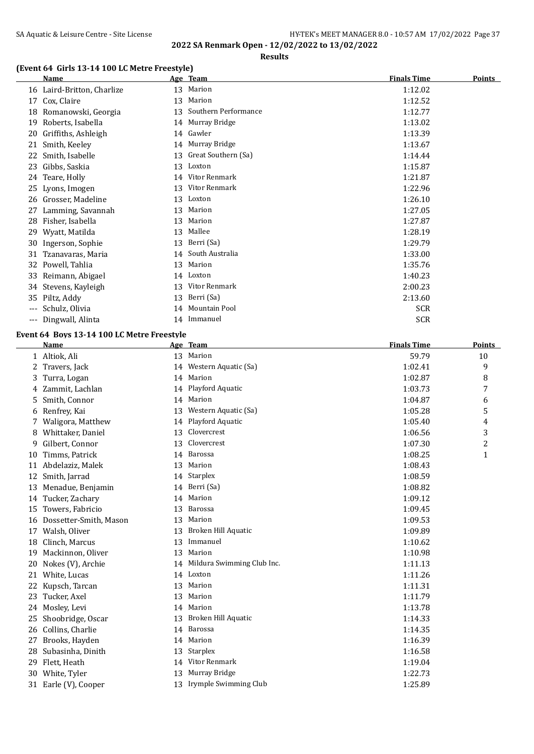# SA Aquatic & Leisure Centre - Site License **HY-TEK's MEET MANAGER 8.0 - 10:57 AM 17/02/2022** Page 37

**2022 SA Renmark Open - 12/02/2022 to 13/02/2022**

#### **Results**

## **(Event 64 Girls 13-14 100 LC Metre Freestyle)**

|       | Name                       |    | Age Team             | <b>Finals Time</b> | <b>Points</b> |
|-------|----------------------------|----|----------------------|--------------------|---------------|
|       | 16 Laird-Britton, Charlize | 13 | Marion               | 1:12.02            |               |
| 17    | Cox, Claire                | 13 | Marion               | 1:12.52            |               |
| 18    | Romanowski, Georgia        | 13 | Southern Performance | 1:12.77            |               |
| 19    | Roberts, Isabella          | 14 | Murray Bridge        | 1:13.02            |               |
| 20    | Griffiths, Ashleigh        |    | 14 Gawler            | 1:13.39            |               |
| 21    | Smith, Keeley              | 14 | Murray Bridge        | 1:13.67            |               |
| 22    | Smith, Isabelle            | 13 | Great Southern (Sa)  | 1:14.44            |               |
| 23    | Gibbs, Saskia              | 13 | Loxton               | 1:15.87            |               |
| 24    | Teare, Holly               | 14 | Vitor Renmark        | 1:21.87            |               |
| 25    | Lyons, Imogen              | 13 | Vitor Renmark        | 1:22.96            |               |
| 26    | Grosser, Madeline          | 13 | Loxton               | 1:26.10            |               |
| 27    | Lamming, Savannah          | 13 | Marion               | 1:27.05            |               |
| 28    | Fisher, Isabella           | 13 | Marion               | 1:27.87            |               |
| 29    | Wyatt, Matilda             | 13 | Mallee               | 1:28.19            |               |
| 30    | Ingerson, Sophie           | 13 | Berri (Sa)           | 1:29.79            |               |
| 31    | Tzanavaras, Maria          | 14 | South Australia      | 1:33.00            |               |
| 32    | Powell, Tahlia             | 13 | Marion               | 1:35.76            |               |
| 33    | Reimann, Abigael           | 14 | Loxton               | 1:40.23            |               |
| 34    | Stevens, Kayleigh          | 13 | Vitor Renmark        | 2:00.23            |               |
| 35    | Piltz, Addy                | 13 | Berri (Sa)           | 2:13.60            |               |
| ---   | Schulz, Olivia             | 14 | Mountain Pool        | <b>SCR</b>         |               |
| $---$ | Dingwall, Alinta           | 14 | Immanuel             | <b>SCR</b>         |               |

#### **Event 64 Boys 13-14 100 LC Metre Freestyle**

|    | <b>Name</b>            |    | Age Team                   | <b>Finals Time</b> | <b>Points</b>           |
|----|------------------------|----|----------------------------|--------------------|-------------------------|
|    | 1 Altiok, Ali          | 13 | Marion                     | 59.79              | 10                      |
| 2  | Travers, Jack          |    | 14 Western Aquatic (Sa)    | 1:02.41            | 9                       |
| 3  | Turra, Logan           | 14 | Marion                     | 1:02.87            | 8                       |
| 4  | Zammit, Lachlan        | 14 | Playford Aquatic           | 1:03.73            | 7                       |
| 5  | Smith, Connor          | 14 | Marion                     | 1:04.87            | 6                       |
| 6  | Renfrey, Kai           | 13 | Western Aquatic (Sa)       | 1:05.28            | 5                       |
|    | Waligora, Matthew      | 14 | Playford Aquatic           | 1:05.40            | 4                       |
| 8  | Whittaker, Daniel      | 13 | Clovercrest                | 1:06.56            | 3                       |
| 9  | Gilbert, Connor        | 13 | Clovercrest                | 1:07.30            | $\overline{\mathbf{c}}$ |
| 10 | Timms, Patrick         | 14 | Barossa                    | 1:08.25            | 1                       |
| 11 | Abdelaziz, Malek       | 13 | Marion                     | 1:08.43            |                         |
| 12 | Smith, Jarrad          | 14 | <b>Starplex</b>            | 1:08.59            |                         |
| 13 | Menadue, Benjamin      | 14 | Berri (Sa)                 | 1:08.82            |                         |
| 14 | Tucker, Zachary        | 14 | Marion                     | 1:09.12            |                         |
| 15 | Towers, Fabricio       | 13 | Barossa                    | 1:09.45            |                         |
| 16 | Dossetter-Smith, Mason | 13 | Marion                     | 1:09.53            |                         |
| 17 | Walsh, Oliver          | 13 | Broken Hill Aquatic        | 1:09.89            |                         |
| 18 | Clinch, Marcus         | 13 | Immanuel                   | 1:10.62            |                         |
| 19 | Mackinnon, Oliver      | 13 | Marion                     | 1:10.98            |                         |
| 20 | Nokes (V), Archie      | 14 | Mildura Swimming Club Inc. | 1:11.13            |                         |
| 21 | White, Lucas           |    | 14 Loxton                  | 1:11.26            |                         |
| 22 | Kupsch, Tarcan         | 13 | Marion                     | 1:11.31            |                         |
| 23 | Tucker, Axel           | 13 | Marion                     | 1:11.79            |                         |
| 24 | Mosley, Levi           |    | 14 Marion                  | 1:13.78            |                         |
| 25 | Shoobridge, Oscar      | 13 | Broken Hill Aquatic        | 1:14.33            |                         |
| 26 | Collins, Charlie       | 14 | Barossa                    | 1:14.35            |                         |
| 27 | Brooks, Hayden         | 14 | Marion                     | 1:16.39            |                         |
| 28 | Subasinha, Dinith      | 13 | Starplex                   | 1:16.58            |                         |
| 29 | Flett, Heath           | 14 | Vitor Renmark              | 1:19.04            |                         |
| 30 | White, Tyler           | 13 | Murray Bridge              | 1:22.73            |                         |
|    | 31 Earle (V), Cooper   |    | 13 Irymple Swimming Club   | 1:25.89            |                         |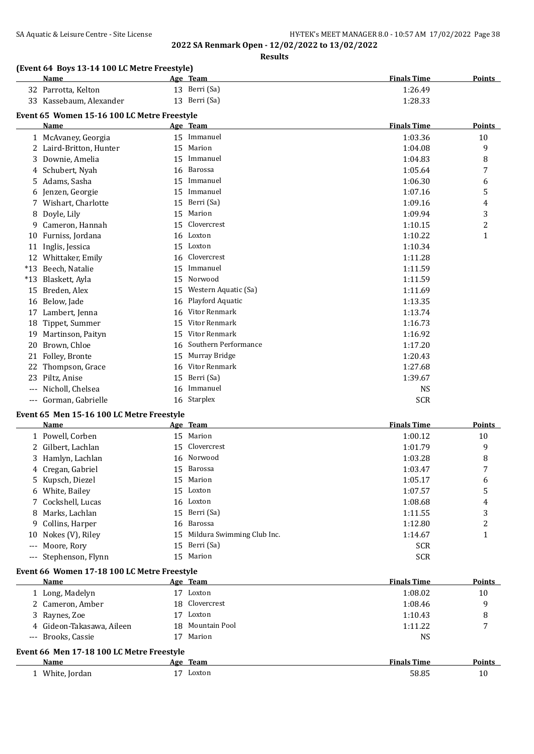## SA Aquatic & Leisure Centre - Site License **HY-TEK's MEET MANAGER 8.0 - 10:57 AM 17/02/2022** Page 38

**2022 SA Renmark Open - 12/02/2022 to 13/02/2022**

**Results**

#### **(Event 64 Boys 13-14 100 LC Metre Freestyle)**

| <b>Name</b>             | Age Team      | <b>Finals Time</b> | <b>Points</b> |
|-------------------------|---------------|--------------------|---------------|
| 32 Parrotta, Kelton     | 13 Berri (Sa) | 1:26.49            |               |
| 33 Kassebaum, Alexander | 13 Berri (Sa) | 1:28.33            |               |

## **Event 65 Women 15-16 100 LC Metre Freestyle**

|       | Name                    |    | Age Team             | <b>Finals Time</b> | <b>Points</b> |
|-------|-------------------------|----|----------------------|--------------------|---------------|
|       | 1 McAvaney, Georgia     |    | 15 Immanuel          | 1:03.36            | 10            |
|       | 2 Laird-Britton, Hunter | 15 | Marion               | 1:04.08            | 9             |
| 3.    | Downie, Amelia          | 15 | Immanuel             | 1:04.83            | 8             |
|       | 4 Schubert, Nyah        | 16 | Barossa              | 1:05.64            | 7             |
| 5.    | Adams, Sasha            | 15 | Immanuel             | 1:06.30            | 6             |
| 6     | Jenzen, Georgie         | 15 | Immanuel             | 1:07.16            | 5             |
|       | Wishart, Charlotte      | 15 | Berri (Sa)           | 1:09.16            | 4             |
| 8     | Doyle, Lily             | 15 | Marion               | 1:09.94            | 3             |
| 9     | Cameron, Hannah         | 15 | Clovercrest          | 1:10.15            | 2             |
| 10    | Furniss, Jordana        |    | 16 Loxton            | 1:10.22            | 1             |
| 11    | Inglis, Jessica         | 15 | Loxton               | 1:10.34            |               |
| 12    | Whittaker, Emily        | 16 | Clovercrest          | 1:11.28            |               |
| $*13$ | Beech, Natalie          | 15 | Immanuel             | 1:11.59            |               |
| $*13$ | Blaskett, Ayla          | 15 | Norwood              | 1:11.59            |               |
| 15    | Breden, Alex            | 15 | Western Aquatic (Sa) | 1:11.69            |               |
| 16    | Below, Jade             | 16 | Playford Aquatic     | 1:13.35            |               |
| 17    | Lambert, Jenna          | 16 | Vitor Renmark        | 1:13.74            |               |
| 18    | Tippet, Summer          | 15 | Vitor Renmark        | 1:16.73            |               |
| 19    | Martinson, Paityn       | 15 | Vitor Renmark        | 1:16.92            |               |
| 20    | Brown, Chloe            | 16 | Southern Performance | 1:17.20            |               |
| 21    | Folley, Bronte          | 15 | Murray Bridge        | 1:20.43            |               |
| 22    | Thompson, Grace         | 16 | Vitor Renmark        | 1:27.68            |               |
| 23    | Piltz, Anise            | 15 | Berri (Sa)           | 1:39.67            |               |
| ---   | Nicholl, Chelsea        | 16 | Immanuel             | <b>NS</b>          |               |
| ---   | Gorman, Gabrielle       |    | 16 Starplex          | <b>SCR</b>         |               |

## **Event 65 Men 15-16 100 LC Metre Freestyle**

| <b>Name</b>           |    | Age Team                   | <b>Finals Time</b> | Points |
|-----------------------|----|----------------------------|--------------------|--------|
| 1 Powell, Corben      | 15 | Marion                     | 1:00.12            | 10     |
| 2 Gilbert, Lachlan    |    | 15 Clovercrest             | 1:01.79            | 9      |
| 3 Hamlyn, Lachlan     |    | 16 Norwood                 | 1:03.28            | 8      |
| 4 Cregan, Gabriel     | 15 | Barossa                    | 1:03.47            | 7      |
| 5 Kupsch, Diezel      | 15 | Marion                     | 1:05.17            | 6      |
| 6 White, Bailey       |    | 15 Loxton                  | 1:07.57            | 5      |
| 7 Cockshell, Lucas    |    | 16 Loxton                  | 1:08.68            | 4      |
| 8 Marks, Lachlan      |    | 15 Berri (Sa)              | 1:11.55            | 3      |
| 9 Collins, Harper     |    | 16 Barossa                 | 1:12.80            | 2      |
| 10 Nokes (V), Riley   | 15 | Mildura Swimming Club Inc. | 1:14.67            |        |
| --- Moore, Rory       | 15 | Berri (Sa)                 | <b>SCR</b>         |        |
| --- Stephenson, Flynn | 15 | Marion                     | <b>SCR</b>         |        |

#### **Event 66 Women 17-18 100 LC Metre Freestyle**

| Name                      | <u>Age Team</u>                           | <b>Finals Time</b> | <b>Points</b> |  |  |  |  |  |
|---------------------------|-------------------------------------------|--------------------|---------------|--|--|--|--|--|
| 1 Long, Madelyn           | Loxton                                    | 1:08.02            | 10            |  |  |  |  |  |
| 2 Cameron, Amber          | 18 Clovercrest                            | 1:08.46            | 9             |  |  |  |  |  |
| 3 Raynes, Zoe             | Loxton                                    | 1:10.43            | 8             |  |  |  |  |  |
| 4 Gideon-Takasawa, Aileen | Mountain Pool<br>18                       | 1:11.22            |               |  |  |  |  |  |
| --- Brooks, Cassie        | Marion                                    | NS                 |               |  |  |  |  |  |
|                           | Event 66 Men 17-18 100 LC Metre Freestyle |                    |               |  |  |  |  |  |
| Name                      | Age Team                                  | <b>Finals Time</b> | <b>Points</b> |  |  |  |  |  |
| White, Jordan             | Loxton                                    | 58.85              | 10            |  |  |  |  |  |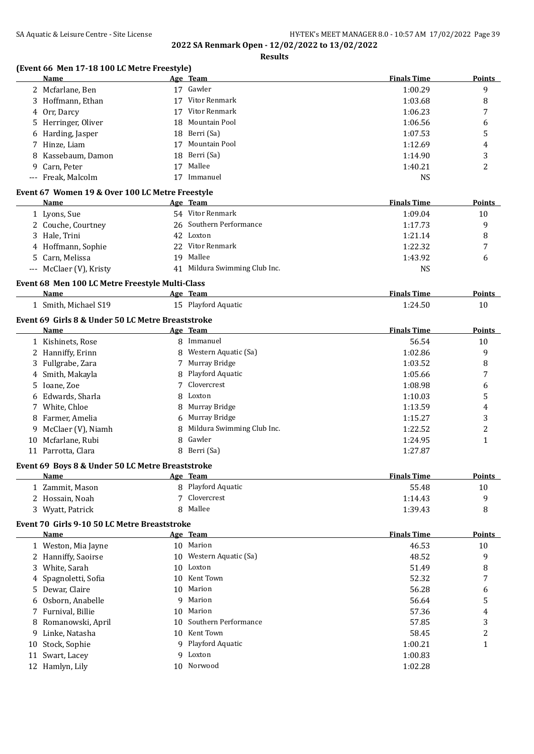**Results**

## **(Event 66 Men 17-18 100 LC Metre Freestyle)**

|    | en 17-10 100 LC Metre Freestyle<br>Name                     |    | <u>Age Team</u>               | <b>Finals Time</b> | <b>Points</b> |
|----|-------------------------------------------------------------|----|-------------------------------|--------------------|---------------|
|    | 2 Mcfarlane, Ben                                            |    | 17 Gawler                     | 1:00.29            | 9             |
|    | 3 Hoffmann, Ethan                                           |    | 17 Vitor Renmark              | 1:03.68            | 8             |
|    | 4 Orr, Darcy                                                |    | 17 Vitor Renmark              | 1:06.23            | 7             |
|    | 5 Herringer, Oliver                                         | 18 | Mountain Pool                 | 1:06.56            | 6             |
|    | 6 Harding, Jasper                                           |    | 18 Berri (Sa)                 | 1:07.53            | 5             |
|    | 7 Hinze, Liam                                               |    | 17 Mountain Pool              | 1:12.69            | 4             |
| 8  | Kassebaum, Damon                                            | 18 | Berri (Sa)                    | 1:14.90            | 3             |
|    | 9 Carn, Peter                                               |    | 17 Mallee                     | 1:40.21            | 2             |
|    | --- Freak, Malcolm                                          |    | 17 Immanuel                   | <b>NS</b>          |               |
|    |                                                             |    |                               |                    |               |
|    | Event 67 Women 19 & Over 100 LC Metre Freestyle<br>Name     |    | Age Team                      | <b>Finals Time</b> | Points        |
|    | 1 Lyons, Sue                                                |    | 54 Vitor Renmark              | 1:09.04            | 10            |
|    |                                                             |    | 26 Southern Performance       |                    |               |
|    | 2 Couche, Courtney                                          |    |                               | 1:17.73            | 9             |
|    | 3 Hale, Trini                                               |    | 42 Loxton                     | 1:21.14            | 8             |
|    | 4 Hoffmann, Sophie                                          |    | 22 Vitor Renmark              | 1:22.32            | 7             |
|    | 5 Carn, Melissa                                             | 19 | Mallee                        | 1:43.92            | 6             |
|    | --- McClaer (V), Kristy                                     |    | 41 Mildura Swimming Club Inc. | <b>NS</b>          |               |
|    | Event 68 Men 100 LC Metre Freestyle Multi-Class             |    |                               |                    |               |
|    | Name                                                        |    | Age Team                      | <b>Finals Time</b> | <b>Points</b> |
|    | 1 Smith, Michael S19                                        |    | 15 Playford Aquatic           | 1:24.50            | 10            |
|    | Event 69 Girls 8 & Under 50 LC Metre Breaststroke           |    |                               |                    |               |
|    | Name                                                        |    | Age Team                      | <b>Finals Time</b> | <b>Points</b> |
|    | 1 Kishinets, Rose                                           |    | 8 Immanuel                    | 56.54              | 10            |
|    | 2 Hanniffy, Erinn                                           |    | 8 Western Aquatic (Sa)        | 1:02.86            | 9             |
|    | 3 Fullgrabe, Zara                                           | 7  | Murray Bridge                 | 1:03.52            | 8             |
|    | 4 Smith, Makayla                                            | 8  | Playford Aquatic              | 1:05.66            | 7             |
|    | 5 Ioane, Zoe                                                | 7  | Clovercrest                   | 1:08.98            | 6             |
|    | 6 Edwards, Sharla                                           | 8  | Loxton                        | 1:10.03            | 5             |
|    | 7 White, Chloe                                              | 8  | Murray Bridge                 | 1:13.59            | 4             |
|    | 8 Farmer, Amelia                                            | 6  | Murray Bridge                 | 1:15.27            | 3             |
|    | 9 McClaer (V), Niamh                                        | 8  | Mildura Swimming Club Inc.    | 1:22.52            | 2             |
|    | 10 Mcfarlane, Rubi                                          | 8  | Gawler                        | 1:24.95            | 1             |
|    | 11 Parrotta, Clara                                          |    | 8 Berri (Sa)                  | 1:27.87            |               |
|    | Event 69 Boys 8 & Under 50 LC Metre Breaststroke            |    |                               |                    |               |
|    | Name                                                        |    | Age Team                      | <b>Finals Time</b> | <b>Points</b> |
|    | 1 Zammit, Mason                                             |    | 8 Playford Aquatic            | 55.48              | 10            |
|    | 2 Hossain, Noah                                             | 7  | Clovercrest                   | 1:14.43            | 9             |
|    | 3 Wyatt, Patrick                                            | 8  | Mallee                        | 1:39.43            | 8             |
|    |                                                             |    |                               |                    |               |
|    | Event 70 Girls 9-10 50 LC Metre Breaststroke<br><b>Name</b> |    | Age Team                      | <b>Finals Time</b> | <b>Points</b> |
|    | 1 Weston, Mia Jayne                                         |    | 10 Marion                     | 46.53              | 10            |
|    | 2 Hanniffy, Saoirse                                         | 10 | Western Aquatic (Sa)          | 48.52              | 9             |
|    | 3 White, Sarah                                              | 10 | Loxton                        | 51.49              | 8             |
|    |                                                             |    | Kent Town                     |                    |               |
| 4  | Spagnoletti, Sofia                                          | 10 |                               | 52.32              | 7             |
| 5. | Dewar, Claire                                               | 10 | Marion                        | 56.28              | 6             |
| 6  | Osborn, Anabelle                                            | 9  | Marion                        | 56.64              | 5             |
|    | 7 Furnival, Billie                                          | 10 | Marion                        | 57.36              | 4             |
| 8  | Romanowski, April                                           | 10 | Southern Performance          | 57.85              | 3             |
|    | 9 Linke, Natasha                                            | 10 | Kent Town                     | 58.45              | 2             |
| 10 | Stock, Sophie                                               | 9  | Playford Aquatic              | 1:00.21            | 1             |
| 11 | Swart, Lacey                                                | 9  | Loxton                        | 1:00.83            |               |
|    | 12 Hamlyn, Lily                                             |    | 10 Norwood                    | 1:02.28            |               |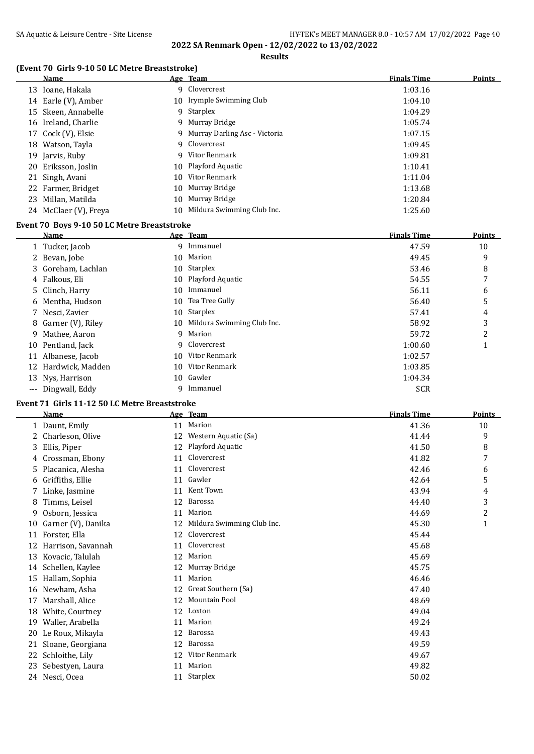**Results**

## **(Event 70 Girls 9-10 50 LC Metre Breaststroke)**

| <b>Name</b>           |     | Age Team                        | <b>Finals Time</b> | <b>Points</b> |
|-----------------------|-----|---------------------------------|--------------------|---------------|
| 13 Ioane, Hakala      | 9.  | Clovercrest                     | 1:03.16            |               |
| 14 Earle (V), Amber   |     | 10 Irymple Swimming Club        | 1:04.10            |               |
| 15 Skeen, Annabelle   |     | 9 Starplex                      | 1:04.29            |               |
| 16 Ireland, Charlie   |     | 9 Murray Bridge                 | 1:05.74            |               |
| 17 Cock (V), Elsie    |     | 9 Murray Darling Asc - Victoria | 1:07.15            |               |
| 18 Watson, Tayla      |     | 9 Clovercrest                   | 1:09.45            |               |
| 19 Jarvis, Ruby       |     | 9 Vitor Renmark                 | 1:09.81            |               |
| 20 Eriksson, Joslin   |     | 10 Playford Aquatic             | 1:10.41            |               |
| 21 Singh, Avani       |     | 10 Vitor Renmark                | 1:11.04            |               |
| 22 Farmer, Bridget    |     | 10 Murray Bridge                | 1:13.68            |               |
| 23 Millan, Matilda    | 10. | Murray Bridge                   | 1:20.84            |               |
| 24 McClaer (V), Freya |     | 10 Mildura Swimming Club Inc.   | 1:25.60            |               |

#### **Event 70 Boys 9-10 50 LC Metre Breaststroke**

|    | Name                |    | Age Team                   | <b>Finals Time</b> | <b>Points</b>  |
|----|---------------------|----|----------------------------|--------------------|----------------|
|    | 1 Tucker, Jacob     |    | 9 Immanuel                 | 47.59              | 10             |
|    | 2 Bevan, Jobe       | 10 | Marion                     | 49.45              | 9              |
|    | 3 Goreham, Lachlan  |    | 10 Starplex                | 53.46              | 8              |
|    | 4 Falkous, Eli      |    | 10 Playford Aquatic        | 54.55              | 7              |
|    | 5 Clinch, Harry     | 10 | Immanuel                   | 56.11              | 6              |
|    | 6 Mentha, Hudson    | 10 | Tea Tree Gully             | 56.40              | 5              |
|    | 7 Nesci, Zavier     | 10 | Starplex                   | 57.41              | 4              |
|    | 8 Garner (V), Riley | 10 | Mildura Swimming Club Inc. | 58.92              | 3              |
| 9. | Mathee, Aaron       | 9  | Marion                     | 59.72              | $\overline{2}$ |
|    | 10 Pentland, Jack   | 9. | Clovercrest                | 1:00.60            |                |
| 11 | Albanese, Jacob     | 10 | Vitor Renmark              | 1:02.57            |                |
|    | 12 Hardwick, Madden | 10 | Vitor Renmark              | 1:03.85            |                |
|    | 13 Nys, Harrison    | 10 | Gawler                     | 1:04.34            |                |
|    | --- Dingwall, Eddy  | q  | Immanuel                   | <b>SCR</b>         |                |

## **Event 71 Girls 11-12 50 LC Metre Breaststroke**

|    | <b>Name</b>        |    | Age Team                   | <b>Finals Time</b> | <b>Points</b>  |
|----|--------------------|----|----------------------------|--------------------|----------------|
|    | 1 Daunt, Emily     | 11 | Marion                     | 41.36              | 10             |
| 2  | Charleson, Olive   | 12 | Western Aquatic (Sa)       | 41.44              | 9              |
| 3  | Ellis, Piper       | 12 | Playford Aquatic           | 41.50              | 8              |
| 4  | Crossman, Ebony    | 11 | Clovercrest                | 41.82              | 7              |
| 5  | Placanica, Alesha  | 11 | Clovercrest                | 42.46              | 6              |
| 6  | Griffiths, Ellie   | 11 | Gawler                     | 42.64              | 5              |
|    | Linke, Jasmine     | 11 | Kent Town                  | 43.94              | 4              |
| 8  | Timms, Leisel      | 12 | Barossa                    | 44.40              | 3              |
| 9  | Osborn, Jessica    | 11 | Marion                     | 44.69              | $\overline{c}$ |
| 10 | Garner (V), Danika | 12 | Mildura Swimming Club Inc. | 45.30              | $\mathbf{1}$   |
| 11 | Forster, Ella      | 12 | Clovercrest                | 45.44              |                |
| 12 | Harrison, Savannah | 11 | Clovercrest                | 45.68              |                |
| 13 | Kovacic, Talulah   | 12 | Marion                     | 45.69              |                |
| 14 | Schellen, Kaylee   | 12 | Murray Bridge              | 45.75              |                |
| 15 | Hallam, Sophia     | 11 | Marion                     | 46.46              |                |
| 16 | Newham, Asha       | 12 | Great Southern (Sa)        | 47.40              |                |
| 17 | Marshall, Alice    | 12 | Mountain Pool              | 48.69              |                |
| 18 | White, Courtney    | 12 | Loxton                     | 49.04              |                |
| 19 | Waller, Arabella   | 11 | Marion                     | 49.24              |                |
| 20 | Le Roux, Mikayla   | 12 | Barossa                    | 49.43              |                |
| 21 | Sloane, Georgiana  | 12 | Barossa                    | 49.59              |                |
| 22 | Schloithe, Lily    | 12 | Vitor Renmark              | 49.67              |                |
| 23 | Sebestyen, Laura   | 11 | Marion                     | 49.82              |                |
| 24 | Nesci, Ocea        | 11 | Starplex                   | 50.02              |                |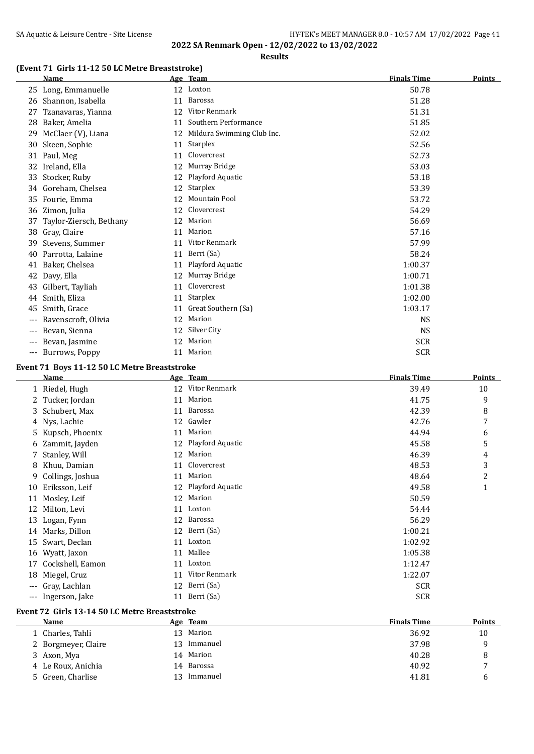**Results**

## **(Event 71 Girls 11-12 50 LC Metre Breaststroke)**

|     | <b>Name</b>             |    | Age Team                   | <b>Finals Time</b> | <b>Points</b> |
|-----|-------------------------|----|----------------------------|--------------------|---------------|
| 25  | Long, Emmanuelle        |    | 12 Loxton                  | 50.78              |               |
| 26  | Shannon, Isabella       | 11 | Barossa                    | 51.28              |               |
| 27  | Tzanavaras, Yianna      | 12 | Vitor Renmark              | 51.31              |               |
| 28  | Baker, Amelia           | 11 | Southern Performance       | 51.85              |               |
| 29  | McClaer (V), Liana      | 12 | Mildura Swimming Club Inc. | 52.02              |               |
| 30  | Skeen, Sophie           | 11 | Starplex                   | 52.56              |               |
| 31  | Paul, Meg               | 11 | Clovercrest                | 52.73              |               |
| 32  | Ireland, Ella           | 12 | Murray Bridge              | 53.03              |               |
| 33  | Stocker, Ruby           | 12 | Playford Aquatic           | 53.18              |               |
| 34  | Goreham, Chelsea        | 12 | Starplex                   | 53.39              |               |
| 35  | Fourie, Emma            | 12 | Mountain Pool              | 53.72              |               |
| 36  | Zimon, Julia            | 12 | Clovercrest                | 54.29              |               |
| 37  | Taylor-Ziersch, Bethany | 12 | Marion                     | 56.69              |               |
| 38  | Gray, Claire            | 11 | Marion                     | 57.16              |               |
| 39  | Stevens, Summer         | 11 | Vitor Renmark              | 57.99              |               |
| 40  | Parrotta, Lalaine       | 11 | Berri (Sa)                 | 58.24              |               |
| 41  | Baker, Chelsea          | 11 | Playford Aquatic           | 1:00.37            |               |
| 42  | Davy, Ella              | 12 | Murray Bridge              | 1:00.71            |               |
| 43  | Gilbert, Tayliah        | 11 | Clovercrest                | 1:01.38            |               |
| 44  | Smith, Eliza            | 11 | Starplex                   | 1:02.00            |               |
| 45  | Smith, Grace            | 11 | Great Southern (Sa)        | 1:03.17            |               |
| --- | Ravenscroft, Olivia     | 12 | Marion                     | <b>NS</b>          |               |
| --- | Bevan, Sienna           | 12 | Silver City                | <b>NS</b>          |               |
|     | Bevan, Jasmine          | 12 | Marion                     | <b>SCR</b>         |               |
|     | Burrows, Poppy          | 11 | Marion                     | <b>SCR</b>         |               |
|     |                         |    |                            |                    |               |

#### **Event 71 Boys 11-12 50 LC Metre Breaststroke**

|       | Name              |    | Age Team         | <b>Finals Time</b> | Points |
|-------|-------------------|----|------------------|--------------------|--------|
|       | 1 Riedel, Hugh    | 12 | Vitor Renmark    | 39.49              | 10     |
|       | Tucker, Jordan    | 11 | Marion           | 41.75              | 9      |
|       | 3 Schubert, Max   | 11 | <b>Barossa</b>   | 42.39              | 8      |
|       | 4 Nys, Lachie     | 12 | Gawler           | 42.76              | 7      |
|       | 5 Kupsch, Phoenix | 11 | Marion           | 44.94              | 6      |
| 6     | Zammit, Jayden    | 12 | Playford Aquatic | 45.58              | 5      |
|       | 7 Stanley, Will   | 12 | Marion           | 46.39              | 4      |
| 8     | Khuu, Damian      | 11 | Clovercrest      | 48.53              | 3      |
| 9     | Collings, Joshua  | 11 | Marion           | 48.64              | 2      |
| 10    | Eriksson, Leif    | 12 | Playford Aquatic | 49.58              | 1      |
| 11    | Mosley, Leif      | 12 | Marion           | 50.59              |        |
| 12    | Milton, Levi      | 11 | Loxton           | 54.44              |        |
| 13    | Logan, Fynn       | 12 | Barossa          | 56.29              |        |
|       | 14 Marks, Dillon  | 12 | Berri (Sa)       | 1:00.21            |        |
| 15    | Swart, Declan     | 11 | Loxton           | 1:02.92            |        |
| 16    | Wyatt, Jaxon      | 11 | Mallee           | 1:05.38            |        |
| 17    | Cockshell, Eamon  | 11 | Loxton           | 1:12.47            |        |
| 18    | Miegel, Cruz      | 11 | Vitor Renmark    | 1:22.07            |        |
| ---   | Gray, Lachlan     | 12 | Berri (Sa)       | <b>SCR</b>         |        |
| $---$ | Ingerson, Jake    | 11 | Berri (Sa)       | <b>SCR</b>         |        |
|       |                   |    |                  |                    |        |

#### **Event 72 Girls 13-14 50 LC Metre Breaststroke**

 $\overline{\phantom{a}}$ 

| Name                |     | Age Team  | <b>Finals Time</b> | <b>Points</b> |
|---------------------|-----|-----------|--------------------|---------------|
| .   Charles, Tahli  |     | 13 Marion | 36.92              | 10            |
| 2 Borgmeyer, Claire | 13. | Immanuel  | 37.98              |               |
| 3 Axon, Mya         |     | 14 Marion | 40.28              |               |
| 4 Le Roux, Anichia  | 14  | Barossa   | 40.92              | -             |
| 5 Green, Charlise   | 13  | Immanuel  | 41.81              | h             |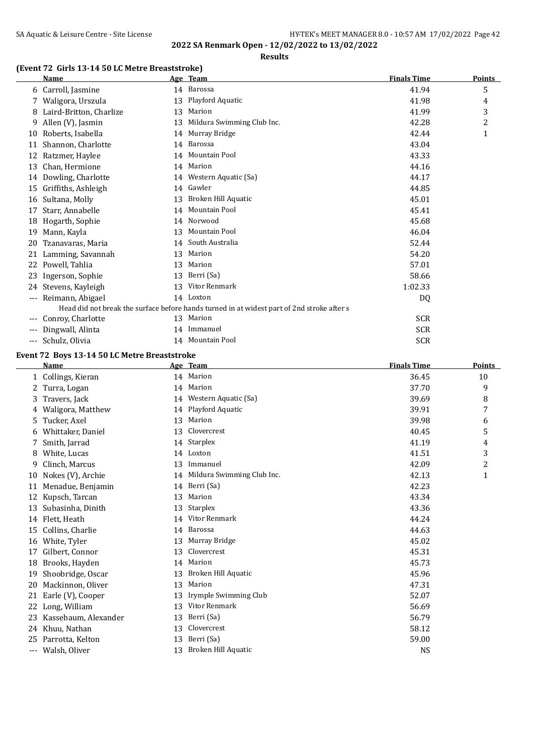#### **Results**

## **(Event 72 Girls 13-14 50 LC Metre Breaststroke)**

|     | Name                    |    | Age Team                                                                                   | <b>Finals Time</b> | <b>Points</b>  |
|-----|-------------------------|----|--------------------------------------------------------------------------------------------|--------------------|----------------|
|     | 6 Carroll, Jasmine      | 14 | Barossa                                                                                    | 41.94              | 5              |
|     | 7 Waligora, Urszula     | 13 | Playford Aquatic                                                                           | 41.98              | 4              |
| 8   | Laird-Britton, Charlize | 13 | Marion                                                                                     | 41.99              | 3              |
| 9   | Allen (V), Jasmin       | 13 | Mildura Swimming Club Inc.                                                                 | 42.28              | $\overline{c}$ |
| 10  | Roberts, Isabella       | 14 | Murray Bridge                                                                              | 42.44              | $\mathbf{1}$   |
| 11  | Shannon, Charlotte      | 14 | Barossa                                                                                    | 43.04              |                |
| 12  | Ratzmer, Haylee         | 14 | <b>Mountain Pool</b>                                                                       | 43.33              |                |
| 13  | Chan, Hermione          | 14 | Marion                                                                                     | 44.16              |                |
| 14  | Dowling, Charlotte      | 14 | Western Aquatic (Sa)                                                                       | 44.17              |                |
| 15  | Griffiths, Ashleigh     | 14 | Gawler                                                                                     | 44.85              |                |
| 16  | Sultana, Molly          | 13 | Broken Hill Aquatic                                                                        | 45.01              |                |
| 17  | Starr, Annabelle        | 14 | <b>Mountain Pool</b>                                                                       | 45.41              |                |
| 18  | Hogarth, Sophie         | 14 | Norwood                                                                                    | 45.68              |                |
| 19  | Mann, Kayla             | 13 | <b>Mountain Pool</b>                                                                       | 46.04              |                |
| 20  | Tzanavaras, Maria       | 14 | South Australia                                                                            | 52.44              |                |
| 21  | Lamming, Savannah       | 13 | Marion                                                                                     | 54.20              |                |
| 22  | Powell, Tahlia          | 13 | Marion                                                                                     | 57.01              |                |
| 23  | Ingerson, Sophie        | 13 | Berri (Sa)                                                                                 | 58.66              |                |
| 24  | Stevens, Kayleigh       | 13 | Vitor Renmark                                                                              | 1:02.33            |                |
| --- | Reimann, Abigael        |    | 14 Loxton                                                                                  | DQ                 |                |
|     |                         |    | Head did not break the surface before hands turned in at widest part of 2nd stroke after s |                    |                |
| --- | Conroy, Charlotte       |    | 13 Marion                                                                                  | <b>SCR</b>         |                |
|     | Dingwall, Alinta        | 14 | Immanuel                                                                                   | <b>SCR</b>         |                |
| --- | Schulz, Olivia          |    | 14 Mountain Pool                                                                           | <b>SCR</b>         |                |

## **Event 72 Boys 13-14 50 LC Metre Breaststroke**

|    | <u>Name</u>          |    | Age Team                   | <b>Finals Time</b> | <b>Points</b> |
|----|----------------------|----|----------------------------|--------------------|---------------|
|    | 1 Collings, Kieran   |    | 14 Marion                  | 36.45              | 10            |
| 2  | Turra, Logan         |    | 14 Marion                  | 37.70              | 9             |
| 3  | Travers, Jack        | 14 | Western Aquatic (Sa)       | 39.69              | 8             |
| 4  | Waligora, Matthew    | 14 | Playford Aquatic           | 39.91              | 7             |
| 5  | Tucker, Axel         | 13 | Marion                     | 39.98              | 6             |
| 6  | Whittaker, Daniel    | 13 | Clovercrest                | 40.45              | 5             |
|    | Smith, Jarrad        | 14 | Starplex                   | 41.19              | 4             |
| 8  | White, Lucas         | 14 | Loxton                     | 41.51              | 3             |
| 9  | Clinch, Marcus       | 13 | Immanuel                   | 42.09              | 2             |
| 10 | Nokes (V), Archie    | 14 | Mildura Swimming Club Inc. | 42.13              | $\mathbf{1}$  |
| 11 | Menadue, Benjamin    | 14 | Berri (Sa)                 | 42.23              |               |
| 12 | Kupsch, Tarcan       | 13 | Marion                     | 43.34              |               |
| 13 | Subasinha, Dinith    | 13 | <b>Starplex</b>            | 43.36              |               |
| 14 | Flett, Heath         | 14 | Vitor Renmark              | 44.24              |               |
| 15 | Collins, Charlie     | 14 | Barossa                    | 44.63              |               |
| 16 | White, Tyler         | 13 | Murray Bridge              | 45.02              |               |
| 17 | Gilbert, Connor      | 13 | Clovercrest                | 45.31              |               |
| 18 | Brooks, Hayden       | 14 | Marion                     | 45.73              |               |
| 19 | Shoobridge, Oscar    | 13 | Broken Hill Aquatic        | 45.96              |               |
| 20 | Mackinnon, Oliver    | 13 | Marion                     | 47.31              |               |
| 21 | Earle (V), Cooper    | 13 | Irymple Swimming Club      | 52.07              |               |
| 22 | Long, William        | 13 | Vitor Renmark              | 56.69              |               |
| 23 | Kassebaum, Alexander | 13 | Berri (Sa)                 | 56.79              |               |
| 24 | Khuu, Nathan         | 13 | Clovercrest                | 58.12              |               |
| 25 | Parrotta, Kelton     | 13 | Berri (Sa)                 | 59.00              |               |
|    | Walsh, Oliver        | 13 | Broken Hill Aquatic        | <b>NS</b>          |               |
|    |                      |    |                            |                    |               |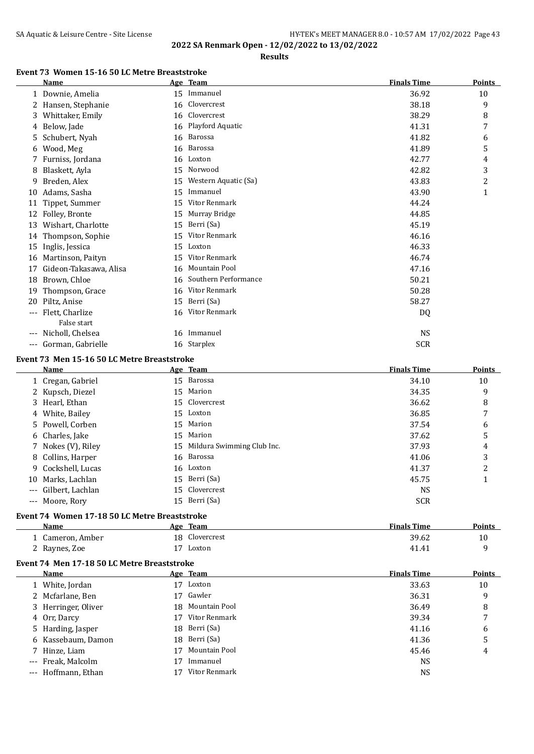## SA Aquatic & Leisure Centre - Site License **HY-TEK's MEET MANAGER 8.0 - 10:57 AM 17/02/2022** Page 43 **2022 SA Renmark Open - 12/02/2022 to 13/02/2022**

**Results**

#### **Event 73 Women 15-16 50 LC Metre Breaststroke**

|       | <b>Name</b>            |    | Age Team             | <b>Finals Time</b> | Points |
|-------|------------------------|----|----------------------|--------------------|--------|
|       | 1 Downie, Amelia       | 15 | Immanuel             | 36.92              | 10     |
|       | 2 Hansen, Stephanie    |    | 16 Clovercrest       | 38.18              | 9      |
| 3.    | Whittaker, Emily       | 16 | Clovercrest          | 38.29              | 8      |
| 4     | Below, Jade            |    | 16 Playford Aquatic  | 41.31              | 7      |
| 5.    | Schubert, Nyah         | 16 | Barossa              | 41.82              | 6      |
| 6     | Wood, Meg              |    | 16 Barossa           | 41.89              | 5      |
|       | Furniss, Jordana       | 16 | Loxton               | 42.77              | 4      |
| 8     | Blaskett, Ayla         | 15 | Norwood              | 42.82              | 3      |
| 9     | Breden, Alex           | 15 | Western Aquatic (Sa) | 43.83              | 2      |
| 10    | Adams, Sasha           | 15 | Immanuel             | 43.90              | 1      |
| 11    | Tippet, Summer         | 15 | Vitor Renmark        | 44.24              |        |
| 12    | Folley, Bronte         | 15 | Murray Bridge        | 44.85              |        |
| 13    | Wishart, Charlotte     | 15 | Berri (Sa)           | 45.19              |        |
| 14    | Thompson, Sophie       | 15 | Vitor Renmark        | 46.16              |        |
| 15    | Inglis, Jessica        | 15 | Loxton               | 46.33              |        |
| 16    | Martinson, Paityn      | 15 | Vitor Renmark        | 46.74              |        |
| 17    | Gideon-Takasawa, Alisa | 16 | <b>Mountain Pool</b> | 47.16              |        |
| 18    | Brown, Chloe           | 16 | Southern Performance | 50.21              |        |
| 19    | Thompson, Grace        | 16 | Vitor Renmark        | 50.28              |        |
| 20    | Piltz, Anise           | 15 | Berri (Sa)           | 58.27              |        |
| ---   | Flett, Charlize        | 16 | Vitor Renmark        | DQ                 |        |
|       | False start            |    |                      |                    |        |
| $---$ | Nicholl, Chelsea       |    | 16 Immanuel          | <b>NS</b>          |        |
| $---$ | Gorman, Gabrielle      |    | 16 Starplex          | <b>SCR</b>         |        |

#### **Event 73 Men 15-16 50 LC Metre Breaststroke**

| Name                 | Age Team                      | <b>Finals Time</b> | <b>Points</b> |
|----------------------|-------------------------------|--------------------|---------------|
| 1 Cregan, Gabriel    | 15 Barossa                    | 34.10              | 10            |
| 2 Kupsch, Diezel     | 15 Marion                     | 34.35              | 9             |
| 3 Hearl, Ethan       | 15 Clovercrest                | 36.62              | 8             |
| 4 White, Bailey      | 15 Loxton                     | 36.85              | 7             |
| 5 Powell, Corben     | 15 Marion                     | 37.54              | 6             |
| 6 Charles, Jake      | 15 Marion                     | 37.62              | 5             |
| 7 Nokes (V), Riley   | 15 Mildura Swimming Club Inc. | 37.93              | 4             |
| 8 Collins, Harper    | 16 Barossa                    | 41.06              | 3             |
| 9 Cockshell, Lucas   | 16 Loxton                     | 41.37              | 2             |
| 10 Marks, Lachlan    | 15 Berri (Sa)                 | 45.75              |               |
| --- Gilbert, Lachlan | 15 Clovercrest                | <b>NS</b>          |               |
| --- Moore, Rory      | 15 Berri (Sa)                 | <b>SCR</b>         |               |

#### **Event 74 Women 17-18 50 LC Metre Breaststroke**

| Name           | Team<br>Age       | <b>Finals Time</b> | <b>Points</b> |
|----------------|-------------------|--------------------|---------------|
| Cameron, Amber | Clovercrest<br>18 | 39.62              | 10            |
| Raynes, Zoe    | Loxton            | 41.41              |               |

#### **Event 74 Men 17-18 50 LC Metre Breaststroke**

| Name                |    | Age Team         | <b>Finals Time</b> | <b>Points</b>  |
|---------------------|----|------------------|--------------------|----------------|
| 1 White, Jordan     | 17 | Loxton           | 33.63              | 10             |
| 2 Mcfarlane, Ben    | 17 | Gawler           | 36.31              | 9              |
| 3 Herringer, Oliver |    | 18 Mountain Pool | 36.49              | 8              |
| 4 Orr, Darcy        | 17 | Vitor Renmark    | 39.34              | $\overline{ }$ |
| 5 Harding, Jasper   |    | 18 Berri (Sa)    | 41.16              | 6              |
| 6 Kassebaum, Damon  |    | 18 Berri (Sa)    | 41.36              | 5              |
| 7 Hinze, Liam       | 17 | Mountain Pool    | 45.46              | 4              |
| --- Freak, Malcolm  |    | Immanuel         | <b>NS</b>          |                |
| --- Hoffmann, Ethan |    | Vitor Renmark    | <b>NS</b>          |                |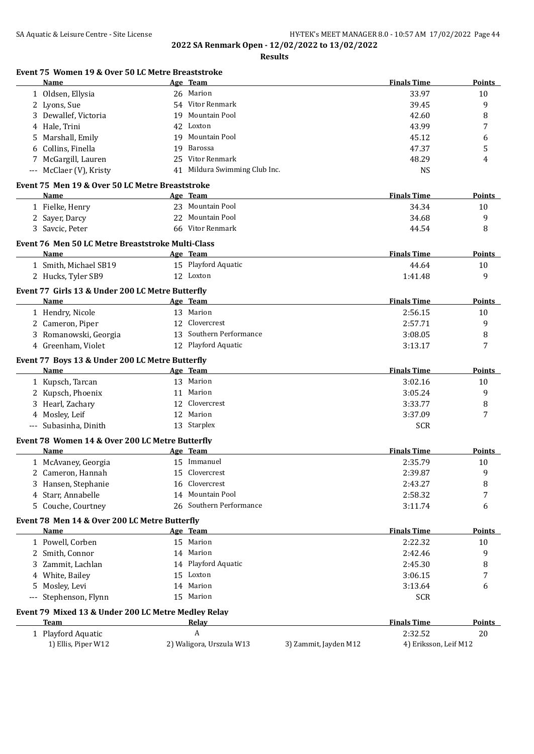**Results**

|       | Name                                                    | Age Team                      |                       | <b>Finals Time</b>    | Points        |
|-------|---------------------------------------------------------|-------------------------------|-----------------------|-----------------------|---------------|
|       | 1 Oldsen, Ellysia                                       | 26 Marion                     |                       | 33.97                 | 10            |
|       | 2 Lyons, Sue                                            | 54 Vitor Renmark              |                       | 39.45                 | 9             |
|       | Dewallef, Victoria                                      | 19 Mountain Pool              |                       | 42.60                 | 8             |
|       | 4 Hale, Trini                                           | 42 Loxton                     |                       | 43.99                 | 7             |
|       | Marshall, Emily                                         | 19 Mountain Pool              |                       | 45.12                 | 6             |
|       | 6 Collins, Finella                                      | 19 Barossa                    |                       | 47.37                 | 5             |
|       | 7 McGargill, Lauren                                     | 25 Vitor Renmark              |                       | 48.29                 | 4             |
|       | --- McClaer (V), Kristy                                 | 41 Mildura Swimming Club Inc. |                       | <b>NS</b>             |               |
|       |                                                         |                               |                       |                       |               |
|       | Event 75 Men 19 & Over 50 LC Metre Breaststroke         |                               |                       |                       |               |
|       | Name                                                    | Age Team                      |                       | <b>Finals Time</b>    | Points        |
|       | 1 Fielke, Henry                                         | 23 Mountain Pool              |                       | 34.34                 | 10            |
|       | 2 Sayer, Darcy                                          | 22 Mountain Pool              |                       | 34.68                 | 9             |
|       | 3 Savcic, Peter                                         | 66 Vitor Renmark              |                       | 44.54                 | 8             |
|       | Event 76 Men 50 LC Metre Breaststroke Multi-Class       |                               |                       |                       |               |
|       | Name                                                    | Age Team                      |                       | <b>Finals Time</b>    | Points        |
|       | 1 Smith, Michael SB19                                   | 15 Playford Aquatic           |                       | 44.64                 | 10            |
|       | 2 Hucks, Tyler SB9                                      | 12 Loxton                     |                       | 1:41.48               | 9             |
|       | Event 77 Girls 13 & Under 200 LC Metre Butterfly        |                               |                       |                       |               |
|       | Name                                                    | Age Team                      |                       | <b>Finals Time</b>    | Points        |
|       | 1 Hendry, Nicole                                        | 13 Marion                     |                       | 2:56.15               | 10            |
|       | 2 Cameron, Piper                                        | 12 Clovercrest                |                       | 2:57.71               | 9             |
| 3.    | Romanowski, Georgia                                     | 13 Southern Performance       |                       | 3:08.05               | 8             |
|       | 4 Greenham, Violet                                      | 12 Playford Aquatic           |                       | 3:13.17               | 7             |
|       |                                                         |                               |                       |                       |               |
|       | Event 77 Boys 13 & Under 200 LC Metre Butterfly<br>Name | Age Team                      |                       | <b>Finals Time</b>    | Points        |
|       | 1 Kupsch, Tarcan                                        | 13 Marion                     |                       | 3:02.16               | 10            |
|       |                                                         | 11 Marion                     |                       | 3:05.24               | 9             |
|       | 2 Kupsch, Phoenix                                       | 12 Clovercrest                |                       |                       |               |
|       | 3 Hearl, Zachary                                        |                               |                       | 3:33.77               | 8             |
|       | 4 Mosley, Leif                                          | 12 Marion                     |                       | 3:37.09               | 7             |
|       | --- Subasinha, Dinith                                   | 13 Starplex                   |                       | <b>SCR</b>            |               |
|       | Event 78 Women 14 & Over 200 LC Metre Butterfly         |                               |                       |                       |               |
|       | Name                                                    | Age Team                      |                       | <b>Finals Time</b>    | <b>Points</b> |
|       | 1 McAvaney, Georgia                                     | 15 Immanuel                   |                       | 2:35.79               | 10            |
|       | Cameron, Hannah                                         | 15 Clovercrest                |                       | 2:39.87               | 9             |
|       | Hansen, Stephanie                                       | 16 Clovercrest                |                       | 2:43.27               | 8             |
| 4     | Starr, Annabelle                                        | 14 Mountain Pool              |                       | 2:58.32               | 7             |
| 5.    | Couche, Courtney                                        | 26 Southern Performance       |                       | 3:11.74               | 6             |
|       | Event 78 Men 14 & Over 200 LC Metre Butterfly           |                               |                       |                       |               |
|       | Name                                                    | Age Team                      |                       | <b>Finals Time</b>    | <b>Points</b> |
|       | 1 Powell, Corben                                        | 15 Marion                     |                       | 2:22.32               | 10            |
|       | 2 Smith, Connor                                         | 14 Marion                     |                       | 2:42.46               | 9             |
|       | Zammit, Lachlan                                         | 14 Playford Aquatic           |                       | 2:45.30               | 8             |
|       | White, Bailey                                           | 15 Loxton                     |                       | 3:06.15               | 7             |
| 5.    | Mosley, Levi                                            | 14 Marion                     |                       | 3:13.64               | 6             |
| $---$ | Stephenson, Flynn                                       | 15 Marion                     |                       | <b>SCR</b>            |               |
|       |                                                         |                               |                       |                       |               |
|       | Event 79 Mixed 13 & Under 200 LC Metre Medley Relay     |                               |                       |                       |               |
|       | <b>Team</b>                                             | Relay                         |                       | <b>Finals Time</b>    | <b>Points</b> |
|       | 1 Playford Aquatic                                      | A                             |                       | 2:32.52               | 20            |
|       | 1) Ellis, Piper W12                                     | 2) Waligora, Urszula W13      | 3) Zammit, Jayden M12 | 4) Eriksson, Leif M12 |               |